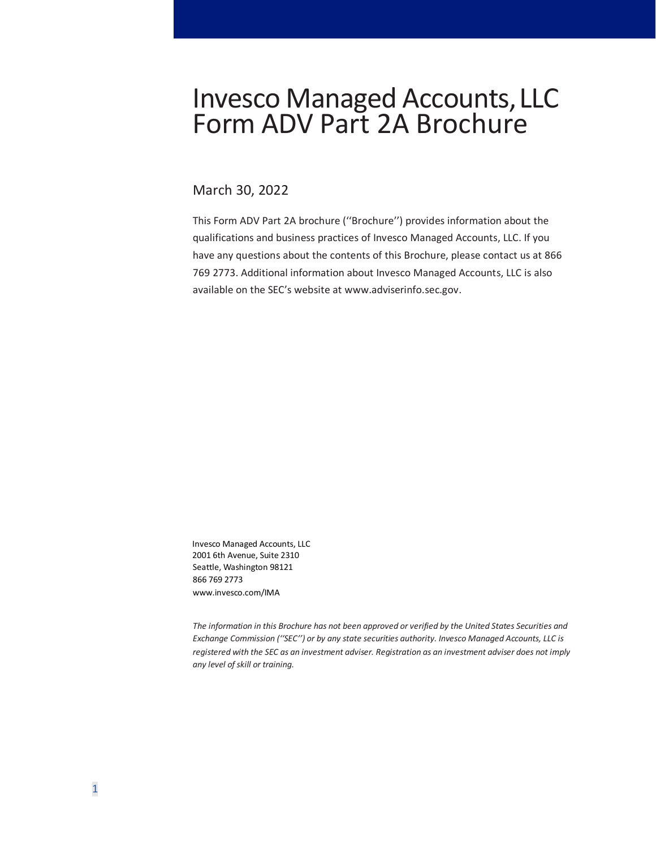# **Invesco Managed Accounts, LLC** Form ADV Part 2A Brochure

# March 30, 2022

This Form ADV Part 2A brochure (''Brochure'') provides information about the qualifications and business practices of Invesco Managed Accounts, LLC. If you have any questions about the contents of this Brochure, please contact us at 866 769 2773. Additional information about Invesco Managed Accounts, LLC is also available on the SEC's website a[t www.adviserinfo.sec.gov.](http://www.adviserinfo.sec.gov/)

Invesco Managed Accounts, LLC 2001 6th Avenue, Suite 2310 Seattle, Washington 98121 866 769 2773 www.invesco.com/IMA

*The information in this Brochure has not been approved or verified by the United States Securities and Exchange Commission (''SEC'') or by any state securities authority. Invesco Managed Accounts, LLC is registered with the SEC as an investment adviser. Registration as an investment adviser does not imply any level of skill or training.*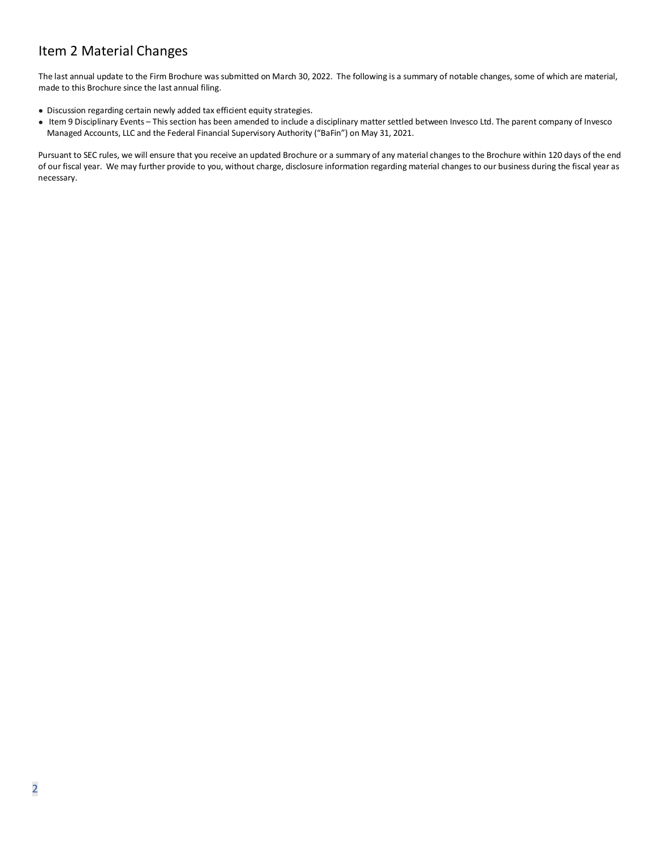# <span id="page-1-0"></span>Item 2 Material Changes

The last annual update to the Firm Brochure was submitted on March 30, 2022. The following is a summary of notable changes, some of which are material, made to this Brochure since the last annual filing.

- Discussion regarding certain newly added tax efficient equity strategies.
- Item 9 Disciplinary Events This section has been amended to include a disciplinary matter settled between Invesco Ltd. The parent company of Invesco Managed Accounts, LLC and the Federal Financial Supervisory Authority ("BaFin") on May 31, 2021.

Pursuant to SEC rules, we will ensure that you receive an updated Brochure or a summary of any material changes to the Brochure within 120 days of the end of our fiscal year. We may further provide to you, without charge, disclosure information regarding material changes to our business during the fiscal year as necessary.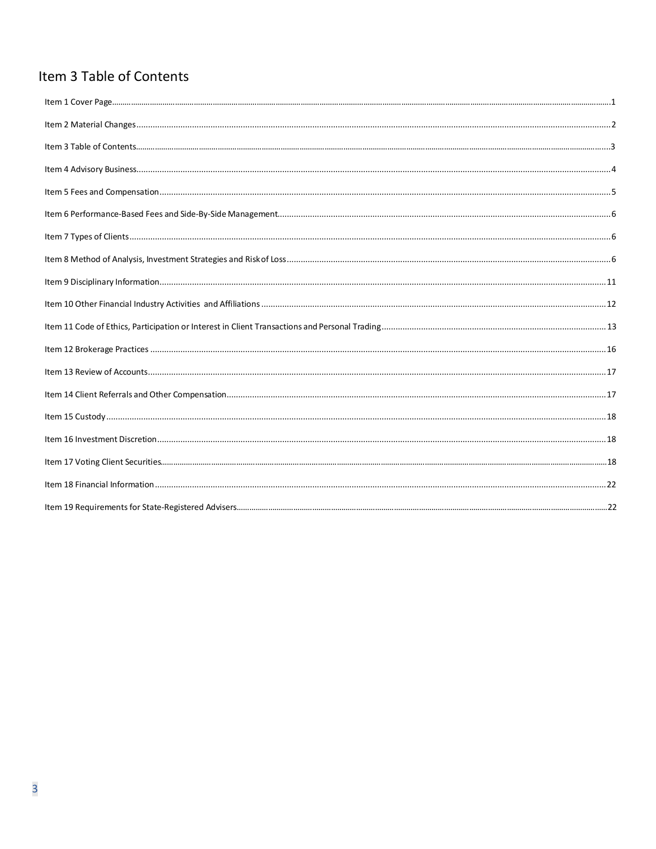# Item 3 Table of Contents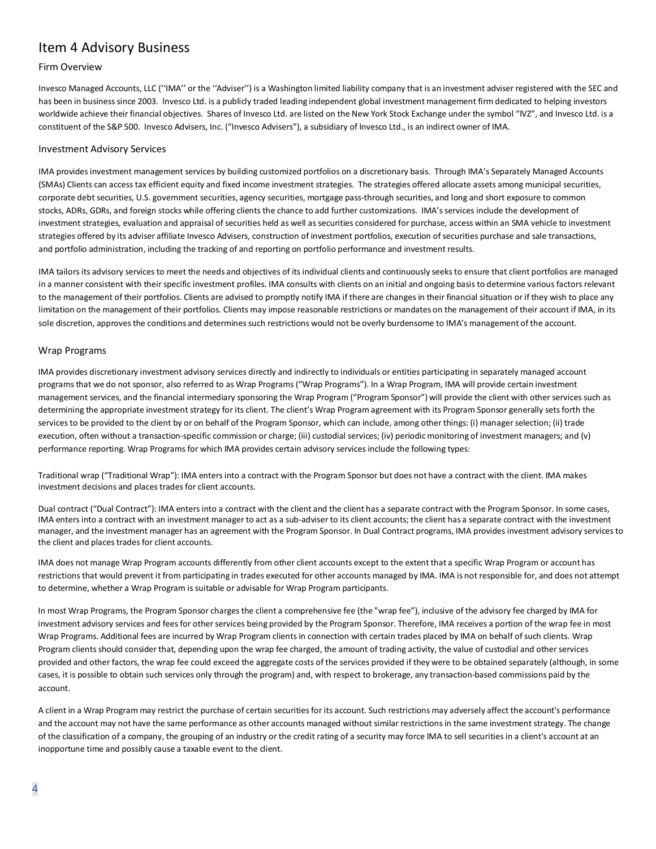# <span id="page-3-0"></span>Item 4 Advisory Business

# Firm Overview

Invesco Managed Accounts, LLC (''IMA'' or the ''Adviser'') is a Washington limited liability company that is an investment adviser registered with the SEC and has been in business since 2003. Invesco Ltd. is a publicly traded leading independent global investment management firm dedicated to helping investors worldwide achieve their financial objectives. Shares of Invesco Ltd. are listed on the New York Stock Exchange under the symbol "IVZ", and Invesco Ltd. is a constituent of the S&P 500. Invesco Advisers, Inc. ("Invesco Advisers"), a subsidiary of Invesco Ltd., is an indirect owner of IMA.

#### Investment Advisory Services

IMA provides investment management services by building customized portfolios on a discretionary basis. Through IMA's Separately Managed Accounts (SMAs) Clients can access tax efficient equity and fixed income investment strategies. The strategies offered allocate assets among municipal securities, corporate debt securities, U.S. government securities, agency securities, mortgage pass-through securities, and long and short exposure to common stocks, ADRs, GDRs, and foreign stocks while offering clients the chance to add further customizations. IMA's services include the development of investment strategies, evaluation and appraisal of securities held as well as securities considered for purchase, access within an SMA vehicle to investment strategies offered by its adviser affiliate Invesco Advisers, construction of investment portfolios, execution of securities purchase and sale transactions, and portfolio administration, including the tracking of and reporting on portfolio performance and investment results.

IMA tailors its advisory services to meet the needs and objectives of its individual clients and continuously seeksto ensure that client portfolios are managed in a manner consistent with their specific investment profiles. IMA consults with clients on an initial and ongoing basis to determine various factors relevant to the management of their portfolios. Clients are advised to promptly notify IMA if there are changes in their financial situation or if they wish to place any limitation on the management of their portfolios. Clients may impose reasonable restrictions or mandates on the management of their account if IMA, in its sole discretion, approves the conditions and determines such restrictions would not be overly burdensome to IMA's management of the account.

### Wrap Programs

IMA provides discretionary investment advisory services directly and indirectly to individuals or entities participating in separately managed account programs that we do not sponsor, also referred to as Wrap Programs ("Wrap Programs"). In a Wrap Program, IMA will provide certain investment management services, and the financial intermediary sponsoring the Wrap Program ("Program Sponsor") will provide the client with other services such as determining the appropriate investment strategy for its client. The client's Wrap Program agreement with its Program Sponsor generally sets forth the services to be provided to the client by or on behalf of the Program Sponsor, which can include, among other things: (i) manager selection; (ii) trade execution, often without a transaction-specific commission or charge; (iii) custodial services; (iv) periodic monitoring of investment managers; and (v) performance reporting. Wrap Programs for which IMA provides certain advisory services include the following types:

Traditional wrap ("Traditional Wrap"): IMA enters into a contract with the Program Sponsor but does not have a contract with the client. IMA makes investment decisions and places trades for client accounts.

Dual contract ("Dual Contract"): IMA enters into a contract with the client and the client has a separate contract with the Program Sponsor. In some cases, IMA enters into a contract with an investment manager to act as a sub-adviser to its client accounts; the client has a separate contract with the investment manager, and the investment manager has an agreement with the Program Sponsor. In Dual Contract programs, IMA provides investment advisory services to the client and places trades for client accounts.

IMA does not manage Wrap Program accounts differently from other client accounts except to the extent that a specific Wrap Program or account has restrictions that would prevent it from participating in trades executed for other accounts managed by IMA. IMA is not responsible for, and does not attempt to determine, whether a Wrap Program is suitable or advisable for Wrap Program participants.

In most Wrap Programs, the Program Sponsor charges the client a comprehensive fee (the "wrap fee"), inclusive of the advisory fee charged by IMA for investment advisory services and fees for other services being provided by the Program Sponsor. Therefore, IMA receives a portion of the wrap fee in most Wrap Programs. Additional fees are incurred by Wrap Program clients in connection with certain trades placed by IMA on behalf of such clients. Wrap Program clients should consider that, depending upon the wrap fee charged, the amount of trading activity, the value of custodial and other services provided and other factors, the wrap fee could exceed the aggregate costs of the services provided if they were to be obtained separately (although, in some cases, it is possible to obtain such services only through the program) and, with respect to brokerage, any transaction-based commissions paid by the account.

A client in a Wrap Program may restrict the purchase of certain securities for its account. Such restrictions may adversely affect the account's performance and the account may not have the same performance as other accounts managed without similar restrictions in the same investment strategy. The change of the classification of a company, the grouping of an industry or the credit rating of a security may force IMA to sell securities in a client's account at an inopportune time and possibly cause a taxable event to the client.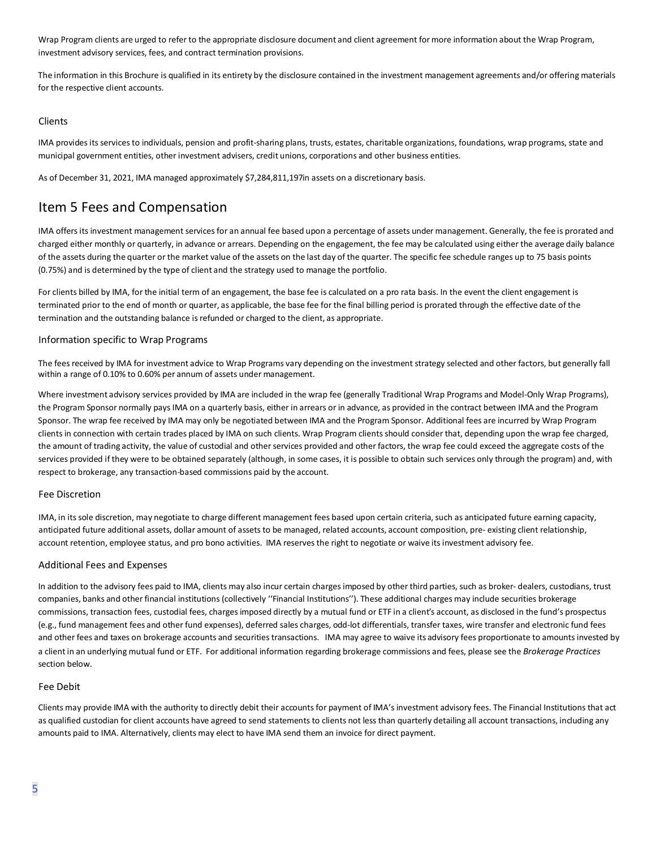Wrap Program clients are urged to refer to the appropriate disclosure document and client agreement for more information about the Wrap Program, investment advisory services, fees, and contract termination provisions.

The information in this Brochure is qualified in its entirety by the disclosure contained in the investment management agreements and/or offering materials for the respective client accounts.

#### Clients

IMA provides its services to individuals, pension and profit-sharing plans, trusts, estates, charitable organizations, foundations, wrap programs, state and municipal government entities, other investment advisers, credit unions, corporations and other business entities.

As of December 31, 2021, IMA managed approximately \$7,284,811,197in assets on a discretionary basis.

# <span id="page-4-0"></span>Item 5 Fees and Compensation

IMA offers its investment management services for an annual fee based upon a percentage of assets under management. Generally, the fee is prorated and charged either monthly or quarterly, in advance or arrears. Depending on the engagement, the fee may be calculated using either the average daily balance of the assets during the quarter or the market value of the assets on the last day of the quarter. The specific fee schedule ranges up to 75 basis points (0.75%) and is determined by the type of client and the strategy used to manage the portfolio.

For clients billed by IMA, for the initial term of an engagement, the base fee is calculated on a pro rata basis. In the event the client engagement is terminated prior to the end of month or quarter, as applicable, the base fee for the final billing period is prorated through the effective date of the termination and the outstanding balance is refunded or charged to the client, as appropriate.

### Information specific to Wrap Programs

The fees received by IMA for investment advice to Wrap Programs vary depending on the investment strategy selected and other factors, but generally fall within a range of 0.10% to 0.60% per annum of assets under management.

Where investment advisory services provided by IMA are included in the wrap fee (generally Traditional Wrap Programs and Model-Only Wrap Programs), the Program Sponsor normally pays IMA on a quarterly basis, either in arrears or in advance, as provided in the contract between IMA and the Program Sponsor. The wrap fee received by IMA may only be negotiated between IMA and the Program Sponsor. Additional fees are incurred by Wrap Program clients in connection with certain trades placed by IMA on such clients. Wrap Program clients should consider that, depending upon the wrap fee charged, the amount of trading activity, the value of custodial and other services provided and other factors, the wrap fee could exceed the aggregate costs of the services provided if they were to be obtained separately (although, in some cases, it is possible to obtain such services only through the program) and, with respect to brokerage, any transaction-based commissions paid by the account.

#### Fee Discretion

IMA, in its sole discretion, may negotiate to charge different management fees based upon certain criteria, such as anticipated future earning capacity, anticipated future additional assets, dollar amount of assets to be managed, related accounts, account composition, pre- existing client relationship, account retention, employee status, and pro bono activities. IMA reserves the right to negotiate or waive its investment advisory fee.

#### Additional Fees and Expenses

In addition to the advisory fees paid to IMA, clients may also incur certain charges imposed by other third parties, such as broker- dealers, custodians, trust companies, banks and other financial institutions (collectively ''Financial Institutions''). These additional charges may include securities brokerage commissions, transaction fees, custodial fees, charges imposed directly by a mutual fund or ETF in a client's account, as disclosed in the fund's prospectus (e.g., fund management fees and other fund expenses), deferred sales charges, odd-lot differentials, transfer taxes, wire transfer and electronic fund fees and other fees and taxes on brokerage accounts and securities transactions. IMA may agree to waive its advisory fees proportionate to amounts invested by a client in an underlying mutual fund or ETF. For additional information regarding brokerage commissions and fees, please see the *Brokerage Practices*  section below.

#### Fee Debit

Clients may provide IMA with the authority to directly debit their accounts for payment of IMA's investment advisory fees. The Financial Institutions that act as qualified custodian for client accounts have agreed to send statements to clients not less than quarterly detailing all account transactions, including any amounts paid to IMA. Alternatively, clients may elect to have IMA send them an invoice for direct payment.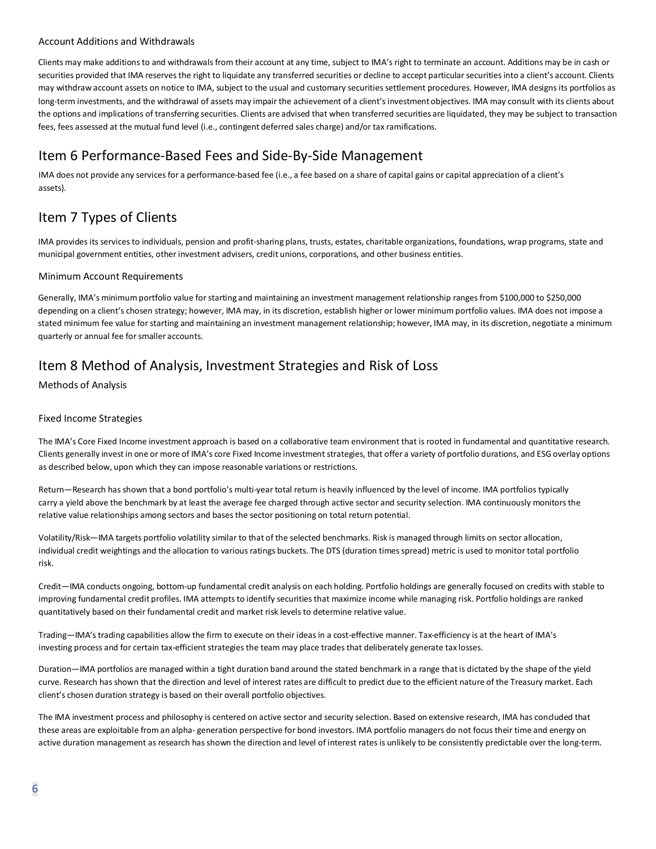# Account Additions and Withdrawals

Clients may make additions to and withdrawals from their account at any time, subject to IMA's right to terminate an account. Additions may be in cash or securities provided that IMA reserves the right to liquidate any transferred securities or decline to accept particular securities into a client's account. Clients may withdraw account assets on notice to IMA, subject to the usual and customary securities settlement procedures. However, IMA designs its portfolios as long-term investments, and the withdrawal of assets may impair the achievement of a client's investmentobjectives. IMA may consult with its clients about the options and implications of transferring securities. Clients are advised that when transferred securities are liquidated, they may be subject to transaction fees, fees assessed at the mutual fund level (i.e., contingent deferred sales charge) and/or tax ramifications.

# <span id="page-5-0"></span>Item 6 Performance-Based Fees and Side-By-Side Management

IMA does not provide any services for a performance-based fee (i.e., a fee based on a share of capital gains or capital appreciation of a client's assets).

# <span id="page-5-1"></span>Item 7 Types of Clients

IMA provides its services to individuals, pension and profit-sharing plans, trusts, estates, charitable organizations, foundations, wrap programs, state and municipal government entities, other investment advisers, credit unions, corporations, and other business entities.

# Minimum Account Requirements

Generally, IMA's minimum portfolio value for starting and maintaining an investment management relationship ranges from \$100,000 to \$250,000 depending on a client's chosen strategy; however, IMA may, in its discretion, establish higher or lower minimum portfolio values. IMA does not impose a stated minimum fee value for starting and maintaining an investment management relationship; however, IMA may, in its discretion, negotiate a minimum quarterly or annual fee for smaller accounts.

# <span id="page-5-2"></span>Item 8 Method of Analysis, Investment Strategies and Risk of Loss

Methods of Analysis

# Fixed Income Strategies

The IMA's Core Fixed Income investment approach is based on a collaborative team environment that is rooted in fundamental and quantitative research. Clients generally invest in one or more of IMA's core Fixed Income investment strategies, that offer a variety of portfolio durations, and ESG overlay options as described below, upon which they can impose reasonable variations or restrictions.

Return—Research has shown that a bond portfolio's multi-year total return is heavily influenced by the level of income. IMA portfolios typically carry a yield above the benchmark by at least the average fee charged through active sector and security selection. IMA continuously monitors the relative value relationships among sectors and bases the sector positioning on total return potential.

Volatility/Risk—IMA targets portfolio volatility similar to that of the selected benchmarks. Risk is managed through limits on sector allocation, individual credit weightings and the allocation to various ratings buckets. The DTS (duration times spread) metric is used to monitor total portfolio risk.

Credit—IMA conducts ongoing, bottom-up fundamental credit analysis on each holding. Portfolio holdings are generally focused on credits with stable to improving fundamental credit profiles. IMA attempts to identify securities that maximize income while managing risk. Portfolio holdings are ranked quantitatively based on their fundamental credit and market risk levels to determine relative value.

Trading—IMA's trading capabilities allow the firm to execute on their ideas in a cost-effective manner. Tax-efficiency is at the heart of IMA's investing process and for certain tax-efficient strategies the team may place trades that deliberately generate tax losses.

Duration—IMA portfolios are managed within a tight duration band around the stated benchmark in a range that is dictated by the shape of the yield curve. Research has shown that the direction and level of interest rates are difficult to predict due to the efficient nature of the Treasury market. Each client's chosen duration strategy is based on their overall portfolio objectives.

The IMA investment process and philosophy is centered on active sector and security selection. Based on extensive research, IMA has concluded that these areas are exploitable from an alpha- generation perspective for bond investors. IMA portfolio managers do not focustheir time and energy on active duration management as research has shown the direction and level of interest rates is unlikely to be consistently predictable over the long-term.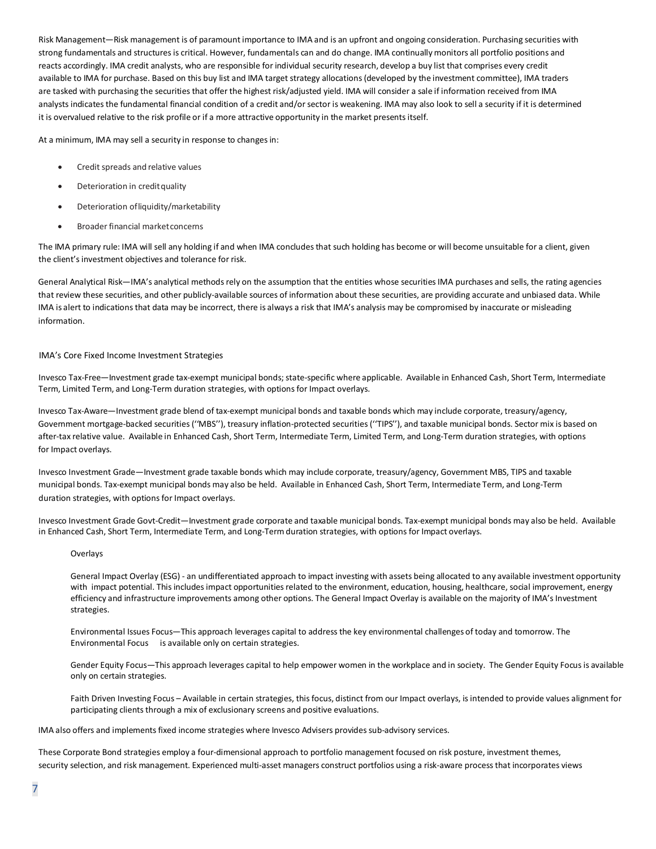Risk Management—Risk management is of paramount importance to IMA and is an upfront and ongoing consideration. Purchasing securities with strong fundamentals and structures is critical. However, fundamentals can and do change. IMA continually monitors all portfolio positions and reacts accordingly. IMA credit analysts, who are responsible for individual security research, develop a buy list that comprises every credit available to IMA for purchase. Based on this buy list and IMA target strategy allocations (developed by the investment committee), IMA traders are tasked with purchasing the securities that offer the highest risk/adjusted yield. IMA will consider a sale if information received from IMA analysts indicates the fundamental financial condition of a credit and/or sector is weakening. IMA may also look to sell a security if it is determined it is overvalued relative to the risk profile or if a more attractive opportunity in the market presents itself.

At a minimum, IMA may sell a security in response to changes in:

- Credit spreads and relative values
- Deterioration in credit quality
- Deterioration ofliquidity/marketability
- Broader financial marketconcerns

The IMA primary rule: IMA will sell any holding if and when IMA concludes that such holding has become or will become unsuitable for a client, given the client's investment objectives and tolerance for risk.

General Analytical Risk—IMA's analytical methods rely on the assumption that the entities whose securities IMA purchases and sells, the rating agencies that review these securities, and other publicly-available sources of information about these securities, are providing accurate and unbiased data. While IMA is alert to indications that data may be incorrect, there is always a risk that IMA's analysis may be compromised by inaccurate or misleading information.

#### IMA's Core Fixed Income Investment Strategies

Invesco Tax-Free—Investment grade tax-exempt municipal bonds; state-specific where applicable. Available in Enhanced Cash, Short Term, Intermediate Term, Limited Term, and Long-Term duration strategies, with options for Impact overlays.

Invesco Tax-Aware—Investment grade blend of tax-exempt municipal bonds and taxable bonds which may include corporate, treasury/agency, Government mortgage-backed securities(''MBS''), treasury inflation-protected securities (''TIPS''), and taxable municipal bonds. Sector mix is based on after-tax relative value. Available in Enhanced Cash, Short Term, Intermediate Term, Limited Term, and Long-Term duration strategies, with options for Impact overlays.

Invesco Investment Grade—Investment grade taxable bonds which may include corporate, treasury/agency, Government MBS, TIPS and taxable municipal bonds. Tax-exempt municipal bonds may also be held. Available in Enhanced Cash, Short Term, Intermediate Term, and Long-Term duration strategies, with options for Impact overlays.

Invesco Investment Grade Govt-Credit—Investment grade corporate and taxable municipal bonds. Tax-exempt municipal bonds may also be held. Available in Enhanced Cash, Short Term, Intermediate Term, and Long-Term duration strategies, with options for Impact overlays.

#### Overlays

General Impact Overlay (ESG) - an undifferentiated approach to impact investing with assets being allocated to any available investment opportunity with impact potential. This includes impact opportunities related to the environment, education, housing, healthcare, social improvement, energy efficiency and infrastructure improvements among other options. The General Impact Overlay is available on the majority of IMA's Investment strategies.

Environmental Issues Focus—This approach leverages capital to address the key environmental challenges of today and tomorrow. The Environmental Focus is available only on certain strategies.

Gender Equity Focus—This approach leverages capital to help empower women in the workplace and in society. The Gender Equity Focus is available only on certain strategies.

Faith Driven Investing Focus – Available in certain strategies, this focus, distinct from our Impact overlays, is intended to provide values alignment for participating clients through a mix of exclusionary screens and positive evaluations.

IMA also offers and implements fixed income strategies where Invesco Advisers provides sub-advisory services.

These Corporate Bond strategies employ a four-dimensional approach to portfolio management focused on risk posture, investment themes, security selection, and risk management. Experienced multi-asset managers construct portfolios using a risk-aware process that incorporates views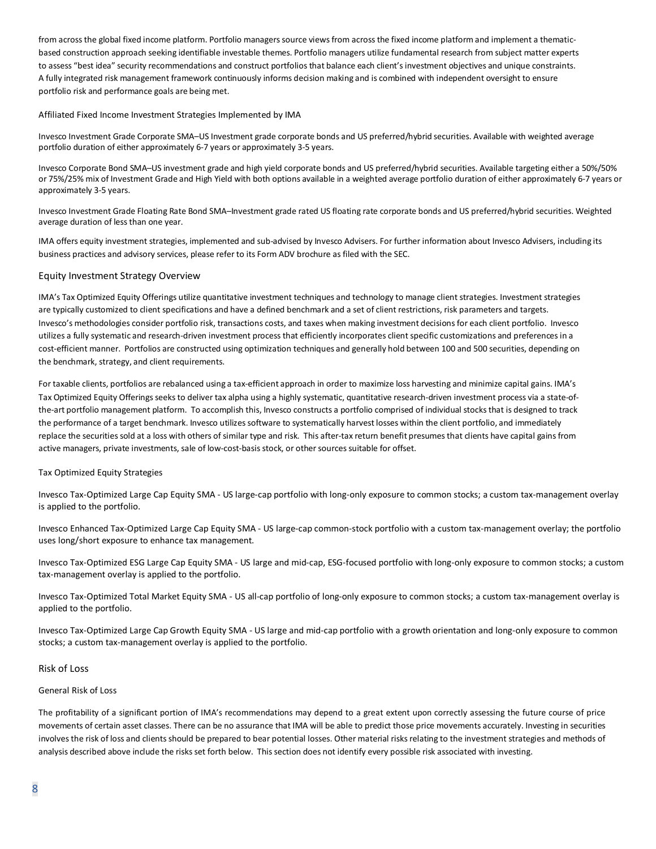from across the global fixed income platform. Portfolio managers source views from across the fixed income platform and implement a thematicbased construction approach seeking identifiable investable themes. Portfolio managers utilize fundamental research from subject matter experts to assess "best idea" security recommendations and construct portfolios that balance each client's investment objectives and unique constraints. A fully integrated risk management framework continuously informs decision making and is combined with independent oversight to ensure portfolio risk and performance goals are being met.

#### Affiliated Fixed Income Investment Strategies Implemented by IMA

Invesco Investment Grade Corporate SMA–US Investment grade corporate bonds and US preferred/hybrid securities. Available with weighted average portfolio duration of either approximately 6-7 years or approximately 3-5 years.

Invesco Corporate Bond SMA–US investment grade and high yield corporate bonds and US preferred/hybrid securities. Available targeting either a 50%/50% or 75%/25% mix of Investment Grade and High Yield with both options available in a weighted average portfolio duration of either approximately 6-7 years or approximately 3-5 years.

Invesco Investment Grade Floating Rate Bond SMA–Investment grade rated US floating rate corporate bonds and US preferred/hybrid securities. Weighted average duration of less than one year.

IMA offers equity investment strategies, implemented and sub-advised by Invesco Advisers. For further information about Invesco Advisers, including its business practices and advisory services, please refer to its Form ADV brochure as filed with the SEC.

### Equity Investment Strategy Overview

IMA's Tax Optimized Equity Offerings utilize quantitative investment techniques and technology to manage client strategies. Investment strategies are typically customized to client specifications and have a defined benchmark and a set of client restrictions, risk parameters and targets. Invesco's methodologies consider portfolio risk, transactions costs, and taxes when making investment decisions for each client portfolio. Invesco utilizes a fully systematic and research-driven investment process that efficiently incorporates client specific customizations and preferences in a cost-efficient manner. Portfolios are constructed using optimization techniques and generally hold between 100 and 500 securities, depending on the benchmark, strategy, and client requirements.

For taxable clients, portfolios are rebalanced using a tax-efficient approach in order to maximize loss harvesting and minimize capital gains. IMA's Tax Optimized Equity Offerings seeksto deliver tax alpha using a highly systematic, quantitative research-driven investment process via a state-ofthe-art portfolio management platform. To accomplish this, Invesco constructs a portfolio comprised of individual stocks that is designed to track the performance of a target benchmark. Invesco utilizes software to systematically harvest losses within the client portfolio, and immediately replace the securities sold at a loss with others of similar type and risk. This after-tax return benefit presumes that clients have capital gains from active managers, private investments, sale of low-cost-basis stock, or other sources suitable for offset.

#### Tax Optimized Equity Strategies

Invesco Tax-Optimized Large Cap Equity SMA - US large-cap portfolio with long-only exposure to common stocks; a custom tax-management overlay is applied to the portfolio.

Invesco Enhanced Tax-Optimized Large Cap Equity SMA - US large-cap common-stock portfolio with a custom tax-management overlay; the portfolio uses long/short exposure to enhance tax management.

Invesco Tax-Optimized ESG Large Cap Equity SMA - US large and mid-cap, ESG-focused portfolio with long-only exposure to common stocks; a custom tax-management overlay is applied to the portfolio.

Invesco Tax-Optimized Total Market Equity SMA - US all-cap portfolio of long-only exposure to common stocks; a custom tax-management overlay is applied to the portfolio.

Invesco Tax-Optimized Large Cap Growth Equity SMA - US large and mid-cap portfolio with a growth orientation and long-only exposure to common stocks; a custom tax-management overlay is applied to the portfolio.

### Risk of Loss

### General Risk of Loss

The profitability of a significant portion of IMA's recommendations may depend to a great extent upon correctly assessing the future course of price movements of certain asset classes. There can be no assurance that IMA will be able to predict those price movements accurately. Investing in securities involves the risk of loss and clients should be prepared to bear potential losses. Other material risks relating to the investment strategies and methods of analysis described above include the risks set forth below. This section does not identify every possible risk associated with investing.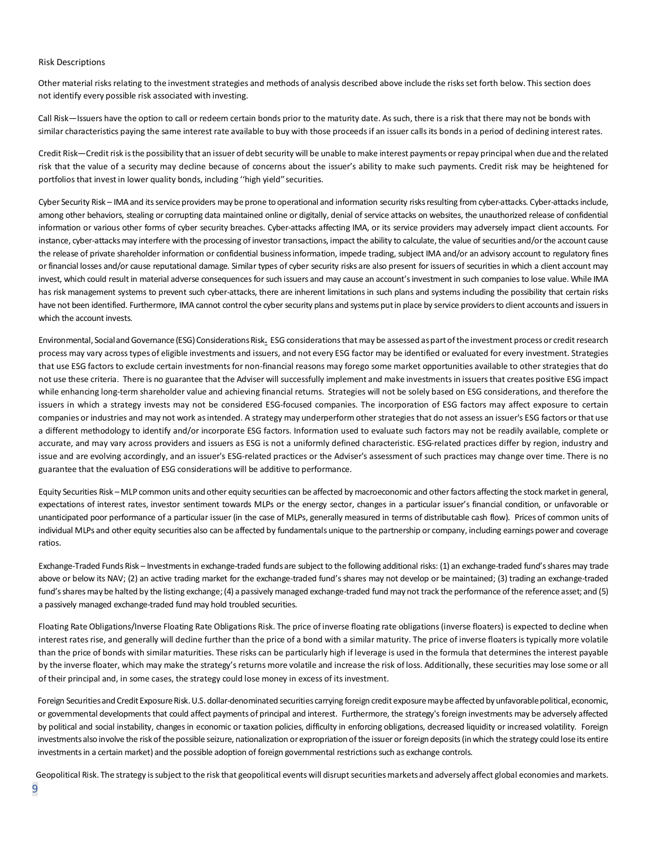#### Risk Descriptions

Other material risks relating to the investment strategies and methods of analysis described above include the risks set forth below. This section does not identify every possible risk associated with investing.

Call Risk—Issuers have the option to call or redeem certain bonds prior to the maturity date. As such, there is a risk that there may not be bonds with similar characteristics paying the same interest rate available to buy with those proceeds if an issuer calls its bonds in a period of declining interest rates.

Credit Risk—Credit risk is the possibility that an issuer of debt security will be unable to make interest payments or repay principal when due and the related risk that the value of a security may decline because of concerns about the issuer's ability to make such payments. Credit risk may be heightened for portfolios that invest in lower quality bonds, including ''high yield''securities.

Cyber Security Risk – IMA and its service providers may be prone to operational and information security risks resulting from cyber-attacks. Cyber-attacks include, among other behaviors, stealing or corrupting data maintained online or digitally, denial of service attacks on websites, the unauthorized release of confidential information or various other forms of cyber security breaches. Cyber-attacks affecting IMA, or its service providers may adversely impact client accounts. For instance, cyber-attacks may interfere with the processing of investor transactions, impact the ability to calculate, the value of securities and/or the account cause the release of private shareholder information or confidential business information, impede trading, subject IMA and/or an advisory account to regulatory fines or financial losses and/or cause reputational damage. Similar types of cyber security risks are also present for issuers of securities in which a client account may invest, which could result in material adverse consequences for such issuers and may cause an account's investment in such companies to lose value. While IMA has risk management systems to prevent such cyber-attacks, there are inherent limitations in such plans and systems including the possibility that certain risks have not been identified. Furthermore, IMA cannot control the cyber security plans and systems put in place by service providers to client accounts and issuers in which the account invests.

Environmental, Social and Governance (ESG) Considerations Risk**.** ESG considerations that may be assessed as part of the investment process or creditresearch process may vary across types of eligible investments and issuers, and not every ESG factor may be identified or evaluated for every investment. Strategies that use ESG factors to exclude certain investments for non-financial reasons may forego some market opportunities available to other strategies that do not use these criteria. There is no guarantee that the Adviser will successfully implement and make investments in issuers that creates positive ESG impact while enhancing long-term shareholder value and achieving financial returns. Strategies will not be solely based on ESG considerations, and therefore the issuers in which a strategy invests may not be considered ESG-focused companies. The incorporation of ESG factors may affect exposure to certain companies or industries and may not work as intended. A strategy may underperform other strategies that do not assess an issuer's ESG factors or that use a different methodology to identify and/or incorporate ESG factors. Information used to evaluate such factors may not be readily available, complete or accurate, and may vary across providers and issuers as ESG is not a uniformly defined characteristic. ESG-related practices differ by region, industry and issue and are evolving accordingly, and an issuer's ESG-related practices or the Adviser's assessment of such practices may change over time. There is no guarantee that the evaluation of ESG considerations will be additive to performance.

Equity Securities Risk –MLP common units and other equity securities can be affected by macroeconomic and other factors affecting the stock market in general, expectations of interest rates, investor sentiment towards MLPs or the energy sector, changes in a particular issuer's financial condition, or unfavorable or unanticipated poor performance of a particular issuer (in the case of MLPs, generally measured in terms of distributable cash flow). Prices of common units of individual MLPs and other equity securities also can be affected by fundamentals unique to the partnership or company, including earnings power and coverage ratios.

Exchange-Traded Funds Risk – Investments in exchange-traded funds are subject to the following additional risks: (1) an exchange-traded fund's shares may trade above or below its NAV; (2) an active trading market for the exchange-traded fund's shares may not develop or be maintained; (3) trading an exchange-traded fund's shares may be halted by the listing exchange; (4) a passively managed exchange-traded fund may not track the performance of the reference asset; and (5) a passively managed exchange-traded fund may hold troubled securities.

Floating Rate Obligations/Inverse Floating Rate Obligations Risk. The price of inverse floating rate obligations (inverse floaters) is expected to decline when interest rates rise, and generally will decline further than the price of a bond with a similar maturity. The price of inverse floaters is typically more volatile than the price of bonds with similar maturities. These risks can be particularly high if leverage is used in the formula that determines the interest payable by the inverse floater, which may make the strategy's returns more volatile and increase the risk of loss. Additionally, these securities may lose some or all of their principal and, in some cases, the strategy could lose money in excess of its investment.

Foreign Securities and Credit Exposure Risk. U.S. dollar-denominated securities carrying foreign credit exposure may be affected by unfavorable political, economic, or governmental developments that could affect payments of principal and interest. Furthermore, the strategy's foreign investments may be adversely affected by political and social instability, changes in economic or taxation policies, difficulty in enforcing obligations, decreased liquidity or increased volatility. Foreign investments also involve the risk of the possible seizure, nationalization or expropriation of the issuer or foreign deposits(in which the strategy could lose its entire investments in a certain market) and the possible adoption of foreign governmental restrictions such as exchange controls.

Geopolitical Risk. The strategy is subject to the risk that geopolitical events will disrupt securities markets and adversely affect global economies and markets.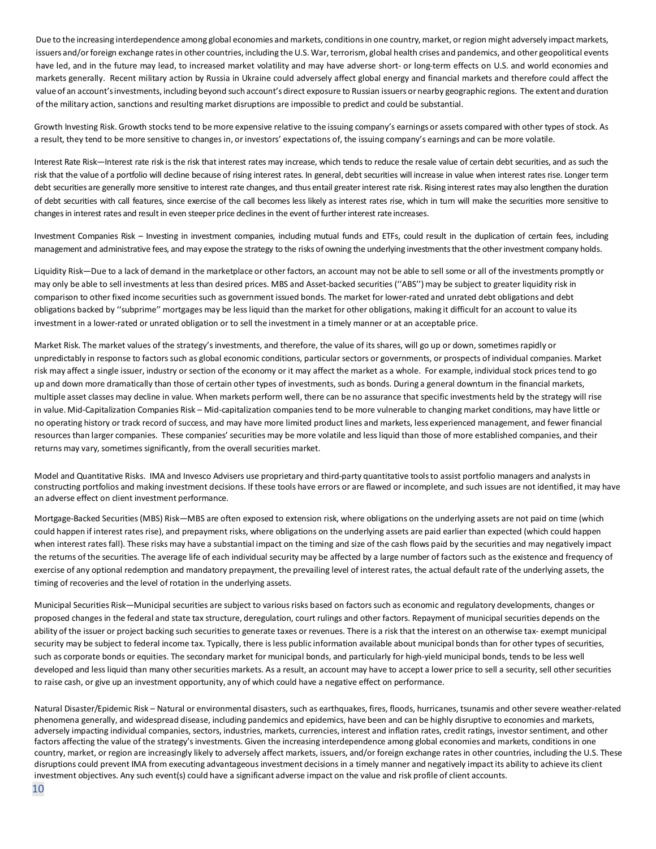Due to the increasing interdependence among global economies and markets, conditions in one country, market, or region might adversely impact markets, issuers and/or foreign exchange rates in other countries, including the U.S. War, terrorism, global health crises and pandemics, and other geopolitical events have led, and in the future may lead, to increased market volatility and may have adverse short- or long-term effects on U.S. and world economies and markets generally. Recent military action by Russia in Ukraine could adversely affect global energy and financial markets and therefore could affect the value of an account's investments, including beyond such account's direct exposure to Russian issuers or nearby geographic regions. The extent and duration of the military action, sanctions and resulting market disruptions are impossible to predict and could be substantial.

Growth Investing Risk. Growth stocks tend to be more expensive relative to the issuing company's earnings or assets compared with other types of stock. As a result, they tend to be more sensitive to changes in, or investors' expectations of, the issuing company's earnings and can be more volatile.

Interest Rate Risk—Interest rate risk is the risk that interest rates may increase, which tends to reduce the resale value of certain debt securities, and as such the risk that the value of a portfolio will decline because of rising interest rates. In general, debt securities will increase in value when interest rates rise. Longer term debt securities are generally more sensitive to interest rate changes, and thus entail greater interest rate risk. Rising interest rates may also lengthen the duration of debt securities with call features, since exercise of the call becomes less likely as interest rates rise, which in turn will make the securities more sensitive to changes in interest rates and result in even steeper price declines in the event of further interest rate increases.

Investment Companies Risk – Investing in investment companies, including mutual funds and ETFs, could result in the duplication of certain fees, including management and administrative fees, and may expose the strategy to the risks of owning the underlying investments that the other investment company holds.

Liquidity Risk—Due to a lack of demand in the marketplace or other factors, an account may not be able to sell some or all of the investments promptly or may only be able to sell investments at less than desired prices. MBS and Asset-backed securities (''ABS'') may be subject to greater liquidity risk in comparison to other fixed income securities such as government issued bonds. The market for lower-rated and unrated debt obligations and debt obligations backed by ''subprime'' mortgages may be less liquid than the market for other obligations, making it difficult for an account to value its investment in a lower-rated or unrated obligation or to sell the investment in a timely manner or at an acceptable price.

Market Risk*.* The market values of the strategy's investments, and therefore, the value of its shares, will go up or down, sometimes rapidly or unpredictably in response to factors such as global economic conditions, particular sectors or governments, or prospects of individual companies. Market risk may affect a single issuer, industry or section of the economy or it may affect the market as a whole. For example, individual stock prices tend to go up and down more dramatically than those of certain other types of investments, such as bonds. During a general downturn in the financial markets, multiple asset classes may decline in value. When markets perform well, there can be no assurance that specific investments held by the strategy will rise in value. Mid-Capitalization Companies Risk – Mid-capitalization companies tend to be more vulnerable to changing market conditions, may have little or no operating history or track record of success, and may have more limited product lines and markets, less experienced management, and fewer financial resources than larger companies. These companies' securities may be more volatile and less liquid than those of more established companies, and their returns may vary, sometimes significantly, from the overall securities market.

Model and Quantitative Risks. IMA and Invesco Advisers use proprietary and third-party quantitative tools to assist portfolio managers and analysts in constructing portfolios and making investment decisions. If these tools have errors or are flawed or incomplete, and such issues are not identified, it may have an adverse effect on client investment performance.

Mortgage-Backed Securities (MBS) Risk—MBS are often exposed to extension risk, where obligations on the underlying assets are not paid on time (which could happen if interest rates rise), and prepayment risks, where obligations on the underlying assets are paid earlier than expected (which could happen when interest rates fall). These risks may have a substantial impact on the timing and size of the cash flows paid by the securities and may negatively impact the returns of the securities. The average life of each individual security may be affected by a large number of factors such as the existence and frequency of exercise of any optional redemption and mandatory prepayment, the prevailing level of interest rates, the actual default rate of the underlying assets, the timing of recoveries and the level of rotation in the underlying assets.

Municipal Securities Risk—Municipal securities are subject to various risks based on factors such as economic and regulatory developments, changes or proposed changes in the federal and state tax structure, deregulation, court rulings and other factors. Repayment of municipal securities depends on the ability of the issuer or project backing such securities to generate taxes or revenues. There is a risk that the interest on an otherwise tax- exempt municipal security may be subject to federal income tax. Typically, there is less public information available about municipal bonds than for other types of securities, such as corporate bonds or equities. The secondary market for municipal bonds, and particularly for high-yield municipal bonds, tends to be less well developed and less liquid than many other securities markets. As a result, an account may have to accept a lower price to sell a security, sell other securities to raise cash, or give up an investment opportunity, any of which could have a negative effect on performance.

Natural Disaster/Epidemic Risk – Natural or environmental disasters, such as earthquakes, fires, floods, hurricanes, tsunamis and other severe weather-related phenomena generally, and widespread disease, including pandemics and epidemics, have been and can be highly disruptive to economies and markets, adversely impacting individual companies, sectors, industries, markets, currencies, interest and inflation rates, credit ratings, investor sentiment, and other factors affecting the value of the strategy's investments. Given the increasing interdependence among global economies and markets, conditions in one country, market, or region are increasingly likely to adversely affect markets, issuers, and/or foreign exchange rates in other countries, including the U.S. These disruptions could prevent IMA from executing advantageous investment decisions in a timely manner and negatively impact its ability to achieve its client investment objectives. Any such event(s) could have a significant adverse impact on the value and risk profile of client accounts.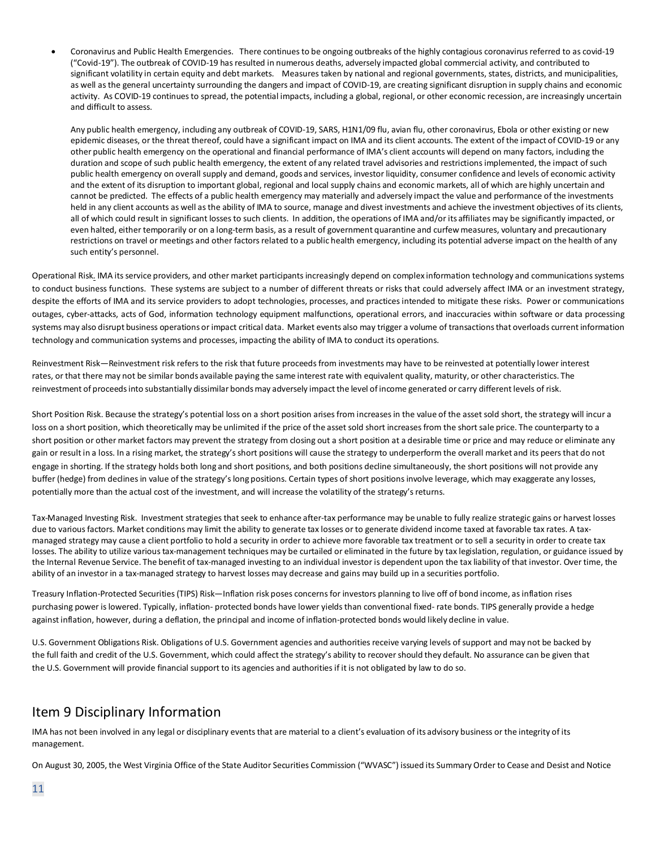• Coronavirus and Public Health Emergencies. There continues to be ongoing outbreaks of the highly contagious coronavirus referred to as covid-19 ("Covid-19"). The outbreak of COVID-19 has resulted in numerous deaths, adversely impacted global commercial activity, and contributed to significant volatility in certain equity and debt markets. Measures taken by national and regional governments, states, districts, and municipalities, as well as the general uncertainty surrounding the dangers and impact of COVID-19, are creating significant disruption in supply chains and economic activity. As COVID-19 continues to spread, the potential impacts, including a global, regional, or other economic recession, are increasingly uncertain and difficult to assess.

Any public health emergency, including any outbreak of COVID-19, SARS, H1N1/09 flu, avian flu, other coronavirus, Ebola or other existing or new epidemic diseases, or the threat thereof, could have a significant impact on IMA and its client accounts. The extent of the impact of COVID-19 or any other public health emergency on the operational and financial performance of IMA's client accounts will depend on many factors, including the duration and scope of such public health emergency, the extent of any related travel advisories and restrictions implemented, the impact of such public health emergency on overall supply and demand, goods and services, investor liquidity, consumer confidence and levels of economic activity and the extent of its disruption to important global, regional and local supply chains and economic markets, all of which are highly uncertain and cannot be predicted. The effects of a public health emergency may materially and adversely impact the value and performance of the investments held in any client accounts as well as the ability of IMA to source, manage and divest investments and achieve the investment objectives of its clients, all of which could result in significant losses to such clients. In addition, the operations of IMA and/or its affiliates may be significantly impacted, or even halted, either temporarily or on a long-term basis, as a result of government quarantine and curfew measures, voluntary and precautionary restrictions on travel or meetings and other factors related to a public health emergency, including its potential adverse impact on the health of any such entity's personnel.

Operational Risk*.* IMA its service providers, and other market participants increasingly depend on complex information technology and communications systems to conduct business functions. These systems are subject to a number of different threats or risks that could adversely affect IMA or an investment strategy, despite the efforts of IMA and its service providers to adopt technologies, processes, and practices intended to mitigate these risks. Power or communications outages, cyber-attacks, acts of God, information technology equipment malfunctions, operational errors, and inaccuracies within software or data processing systems may also disrupt business operations or impact critical data. Market events also may trigger a volume of transactions that overloads current information technology and communication systems and processes, impacting the ability of IMA to conduct its operations.

Reinvestment Risk—Reinvestment risk refers to the risk that future proceeds from investments may have to be reinvested at potentially lower interest rates, or that there may not be similar bonds available paying the same interest rate with equivalent quality, maturity, or other characteristics. The reinvestment of proceeds into substantially dissimilar bonds may adversely impact the level of income generated or carry different levels of risk.

Short Position Risk. Because the strategy's potential loss on a short position arises from increases in the value of the asset sold short, the strategy will incur a loss on a short position, which theoretically may be unlimited if the price of the asset sold short increases from the short sale price. The counterparty to a short position or other market factors may prevent the strategy from closing out a short position at a desirable time or price and may reduce or eliminate any gain or result in a loss. In a rising market, the strategy's short positions will cause the strategy to underperform the overall market and its peers that do not engage in shorting. If the strategy holds both long and short positions, and both positions decline simultaneously, the short positions will not provide any buffer (hedge) from declines in value of the strategy's long positions. Certain types of short positions involve leverage, which may exaggerate any losses, potentially more than the actual cost of the investment, and will increase the volatility of the strategy's returns.

Tax-Managed Investing Risk. Investment strategies that seek to enhance after-tax performance may be unable to fully realize strategic gains or harvest losses due to various factors. Market conditions may limit the ability to generate tax losses or to generate dividend income taxed at favorable tax rates. A taxmanaged strategy may cause a client portfolio to hold a security in order to achieve more favorable tax treatment or to sell a security in order to create tax losses. The ability to utilize various tax-management techniques may be curtailed or eliminated in the future by tax legislation, regulation, or guidance issued by the Internal Revenue Service. The benefit of tax-managed investing to an individual investor is dependent upon the tax liability of that investor. Over time, the ability of an investor in a tax-managed strategy to harvest losses may decrease and gains may build up in a securities portfolio.

Treasury Inflation-Protected Securities (TIPS) Risk—Inflation risk poses concerns for investors planning to live off of bond income, as inflation rises purchasing power is lowered. Typically, inflation- protected bonds have lower yields than conventional fixed- rate bonds. TIPS generally provide a hedge against inflation, however, during a deflation, the principal and income of inflation-protected bonds would likely decline in value.

<span id="page-10-0"></span>U.S. Government Obligations Risk. Obligations of U.S. Government agencies and authorities receive varying levels of support and may not be backed by the full faith and credit of the U.S. Government, which could affect the strategy's ability to recover should they default. No assurance can be given that the U.S. Government will provide financial support to its agencies and authorities if it is not obligated by law to do so.

# Item 9 Disciplinary Information

IMA has not been involved in any legal or disciplinary events that are material to a client's evaluation of its advisory business or the integrity of its management.

On August 30, 2005, the West Virginia Office of the State Auditor Securities Commission ("WVASC") issued its Summary Order to Cease and Desist and Notice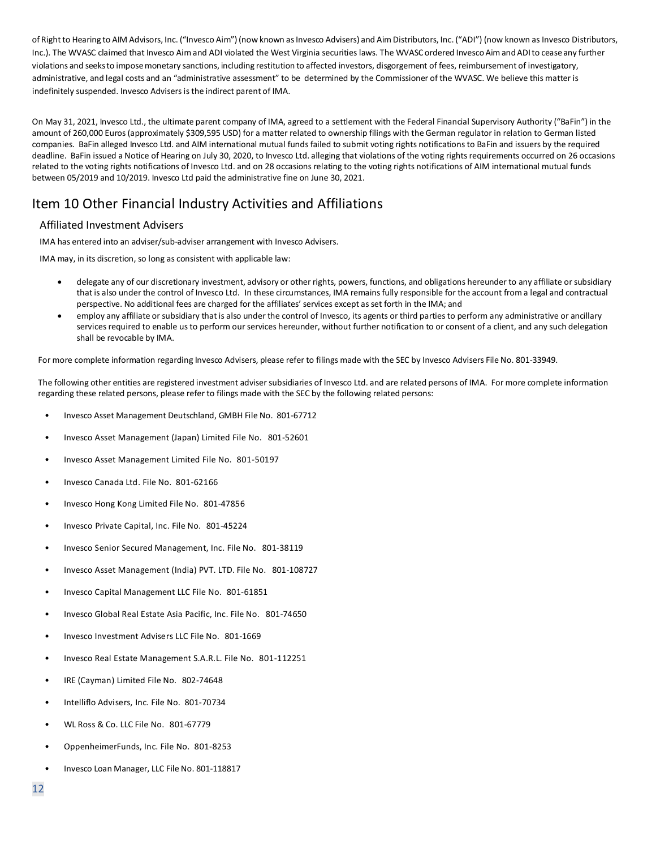of Right to Hearing to AIM Advisors, Inc. ("Invesco Aim") (now known as Invesco Advisers) and Aim Distributors, Inc. ("ADI") (now known as Invesco Distributors, Inc.). The WVASC claimed that Invesco Aim and ADI violated the West Virginia securities laws. The WVASC ordered Invesco Aim and ADI to cease any further violations and seeksto imposemonetary sanctions, including restitution to affected investors, disgorgement of fees, reimbursement of investigatory, administrative, and legal costs and an "administrative assessment" to be determined by the Commissioner of the WVASC. We believe this matter is indefinitely suspended. Invesco Advisers is the indirect parent of IMA.

<span id="page-11-0"></span>On May 31, 2021, Invesco Ltd., the ultimate parent company of IMA, agreed to a settlement with the Federal Financial Supervisory Authority ("BaFin") in the amount of 260,000 Euros (approximately \$309,595 USD) for a matter related to ownership filings with the German regulator in relation to German listed companies. BaFin alleged Invesco Ltd. and AIM international mutual funds failed to submit voting rights notifications to BaFin and issuers by the required deadline. BaFin issued a Notice of Hearing on July 30, 2020, to Invesco Ltd. alleging that violations of the voting rights requirements occurred on 26 occasions related to the voting rights notifications of Invesco Ltd. and on 28 occasions relating to the voting rights notifications of AIM international mutual funds between 05/2019 and 10/2019. Invesco Ltd paid the administrative fine on June 30, 2021.

# Item 10 Other Financial Industry Activities and Affiliations

# Affiliated Investment Advisers

IMA has entered into an adviser/sub-adviser arrangement with Invesco Advisers.

IMA may, in its discretion, so long as consistent with applicable law:

- delegate any of our discretionary investment, advisory or other rights, powers, functions, and obligations hereunder to any affiliate or subsidiary that is also under the control of Invesco Ltd. In these circumstances, IMA remains fully responsible for the account from a legal and contractual perspective. No additional fees are charged for the affiliates' services except as set forth in the IMA; and
- employ any affiliate or subsidiary that is also under the control of Invesco, its agents or third parties to perform any administrative or ancillary services required to enable us to perform our services hereunder, without further notification to or consent of a client, and any such delegation shall be revocable by IMA.

For more complete information regarding Invesco Advisers, please refer to filings made with the SEC by Invesco Advisers File No. 801-33949.

The following other entities are registered investment adviser subsidiaries of Invesco Ltd. and are related persons of IMA. For more complete information regarding these related persons, please refer to filings made with the SEC by the following related persons:

- Invesco Asset Management Deutschland, GMBH File No. 801-67712
- Invesco Asset Management (Japan) Limited File No. 801-52601
- Invesco Asset Management Limited File No. 801-50197
- Invesco Canada Ltd. File No. 801-62166
- Invesco Hong Kong Limited File No. 801-47856
- Invesco Private Capital, Inc. File No. 801-45224
- Invesco Senior Secured Management, Inc. File No. 801-38119
- Invesco Asset Management (India) PVT. LTD. File No. 801-108727
- Invesco Capital Management LLC File No. 801-61851
- Invesco Global Real Estate Asia Pacific, Inc. File No. 801-74650
- Invesco Investment Advisers LLC File No. 801-1669
- Invesco Real Estate Management S.A.R.L. File No. 801-112251
- IRE (Cayman) Limited File No. 802-74648
- Intelliflo Advisers, Inc. File No. 801-70734
- WL Ross & Co. LLC File No. 801-67779
- OppenheimerFunds, Inc. File No. 801-8253
- Invesco Loan Manager, LLC File No. 801-118817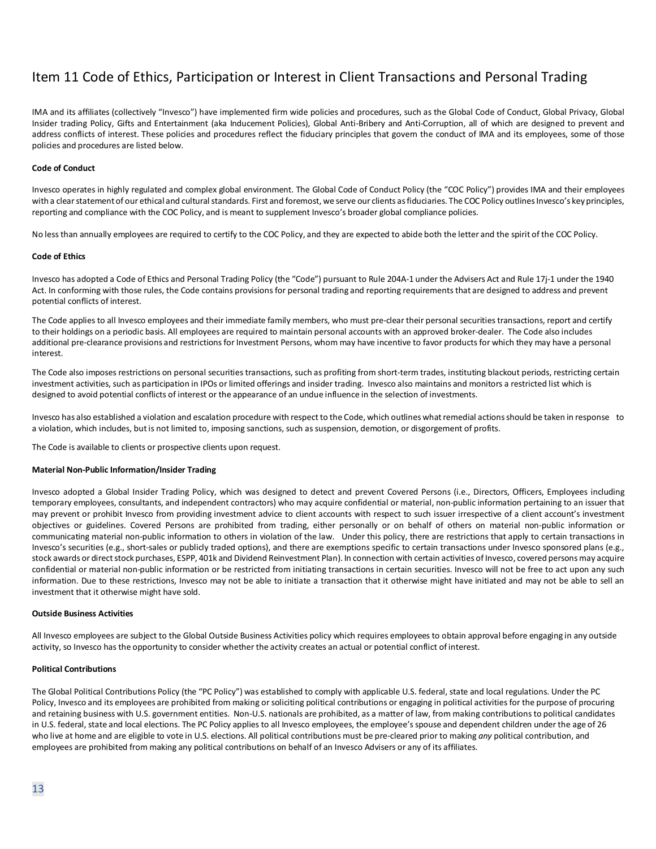# <span id="page-12-0"></span>Item 11 Code of Ethics, Participation or Interest in Client Transactions and Personal Trading

IMA and its affiliates (collectively "Invesco") have implemented firm wide policies and procedures, such as the Global Code of Conduct, Global Privacy, Global Insider trading Policy, Gifts and Entertainment (aka Inducement Policies), Global Anti-Bribery and Anti-Corruption, all of which are designed to prevent and address conflicts of interest. These policies and procedures reflect the fiduciary principles that govern the conduct of IMA and its employees, some of those policies and procedures are listed below.

#### **Code of Conduct**

Invesco operates in highly regulated and complex global environment. The Global Code of Conduct Policy (the "COC Policy") provides IMA and their employees with a clear statement of our ethical and cultural standards. First and foremost, we serve our clients as fiduciaries. The COC Policy outlines Invesco's key principles, reporting and compliance with the COC Policy, and is meant to supplement Invesco's broader global compliance policies.

No less than annually employees are required to certify to the COC Policy, and they are expected to abide both the letter and the spirit of the COC Policy.

#### **Code of Ethics**

Invesco has adopted a Code of Ethics and Personal Trading Policy (the "Code") pursuant to Rule 204A-1 under the Advisers Act and Rule 17j-1 under the 1940 Act. In conforming with those rules, the Code contains provisions for personal trading and reporting requirements that are designed to address and prevent potential conflicts of interest.

The Code applies to all Invesco employees and their immediate family members, who must pre-clear their personal securities transactions, report and certify to their holdings on a periodic basis. All employees are required to maintain personal accounts with an approved broker-dealer. The Code also includes additional pre-clearance provisions and restrictions for Investment Persons, whom may have incentive to favor products for which they may have a personal interest.

The Code also imposes restrictions on personal securities transactions, such as profiting from short-term trades, instituting blackout periods, restricting certain investment activities, such as participation in IPOs or limited offerings and insider trading. Invesco also maintains and monitors a restricted list which is designed to avoid potential conflicts of interest or the appearance of an undue influence in the selection of investments.

Invesco has also established a violation and escalation procedure with respect to the Code, which outlines what remedial actions should be taken in response to a violation, which includes, but is not limited to, imposing sanctions, such as suspension, demotion, or disgorgement of profits.

The Code is available to clients or prospective clients upon request.

#### **Material Non-Public Information/Insider Trading**

Invesco adopted a Global Insider Trading Policy, which was designed to detect and prevent Covered Persons (i.e., Directors, Officers, Employees including temporary employees, consultants, and independent contractors) who may acquire confidential or material, non-public information pertaining to an issuer that may prevent or prohibit Invesco from providing investment advice to client accounts with respect to such issuer irrespective of a client account's investment objectives or guidelines. Covered Persons are prohibited from trading, either personally or on behalf of others on material non-public information or communicating material non-public information to others in violation of the law. Under this policy, there are restrictions that apply to certain transactions in Invesco's securities (e.g., short-sales or publicly traded options), and there are exemptions specific to certain transactions under Invesco sponsored plans (e.g., stock awards or direct stock purchases, ESPP, 401k and Dividend Reinvestment Plan). In connection with certain activities of Invesco, covered persons may acquire confidential or material non-public information or be restricted from initiating transactions in certain securities. Invesco will not be free to act upon any such information. Due to these restrictions, Invesco may not be able to initiate a transaction that it otherwise might have initiated and may not be able to sell an investment that it otherwise might have sold.

#### **Outside Business Activities**

All Invesco employees are subject to the Global Outside Business Activities policy which requires employees to obtain approval before engaging in any outside activity, so Invesco has the opportunity to consider whether the activity creates an actual or potential conflict of interest.

#### **Political Contributions**

The Global Political Contributions Policy (the "PC Policy") was established to comply with applicable U.S. federal, state and local regulations. Under the PC Policy, Invesco and its employees are prohibited from making or soliciting political contributions or engaging in political activities for the purpose of procuring and retaining business with U.S. government entities. Non-U.S. nationals are prohibited, as a matter of law, from making contributions to political candidates in U.S. federal, state and local elections. The PC Policy applies to all Invesco employees, the employee's spouse and dependent children under the age of 26 who live at home and are eligible to vote in U.S. elections. All political contributions must be pre-cleared prior to making *any* political contribution, and employees are prohibited from making any political contributions on behalf of an Invesco Advisers or any of its affiliates.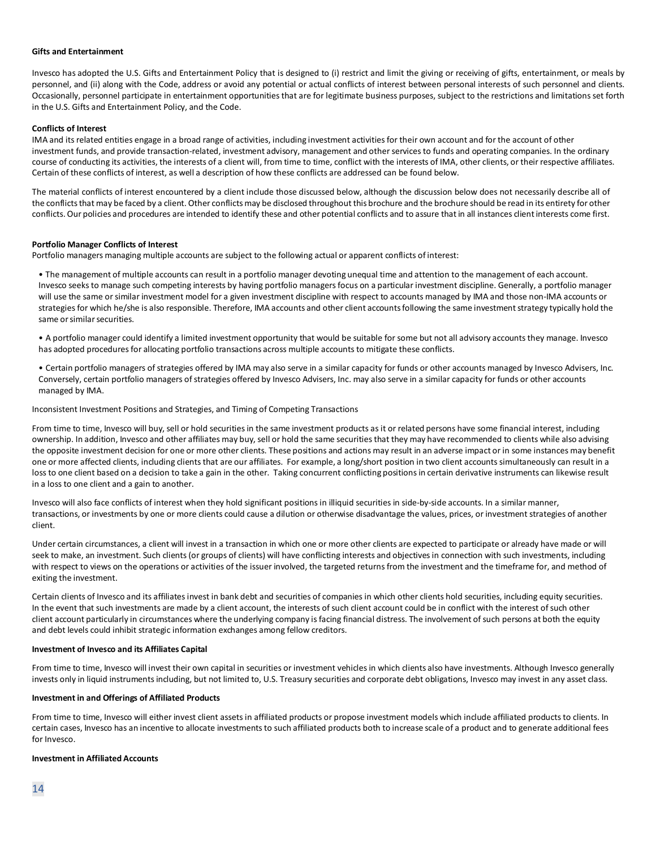#### **Gifts and Entertainment**

Invesco has adopted the U.S. Gifts and Entertainment Policy that is designed to (i) restrict and limit the giving or receiving of gifts, entertainment, or meals by personnel, and (ii) along with the Code, address or avoid any potential or actual conflicts of interest between personal interests of such personnel and clients. Occasionally, personnel participate in entertainment opportunities that are for legitimate business purposes, subject to the restrictions and limitations set forth in the U.S. Gifts and Entertainment Policy, and the Code.

#### **Conflicts of Interest**

IMA and its related entities engage in a broad range of activities, including investment activities for their own account and for the account of other investment funds, and provide transaction-related, investment advisory, management and other services to funds and operating companies. In the ordinary course of conducting its activities, the interests of a client will, from time to time, conflict with the interests of IMA, other clients, or their respective affiliates. Certain of these conflicts of interest, as well a description of how these conflicts are addressed can be found below.

The material conflicts of interest encountered by a client include those discussed below, although the discussion below does not necessarily describe all of the conflicts that may be faced by a client. Other conflicts may be disclosed throughout this brochure and the brochure should be read in its entirety for other conflicts. Our policies and procedures are intended to identify these and other potential conflicts and to assure that in all instances client interests come first.

#### **Portfolio Manager Conflicts of Interest**

Portfolio managers managing multiple accounts are subject to the following actual or apparent conflicts of interest:

• The management of multiple accounts can result in a portfolio manager devoting unequal time and attention to the management of each account. Invesco seeks to manage such competing interests by having portfolio managers focus on a particular investment discipline. Generally, a portfolio manager will use the same or similar investment model for a given investment discipline with respect to accounts managed by IMA and those non-IMA accounts or strategies for which he/she is also responsible. Therefore, IMA accounts and other client accounts following the same investment strategy typically hold the same or similar securities.

• A portfolio manager could identify a limited investment opportunity that would be suitable for some but not all advisory accounts they manage. Invesco has adopted procedures for allocating portfolio transactions across multiple accounts to mitigate these conflicts.

• Certain portfolio managers of strategies offered by IMA may also serve in a similar capacity for funds or other accounts managed by Invesco Advisers, Inc. Conversely, certain portfolio managers of strategies offered by Invesco Advisers, Inc. may also serve in a similar capacity for funds or other accounts managed by IMA.

Inconsistent Investment Positions and Strategies, and Timing of Competing Transactions

From time to time, Invesco will buy, sell or hold securities in the same investment products as it or related persons have some financial interest, including ownership. In addition, Invesco and other affiliates may buy, sell or hold the same securities that they may have recommended to clients while also advising the opposite investment decision for one or more other clients. These positions and actions may result in an adverse impact or in some instances may benefit one or more affected clients, including clients that are our affiliates. For example, a long/short position in two client accounts simultaneously can result in a loss to one client based on a decision to take a gain in the other. Taking concurrent conflicting positions in certain derivative instruments can likewise result in a loss to one client and a gain to another.

Invesco will also face conflicts of interest when they hold significant positions in illiquid securities in side-by-side accounts. In a similar manner, transactions, or investments by one or more clients could cause a dilution or otherwise disadvantage the values, prices, or investment strategies of another client.

Under certain circumstances, a client will invest in a transaction in which one or more other clients are expected to participate or already have made or will seek to make, an investment. Such clients (or groups of clients) will have conflicting interests and objectives in connection with such investments, including with respect to views on the operations or activities of the issuer involved, the targeted returns from the investment and the timeframe for, and method of exiting the investment.

Certain clients of Invesco and its affiliates invest in bank debt and securities of companies in which other clients hold securities, including equity securities. In the event that such investments are made by a client account, the interests of such client account could be in conflict with the interest of such other client account particularly in circumstances where the underlying company is facing financial distress. The involvement of such persons at both the equity and debt levels could inhibit strategic information exchanges among fellow creditors.

#### **Investment of Invesco and its Affiliates Capital**

From time to time, Invesco will invest their own capital in securities or investment vehicles in which clients also have investments. Although Invesco generally invests only in liquid instruments including, but not limited to, U.S. Treasury securities and corporate debt obligations, Invesco may invest in any asset class.

#### **Investment in and Offerings of Affiliated Products**

From time to time, Invesco will either invest client assets in affiliated products or propose investment models which include affiliated products to clients. In certain cases, Invesco has an incentive to allocate investments to such affiliated products both to increase scale of a product and to generate additional fees for Invesco.

#### **Investment in Affiliated Accounts**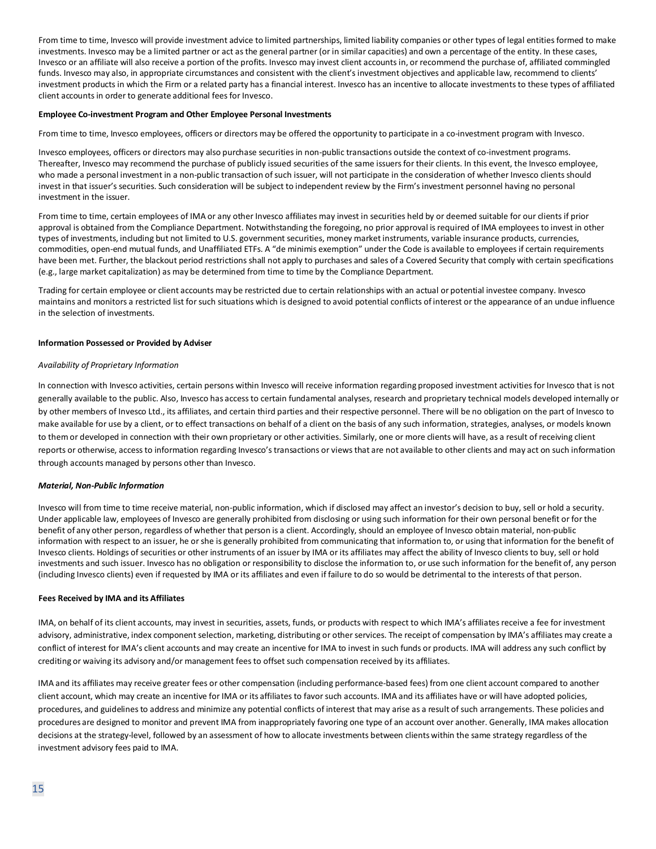From time to time, Invesco will provide investment advice to limited partnerships, limited liability companies or other types of legal entities formed to make investments. Invesco may be a limited partner or act as the general partner (or in similar capacities) and own a percentage of the entity. In these cases, Invesco or an affiliate will also receive a portion of the profits. Invesco may invest client accounts in, or recommend the purchase of, affiliated commingled funds. Invesco may also, in appropriate circumstances and consistent with the client's investment objectives and applicable law, recommend to clients' investment products in which the Firm or a related party has a financial interest. Invesco has an incentive to allocate investments to these types of affiliated client accounts in order to generate additional fees for Invesco.

#### **Employee Co-investment Program and Other Employee Personal Investments**

From time to time, Invesco employees, officers or directors may be offered the opportunity to participate in a co-investment program with Invesco.

Invesco employees, officers or directors may also purchase securities in non-public transactions outside the context of co-investment programs. Thereafter, Invesco may recommend the purchase of publicly issued securities of the same issuers for their clients. In this event, the Invesco employee, who made a personal investment in a non-public transaction of such issuer, will not participate in the consideration of whether Invesco clients should invest in that issuer's securities. Such consideration will be subject to independent review by the Firm's investment personnel having no personal investment in the issuer.

From time to time, certain employees of IMA or any other Invesco affiliates may invest in securities held by or deemed suitable for our clients if prior approval is obtained from the Compliance Department. Notwithstanding the foregoing, no prior approval is required of IMA employees to invest in other types of investments, including but not limited to U.S. government securities, money market instruments, variable insurance products, currencies, commodities, open-end mutual funds, and Unaffiliated ETFs. A "de minimis exemption" under the Code is available to employees if certain requirements have been met. Further, the blackout period restrictions shall not apply to purchases and sales of a Covered Security that comply with certain specifications (e.g., large market capitalization) as may be determined from time to time by the Compliance Department.

Trading for certain employee or client accounts may be restricted due to certain relationships with an actual or potential investee company. Invesco maintains and monitors a restricted list for such situations which is designed to avoid potential conflicts of interest or the appearance of an undue influence in the selection of investments.

#### **Information Possessed or Provided by Adviser**

#### *Availability of Proprietary Information*

In connection with Invesco activities, certain persons within Invesco will receive information regarding proposed investment activities for Invesco that is not generally available to the public. Also, Invesco has access to certain fundamental analyses, research and proprietary technical models developed internally or by other members of Invesco Ltd., its affiliates, and certain third parties and their respective personnel. There will be no obligation on the part of Invesco to make available for use by a client, or to effect transactions on behalf of a client on the basis of any such information, strategies, analyses, or models known to them or developed in connection with their own proprietary or other activities. Similarly, one or more clients will have, as a result of receiving client reports or otherwise, access to information regarding Invesco's transactions or views that are not available to other clients and may act on such information through accounts managed by persons other than Invesco.

#### *Material, Non-Public Information*

Invesco will from time to time receive material, non-public information, which if disclosed may affect an investor's decision to buy, sell or hold a security. Under applicable law, employees of Invesco are generally prohibited from disclosing or using such information for their own personal benefit or for the benefit of any other person, regardless of whether that person is a client. Accordingly, should an employee of Invesco obtain material, non-public information with respect to an issuer, he or she is generally prohibited from communicating that information to, or using that information for the benefit of Invesco clients. Holdings of securities or other instruments of an issuer by IMA or its affiliates may affect the ability of Invesco clients to buy, sell or hold investments and such issuer. Invesco has no obligation or responsibility to disclose the information to, or use such information for the benefit of, any person (including Invesco clients) even if requested by IMA or its affiliates and even if failure to do so would be detrimental to the interests of that person.

#### **Fees Received by IMA and its Affiliates**

IMA, on behalf of its client accounts, may invest in securities, assets, funds, or products with respect to which IMA's affiliates receive a fee for investment advisory, administrative, index component selection, marketing, distributing or other services. The receipt of compensation by IMA's affiliates may create a conflict of interest for IMA's client accounts and may create an incentive for IMA to invest in such funds or products. IMA will address any such conflict by crediting or waiving its advisory and/or management fees to offset such compensation received by its affiliates.

IMA and its affiliates may receive greater fees or other compensation (including performance-based fees) from one client account compared to another client account, which may create an incentive for IMA or its affiliates to favor such accounts. IMA and its affiliates have or will have adopted policies, procedures, and guidelines to address and minimize any potential conflicts of interest that may arise as a result of such arrangements. These policies and procedures are designed to monitor and prevent IMA from inappropriately favoring one type of an account over another. Generally, IMA makes allocation decisions at the strategy-level, followed by an assessment of how to allocate investments between clients within the same strategy regardless of the investment advisory fees paid to IMA.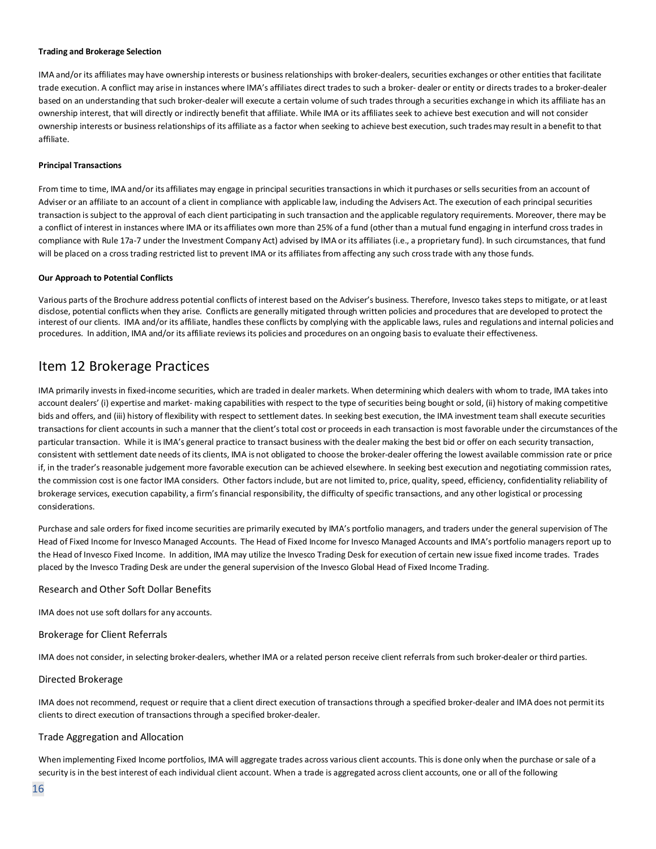#### **Trading and Brokerage Selection**

IMA and/or its affiliates may have ownership interests or business relationships with broker-dealers, securities exchanges or other entities that facilitate trade execution. A conflict may arise in instances where IMA's affiliates direct trades to such a broker- dealer or entity or directs trades to a broker-dealer based on an understanding that such broker-dealer will execute a certain volume of such trades through a securities exchange in which its affiliate has an ownership interest, that will directly or indirectly benefit that affiliate. While IMA or its affiliates seek to achieve best execution and will not consider ownership interests or business relationships of its affiliate as a factor when seeking to achieve best execution,such tradesmay resultin a benefitto that affiliate.

#### **Principal Transactions**

From time to time, IMA and/or its affiliates may engage in principal securities transactions in which it purchases or sells securities from an account of Adviser or an affiliate to an account of a client in compliance with applicable law, including the Advisers Act. The execution of each principal securities transaction is subject to the approval of each client participating in such transaction and the applicable regulatory requirements. Moreover, there may be a conflict of interest in instances where IMA or its affiliates own more than 25% of a fund (other than a mutual fund engaging in interfund cross trades in compliance with Rule 17a-7 under the Investment Company Act) advised by IMA or its affiliates (i.e., a proprietary fund). In such circumstances, that fund will be placed on a cross trading restricted list to prevent IMA or its affiliates from affecting any such cross trade with any those funds.

#### <span id="page-15-0"></span>**Our Approach to Potential Conflicts**

Various parts of the Brochure address potential conflicts of interest based on the Adviser's business. Therefore, Invesco takes steps to mitigate, or at least disclose, potential conflicts when they arise. Conflicts are generally mitigated through written policies and procedures that are developed to protect the interest of our clients. IMA and/or its affiliate, handles these conflicts by complying with the applicable laws, rules and regulations and internal policies and procedures. In addition, IMA and/or its affiliate reviews its policies and procedures on an ongoing basis to evaluate their effectiveness.

# Item 12 Brokerage Practices

IMA primarily invests in fixed-income securities, which are traded in dealer markets. When determining which dealers with whom to trade, IMA takes into account dealers' (i) expertise and market- making capabilities with respect to the type of securities being bought or sold, (ii) history of making competitive bids and offers, and (iii) history of flexibility with respect to settlement dates. In seeking best execution, the IMA investment team shall execute securities transactions for client accounts in such a manner that the client's total cost or proceeds in each transaction is most favorable under the circumstances of the particular transaction. While it isIMA's general practice to transact business with the dealer making the best bid or offer on each security transaction, consistent with settlement date needs of its clients, IMA is not obligated to choose the broker-dealer offering the lowest available commission rate or price if, in the trader's reasonable judgement more favorable execution can be achieved elsewhere. In seeking best execution and negotiating commission rates, the commission cost is one factor IMA considers. Other factors include, but are not limited to, price, quality, speed, efficiency, confidentiality reliability of brokerage services, execution capability, a firm's financial responsibility, the difficulty of specific transactions, and any other logistical or processing considerations.

Purchase and sale orders for fixed income securities are primarily executed by IMA's portfolio managers, and traders under the general supervision of The Head of Fixed Income for Invesco Managed Accounts. The Head of Fixed Income for Invesco Managed Accounts and IMA's portfolio managers report up to the Head of Invesco Fixed Income. In addition, IMA may utilize the Invesco Trading Desk for execution of certain new issue fixed income trades. Trades placed by the Invesco Trading Desk are under the general supervision of the Invesco Global Head of Fixed Income Trading.

#### Research and Other Soft Dollar Benefits

IMA does not use soft dollars for any accounts.

#### Brokerage for Client Referrals

IMA does not consider, in selecting broker-dealers, whether IMA or a related person receive client referrals from such broker-dealer or third parties.

#### Directed Brokerage

IMA does not recommend, request or require that a client direct execution of transactions through a specified broker-dealer and IMA does not permit its clients to direct execution of transactions through a specified broker-dealer.

#### Trade Aggregation and Allocation

When implementing Fixed Income portfolios, IMA will aggregate trades across various client accounts. This is done only when the purchase or sale of a security is in the best interest of each individual client account. When a trade is aggregated across client accounts, one or all of the following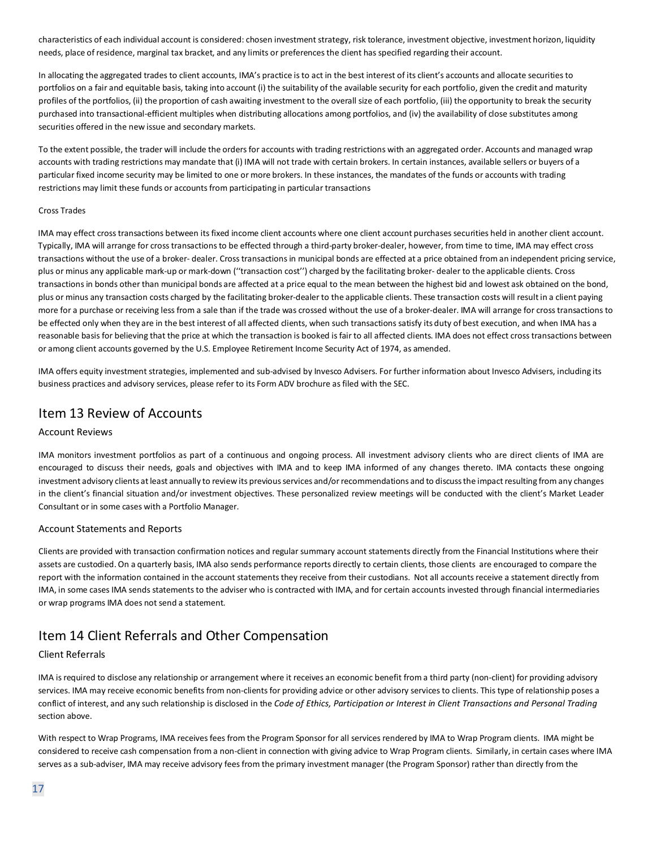characteristics of each individual account is considered: chosen investment strategy, risk tolerance, investment objective, investment horizon, liquidity needs, place of residence, marginal tax bracket, and any limits or preferences the client has specified regarding their account.

In allocating the aggregated trades to client accounts, IMA's practice is to act in the best interest of its client's accounts and allocate securities to portfolios on a fair and equitable basis, taking into account (i) the suitability of the available security for each portfolio, given the credit and maturity profiles of the portfolios, (ii) the proportion of cash awaiting investment to the overall size of each portfolio, (iii) the opportunity to break the security purchased into transactional-efficient multiples when distributing allocations among portfolios, and (iv) the availability of close substitutes among securities offered in the new issue and secondary markets.

To the extent possible, the trader will include the orders for accounts with trading restrictions with an aggregated order. Accounts and managed wrap accounts with trading restrictions may mandate that (i) IMA will not trade with certain brokers. In certain instances, available sellers or buyers of a particular fixed income security may be limited to one or more brokers. In these instances, the mandates of the funds or accounts with trading restrictions may limit these funds or accounts from participating in particular transactions

#### Cross Trades

IMA may effect cross transactions between its fixed income client accounts where one client account purchases securities held in another client account. Typically, IMA will arrange for cross transactions to be effected through a third-party broker-dealer, however, from time to time, IMA may effect cross transactions without the use of a broker- dealer. Cross transactions in municipal bonds are effected at a price obtained from an independent pricing service, plus or minus any applicable mark-up or mark-down (''transaction cost'') charged by the facilitating broker- dealer to the applicable clients. Cross transactions in bonds other than municipal bonds are affected at a price equal to the mean between the highest bid and lowest ask obtained on the bond, plus or minus any transaction costs charged by the facilitating broker-dealer to the applicable clients. These transaction costs will result in a client paying more for a purchase or receiving less from a sale than if the trade was crossed without the use of a broker-dealer. IMA will arrange for cross transactions to be effected only when they are in the best interest of all affected clients, when such transactions satisfy its duty of best execution, and when IMA has a reasonable basis for believing that the price at which the transaction is booked is fair to all affected clients. IMA does not effect cross transactions between or among client accounts governed by the U.S. Employee Retirement Income Security Act of 1974, as amended.

IMA offers equity investment strategies, implemented and sub-advised by Invesco Advisers. For further information about Invesco Advisers, including its business practices and advisory services, please refer to its Form ADV brochure as filed with the SEC.

# <span id="page-16-0"></span>Item 13 Review of Accounts

# Account Reviews

IMA monitors investment portfolios as part of a continuous and ongoing process. All investment advisory clients who are direct clients of IMA are encouraged to discuss their needs, goals and objectives with IMA and to keep IMA informed of any changes thereto. IMA contacts these ongoing investment advisory clients at least annually to review its previous services and/or recommendations and to discuss the impact resulting from any changes in the client's financial situation and/or investment objectives. These personalized review meetings will be conducted with the client's Market Leader Consultant or in some cases with a Portfolio Manager.

# Account Statements and Reports

Clients are provided with transaction confirmation notices and regular summary account statements directly from the Financial Institutions where their assets are custodied. On a quarterly basis, IMA also sends performance reports directly to certain clients, those clients are encouraged to compare the report with the information contained in the account statements they receive from their custodians. Not all accounts receive a statement directly from IMA, in some cases IMA sends statements to the adviser who is contracted with IMA, and for certain accounts invested through financial intermediaries or wrap programs IMA does not send a statement.

# Item 14 Client Referrals and Other Compensation

# Client Referrals

IMA is required to disclose any relationship or arrangement where it receives an economic benefit from a third party (non-client) for providing advisory services. IMA may receive economic benefits from non-clients for providing advice or other advisory services to clients. This type of relationship poses a conflict of interest, and any such relationship is disclosed in the *Code of Ethics, Participation or Interest in Client Transactions and Personal Trading* section above.

With respect to Wrap Programs, IMA receives fees from the Program Sponsor for all services rendered by IMA to Wrap Program clients. IMA might be considered to receive cash compensation from a non-client in connection with giving advice to Wrap Program clients. Similarly, in certain cases where IMA serves as a sub-adviser, IMA may receive advisory fees from the primary investment manager (the Program Sponsor) rather than directly from the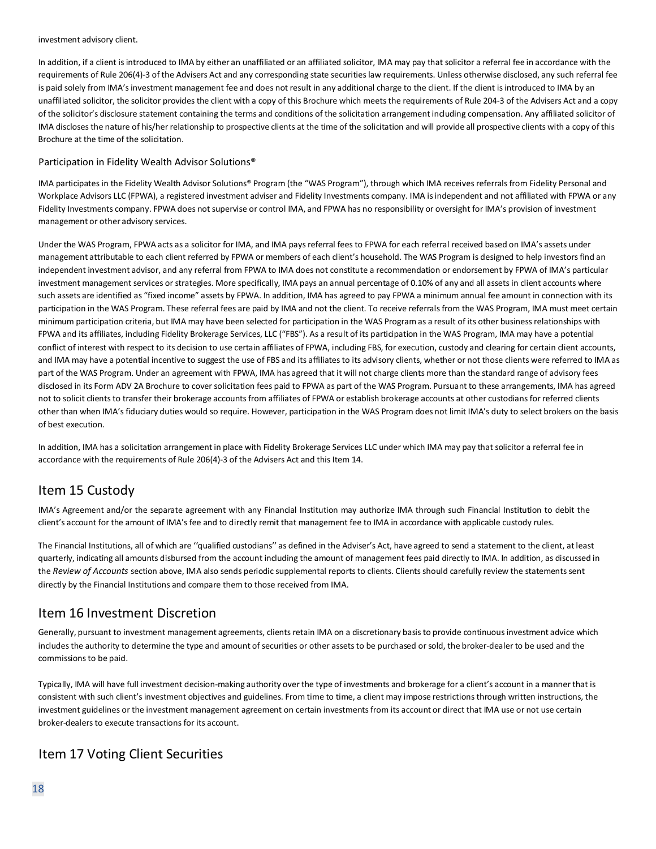#### investment advisory client.

In addition, if a client is introduced to IMA by either an unaffiliated or an affiliated solicitor, IMA may pay that solicitor a referral fee in accordance with the requirements of Rule 206(4)-3 of the Advisers Act and any corresponding state securities law requirements. Unless otherwise disclosed, any such referral fee is paid solely from IMA's investment management fee and does not result in any additional charge to the client. If the client is introduced to IMA by an unaffiliated solicitor, the solicitor provides the client with a copy of this Brochure which meets the requirements of Rule 204-3 of the Advisers Act and a copy of the solicitor's disclosure statement containing the terms and conditions of the solicitation arrangement including compensation. Any affiliated solicitor of IMA discloses the nature of his/her relationship to prospective clients at the time of the solicitation and will provide all prospective clients with a copy of this Brochure at the time of the solicitation.

# Participation in Fidelity Wealth Advisor Solutions®

IMA participates in the Fidelity Wealth Advisor Solutions® Program (the "WAS Program"), through which IMA receives referrals from Fidelity Personal and Workplace Advisors LLC (FPWA), a registered investment adviser and Fidelity Investments company. IMA is independent and not affiliated with FPWA or any Fidelity Investments company. FPWA does not supervise or control IMA, and FPWA has no responsibility or oversight for IMA's provision of investment management or other advisory services.

Under the WAS Program, FPWA acts as a solicitor for IMA, and IMA pays referral fees to FPWA for each referral received based on IMA's assets under management attributable to each client referred by FPWA or members of each client's household. The WAS Program is designed to help investors find an independent investment advisor, and any referral from FPWA to IMA does not constitute a recommendation or endorsement by FPWA of IMA's particular investment management services or strategies. More specifically, IMA pays an annual percentage of 0.10% of any and all assets in client accounts where such assets are identified as "fixed income" assets by FPWA. In addition, IMA has agreed to pay FPWA a minimum annual fee amount in connection with its participation in the WAS Program. These referral fees are paid by IMA and not the client. To receive referrals from the WAS Program, IMA must meet certain minimum participation criteria, but IMA may have been selected for participation in the WAS Program as a result of its other business relationships with FPWA and its affiliates, including Fidelity Brokerage Services, LLC ("FBS"). As a result of its participation in the WAS Program, IMA may have a potential conflict of interest with respect to its decision to use certain affiliates of FPWA, including FBS, for execution, custody and clearing for certain client accounts, and IMA may have a potential incentive to suggest the use of FBS and its affiliates to its advisory clients, whether or not those clients were referred to IMA as part of the WAS Program. Under an agreement with FPWA, IMA has agreed that it will not charge clients more than the standard range of advisory fees disclosed in its Form ADV 2A Brochure to cover solicitation fees paid to FPWA as part of the WAS Program. Pursuant to these arrangements, IMA has agreed not to solicit clients to transfer their brokerage accounts from affiliates of FPWA or establish brokerage accounts at other custodians for referred clients other than when IMA's fiduciary duties would so require. However, participation in the WAS Program does not limit IMA's duty to select brokers on the basis of best execution.

In addition, IMA has a solicitation arrangement in place with Fidelity Brokerage Services LLC under which IMA may pay that solicitor a referral fee in accordance with the requirements of Rule 206(4)-3 of the Advisers Act and this Item 14.

# <span id="page-17-0"></span>Item 15 Custody

IMA's Agreement and/or the separate agreement with any Financial Institution may authorize IMA through such Financial Institution to debit the client's account for the amount of IMA's fee and to directly remit that management fee to IMA in accordance with applicable custody rules.

The Financial Institutions, all of which are ''qualified custodians'' as defined in the Adviser's Act, have agreed to send a statement to the client, at least quarterly, indicating all amounts disbursed from the account including the amount of management fees paid directly to IMA. In addition, as discussed in the *Review of Accounts* section above, IMA also sends periodic supplemental reports to clients. Clients should carefully review the statements sent directly by the Financial Institutions and compare them to those received from IMA.

# <span id="page-17-1"></span>Item 16 Investment Discretion

Generally, pursuant to investment management agreements, clients retain IMA on a discretionary basis to provide continuous investment advice which includes the authority to determine the type and amount of securities or other assets to be purchased or sold, the broker-dealer to be used and the commissions to be paid.

Typically, IMA will have full investment decision-making authority over the type of investments and brokerage for a client's account in a manner that is consistent with such client's investment objectives and guidelines. From time to time, a client may impose restrictions through written instructions, the investment guidelines or the investment management agreement on certain investments from its account or direct that IMA use or not use certain broker-dealers to execute transactions for its account.

# Item 17 Voting Client Securities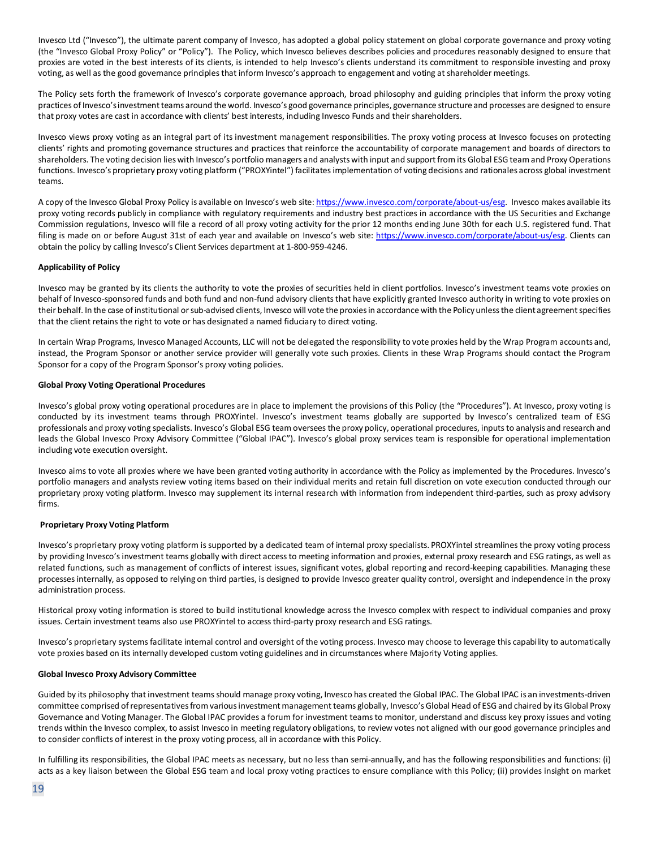Invesco Ltd ("Invesco"), the ultimate parent company of Invesco, has adopted a global policy statement on global corporate governance and proxy voting (the "Invesco Global Proxy Policy" or "Policy"). The Policy, which Invesco believes describes policies and procedures reasonably designed to ensure that proxies are voted in the best interests of its clients, is intended to help Invesco's clients understand its commitment to responsible investing and proxy voting, as well as the good governance principles that inform Invesco's approach to engagement and voting at shareholder meetings.

The Policy sets forth the framework of Invesco's corporate governance approach, broad philosophy and guiding principles that inform the proxy voting practices of Invesco's investment teams around the world. Invesco's good governance principles, governance structure and processes are designed to ensure that proxy votes are cast in accordance with clients' best interests, including Invesco Funds and their shareholders.

Invesco views proxy voting as an integral part of its investment management responsibilities. The proxy voting process at Invesco focuses on protecting clients' rights and promoting governance structures and practices that reinforce the accountability of corporate management and boards of directors to shareholders. The voting decision lies with Invesco's portfolio managers and analysts with input and support from its Global ESG team and Proxy Operations functions. Invesco's proprietary proxy voting platform ("PROXYintel") facilitates implementation of voting decisions and rationales across global investment teams.

A copy of the Invesco Global Proxy Policy is available on Invesco's web site[: https://www.invesco.com/corporate/about-us/esg.](https://www.invesco.com/corporate/about-us/esg) Invesco makes available its proxy voting records publicly in compliance with regulatory requirements and industry best practices in accordance with the US Securities and Exchange Commission regulations, Invesco will file a record of all proxy voting activity for the prior 12 months ending June 30th for each U.S. registered fund. That filing is made on or before August 31st of each year and available on Invesco's web site: [https://www.invesco.com/corporate/about-us/esg.](https://www.invesco.com/corporate/about-us/esg) Clients can obtain the policy by calling Invesco's Client Services department at 1-800-959-4246.

#### **Applicability of Policy**

Invesco may be granted by its clients the authority to vote the proxies of securities held in client portfolios. Invesco's investment teams vote proxies on behalf of Invesco-sponsored funds and both fund and non-fund advisory clients that have explicitly granted Invesco authority in writing to vote proxies on their behalf. In the case of institutional or sub-advised clients, Invesco will vote the proxies in accordance with the Policy unless the client agreement specifies that the client retains the right to vote or has designated a named fiduciary to direct voting.

In certain Wrap Programs, Invesco Managed Accounts, LLC will not be delegated the responsibility to vote proxies held by the Wrap Program accounts and, instead, the Program Sponsor or another service provider will generally vote such proxies. Clients in these Wrap Programs should contact the Program Sponsor for a copy of the Program Sponsor's proxy voting policies.

#### **Global Proxy Voting Operational Procedures**

Invesco's global proxy voting operational procedures are in place to implement the provisions of this Policy (the "Procedures"). At Invesco, proxy voting is conducted by its investment teams through PROXYintel. Invesco's investment teams globally are supported by Invesco's centralized team of ESG professionals and proxy voting specialists. Invesco's Global ESG team oversees the proxy policy, operational procedures, inputs to analysis and research and leads the Global Invesco Proxy Advisory Committee ("Global IPAC"). Invesco's global proxy services team is responsible for operational implementation including vote execution oversight.

Invesco aims to vote all proxies where we have been granted voting authority in accordance with the Policy as implemented by the Procedures. Invesco's portfolio managers and analysts review voting items based on their individual merits and retain full discretion on vote execution conducted through our proprietary proxy voting platform. Invesco may supplement its internal research with information from independent third-parties, such as proxy advisory firms.

#### **Proprietary Proxy Voting Platform**

Invesco's proprietary proxy voting platform is supported by a dedicated team of internal proxy specialists. PROXYintel streamlines the proxy voting process by providing Invesco's investment teams globally with direct access to meeting information and proxies, external proxy research and ESG ratings, as well as related functions, such as management of conflicts of interest issues, significant votes, global reporting and record-keeping capabilities. Managing these processes internally, as opposed to relying on third parties, is designed to provide Invesco greater quality control, oversight and independence in the proxy administration process.

Historical proxy voting information is stored to build institutional knowledge across the Invesco complex with respect to individual companies and proxy issues. Certain investment teams also use PROXYintel to access third-party proxy research and ESG ratings.

Invesco's proprietary systems facilitate internal control and oversight of the voting process. Invesco may choose to leverage this capability to automatically vote proxies based on its internally developed custom voting guidelines and in circumstances where Majority Voting applies.

#### **Global Invesco Proxy Advisory Committee**

Guided by its philosophy that investment teams should manage proxy voting, Invesco has created the Global IPAC. The Global IPAC is an investments-driven committee comprised of representatives from various investment management teams globally, Invesco's Global Head of ESG and chaired by its Global Proxy Governance and Voting Manager. The Global IPAC provides a forum for investment teams to monitor, understand and discuss key proxy issues and voting trends within the Invesco complex, to assist Invesco in meeting regulatory obligations, to review votes not aligned with our good governance principles and to consider conflicts of interest in the proxy voting process, all in accordance with this Policy.

In fulfilling its responsibilities, the Global IPAC meets as necessary, but no less than semi-annually, and has the following responsibilities and functions: (i) acts as a key liaison between the Global ESG team and local proxy voting practices to ensure compliance with this Policy; (ii) provides insight on market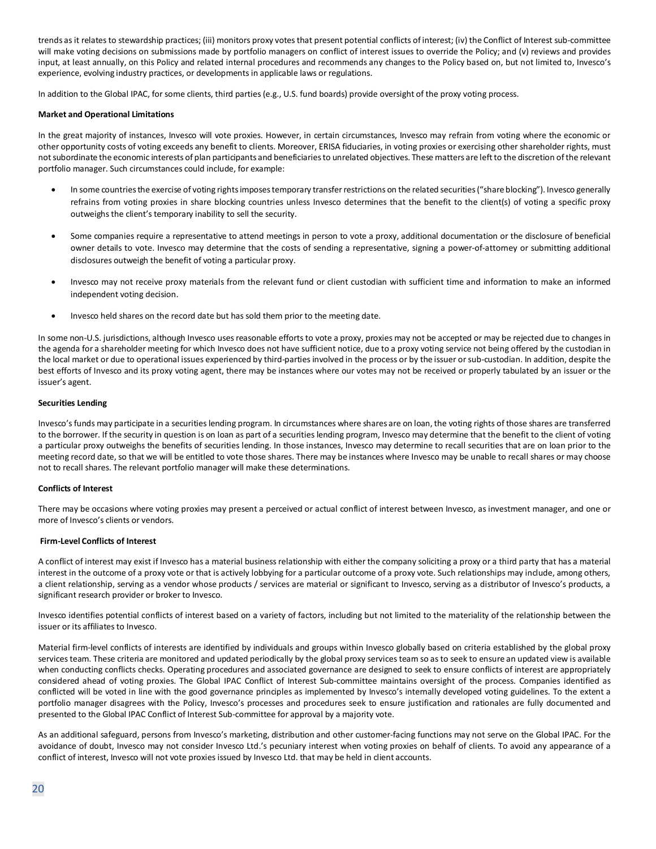trends as it relates to stewardship practices; (iii) monitors proxy votes that present potential conflicts of interest; (iv) the Conflict of Interest sub-committee will make voting decisions on submissions made by portfolio managers on conflict of interest issues to override the Policy; and (v) reviews and provides input, at least annually, on this Policy and related internal procedures and recommends any changes to the Policy based on, but not limited to, Invesco's experience, evolving industry practices, or developments in applicable laws or regulations.

In addition to the Global IPAC, for some clients, third parties (e.g., U.S. fund boards) provide oversight of the proxy voting process.

#### **Market and Operational Limitations**

In the great majority of instances, Invesco will vote proxies. However, in certain circumstances, Invesco may refrain from voting where the economic or other opportunity costs of voting exceeds any benefit to clients. Moreover, ERISA fiduciaries, in voting proxies or exercising other shareholder rights, must not subordinate the economic interests of plan participants and beneficiaries to unrelated objectives. These matters are left to the discretion of the relevant portfolio manager. Such circumstances could include, for example:

- In some countries the exercise of voting rights imposes temporary transfer restrictions on the related securities ("share blocking"). Invesco generally refrains from voting proxies in share blocking countries unless Invesco determines that the benefit to the client(s) of voting a specific proxy outweighs the client's temporary inability to sell the security.
- Some companies require a representative to attend meetings in person to vote a proxy, additional documentation or the disclosure of beneficial owner details to vote. Invesco may determine that the costs of sending a representative, signing a power-of-attorney or submitting additional disclosures outweigh the benefit of voting a particular proxy.
- Invesco may not receive proxy materials from the relevant fund or client custodian with sufficient time and information to make an informed independent voting decision.
- Invesco held shares on the record date but has sold them prior to the meeting date.

In some non-U.S. jurisdictions, although Invesco uses reasonable efforts to vote a proxy, proxies may not be accepted or may be rejected due to changes in the agenda for a shareholder meeting for which Invesco does not have sufficient notice, due to a proxy voting service not being offered by the custodian in the local market or due to operational issues experienced by third-parties involved in the process or by the issuer or sub-custodian. In addition, despite the best efforts of Invesco and its proxy voting agent, there may be instances where our votes may not be received or properly tabulated by an issuer or the issuer's agent.

#### **Securities Lending**

Invesco's funds may participate in a securities lending program. In circumstances where shares are on loan, the voting rights of those shares are transferred to the borrower. If the security in question is on loan as part of a securities lending program, Invesco may determine that the benefit to the client of voting a particular proxy outweighs the benefits of securities lending. In those instances, Invesco may determine to recall securities that are on loan prior to the meeting record date, so that we will be entitled to vote those shares. There may be instances where Invesco may be unable to recall shares or may choose not to recall shares. The relevant portfolio manager will make these determinations.

#### **Conflicts of Interest**

There may be occasions where voting proxies may present a perceived or actual conflict of interest between Invesco, as investment manager, and one or more of Invesco's clients or vendors.

#### **Firm-Level Conflicts of Interest**

A conflict of interest may exist if Invesco has a material business relationship with either the company soliciting a proxy or a third party that has a material interest in the outcome of a proxy vote or that is actively lobbying for a particular outcome of a proxy vote. Such relationships may include, among others, a client relationship, serving as a vendor whose products / services are material or significant to Invesco, serving as a distributor of Invesco's products, a significant research provider or broker to Invesco.

Invesco identifies potential conflicts of interest based on a variety of factors, including but not limited to the materiality of the relationship between the issuer or its affiliates to Invesco.

Material firm-level conflicts of interests are identified by individuals and groups within Invesco globally based on criteria established by the global proxy services team. These criteria are monitored and updated periodically by the global proxy services team so as to seek to ensure an updated view is available when conducting conflicts checks. Operating procedures and associated governance are designed to seek to ensure conflicts of interest are appropriately considered ahead of voting proxies. The Global IPAC Conflict of Interest Sub-committee maintains oversight of the process. Companies identified as conflicted will be voted in line with the good governance principles as implemented by Invesco's internally developed voting guidelines. To the extent a portfolio manager disagrees with the Policy, Invesco's processes and procedures seek to ensure justification and rationales are fully documented and presented to the Global IPAC Conflict of Interest Sub-committee for approval by a majority vote.

As an additional safeguard, persons from Invesco's marketing, distribution and other customer-facing functions may not serve on the Global IPAC. For the avoidance of doubt, Invesco may not consider Invesco Ltd.'s pecuniary interest when voting proxies on behalf of clients. To avoid any appearance of a conflict of interest, Invesco will not vote proxies issued by Invesco Ltd. that may be held in client accounts.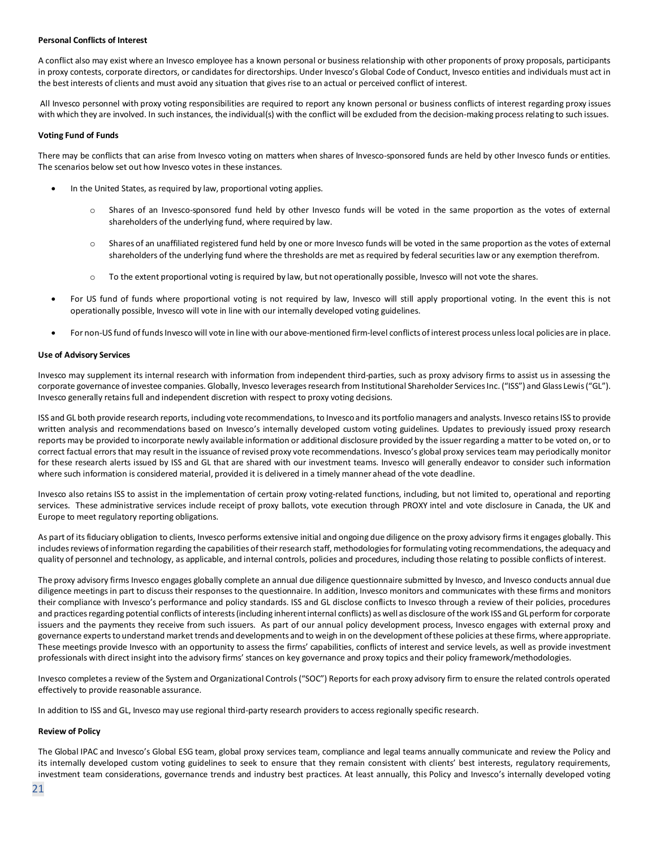#### **Personal Conflicts of Interest**

A conflict also may exist where an Invesco employee has a known personal or business relationship with other proponents of proxy proposals, participants in proxy contests, corporate directors, or candidates for directorships. Under Invesco's Global Code of Conduct, Invesco entities and individuals must act in the best interests of clients and must avoid any situation that gives rise to an actual or perceived conflict of interest.

All Invesco personnel with proxy voting responsibilities are required to report any known personal or business conflicts of interest regarding proxy issues with which they are involved. In such instances, the individual(s) with the conflict will be excluded from the decision-making process relating to such issues.

#### **Voting Fund of Funds**

There may be conflicts that can arise from Invesco voting on matters when shares of Invesco-sponsored funds are held by other Invesco funds or entities. The scenarios below set out how Invesco votes in these instances.

- In the United States, as required by law, proportional voting applies.
	- o Shares of an Invesco-sponsored fund held by other Invesco funds will be voted in the same proportion as the votes of external shareholders of the underlying fund, where required by law.
	- o Shares of an unaffiliated registered fund held by one or more Invesco funds will be voted in the same proportion as the votes of external shareholders of the underlying fund where the thresholds are met as required by federal securities law or any exemption therefrom.
	- o To the extent proportional voting is required by law, but not operationally possible, Invesco will not vote the shares.
- For US fund of funds where proportional voting is not required by law, Invesco will still apply proportional voting. In the event this is not operationally possible, Invesco will vote in line with our internally developed voting guidelines.
- For non-US fund of funds Invesco will vote in line with our above-mentioned firm-level conflicts of interest process unless local policies are in place.

#### **Use of Advisory Services**

Invesco may supplement its internal research with information from independent third-parties, such as proxy advisory firms to assist us in assessing the corporate governance of investee companies. Globally, Invesco leverages research from Institutional Shareholder Services Inc. ("ISS") and Glass Lewis ("GL"). Invesco generally retains full and independent discretion with respect to proxy voting decisions.

ISS and GL both provide research reports, including vote recommendations, to Invesco and its portfolio managers and analysts. Invesco retains ISS to provide written analysis and recommendations based on Invesco's internally developed custom voting guidelines. Updates to previously issued proxy research reports may be provided to incorporate newly available information or additional disclosure provided by the issuer regarding a matter to be voted on, or to correct factual errors that may result in the issuance of revised proxy vote recommendations. Invesco's global proxy services team may periodically monitor for these research alerts issued by ISS and GL that are shared with our investment teams. Invesco will generally endeavor to consider such information where such information is considered material, provided it is delivered in a timely manner ahead of the vote deadline.

Invesco also retains ISS to assist in the implementation of certain proxy voting-related functions, including, but not limited to, operational and reporting services. These administrative services include receipt of proxy ballots, vote execution through PROXY intel and vote disclosure in Canada, the UK and Europe to meet regulatory reporting obligations.

As part of its fiduciary obligation to clients, Invesco performs extensive initial and ongoing due diligence on the proxy advisory firms it engages globally. This includes reviews of information regarding the capabilities of their research staff, methodologies for formulating voting recommendations, the adequacy and quality of personnel and technology, as applicable, and internal controls, policies and procedures, including those relating to possible conflicts of interest.

The proxy advisory firms Invesco engages globally complete an annual due diligence questionnaire submitted by Invesco, and Invesco conducts annual due diligence meetings in part to discuss their responses to the questionnaire. In addition, Invesco monitors and communicates with these firms and monitors their compliance with Invesco's performance and policy standards. ISS and GL disclose conflicts to Invesco through a review of their policies, procedures and practices regarding potential conflicts of interests (including inherent internal conflicts) as well as disclosure of the work ISS and GL perform for corporate issuers and the payments they receive from such issuers. As part of our annual policy development process, Invesco engages with external proxy and governance experts to understand market trends and developments and to weigh in on the development of these policies at these firms, where appropriate. These meetings provide Invesco with an opportunity to assess the firms' capabilities, conflicts of interest and service levels, as well as provide investment professionals with direct insight into the advisory firms' stances on key governance and proxy topics and their policy framework/methodologies.

Invesco completes a review of the System and Organizational Controls ("SOC") Reports for each proxy advisory firm to ensure the related controls operated effectively to provide reasonable assurance.

In addition to ISS and GL, Invesco may use regional third-party research providers to access regionally specific research.

# **Review of Policy**

The Global IPAC and Invesco's Global ESG team, global proxy services team, compliance and legal teams annually communicate and review the Policy and its internally developed custom voting guidelines to seek to ensure that they remain consistent with clients' best interests, regulatory requirements, investment team considerations, governance trends and industry best practices. At least annually, this Policy and Invesco's internally developed voting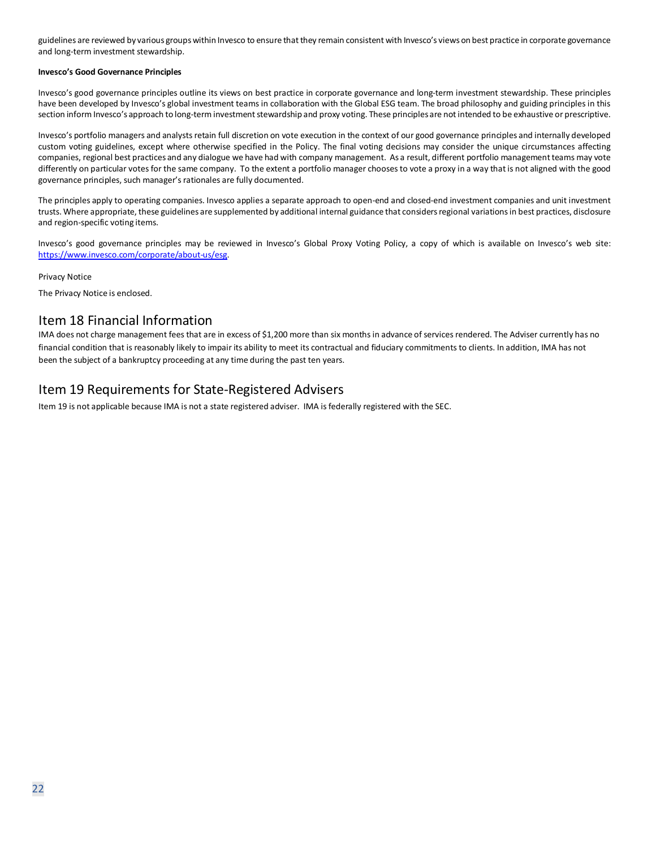guidelines are reviewed by various groups within Invesco to ensure that they remain consistent with Invesco's views on best practice in corporate governance and long-term investment stewardship.

#### **Invesco's Good Governance Principles**

Invesco's good governance principles outline its views on best practice in corporate governance and long-term investment stewardship. These principles have been developed by Invesco's global investment teams in collaboration with the Global ESG team. The broad philosophy and guiding principles in this section inform Invesco's approach to long-term investment stewardship and proxy voting. These principles are not intended to be exhaustive or prescriptive.

Invesco's portfolio managers and analysts retain full discretion on vote execution in the context of our good governance principles and internally developed custom voting guidelines, except where otherwise specified in the Policy. The final voting decisions may consider the unique circumstances affecting companies, regional best practices and any dialogue we have had with company management. As a result, different portfolio management teams may vote differently on particular votes for the same company. To the extent a portfolio manager chooses to vote a proxy in a way that is not aligned with the good governance principles, such manager's rationales are fully documented.

The principles apply to operating companies. Invesco applies a separate approach to open-end and closed-end investment companies and unit investment trusts. Where appropriate, these guidelines are supplemented by additional internal guidance that considers regional variations in best practices, disclosure and region-specific voting items.

Invesco's good governance principles may be reviewed in Invesco's Global Proxy Voting Policy, a copy of which is available on Invesco's web site: [https://www.invesco.com/corporate/about-us/esg.](https://www.invesco.com/corporate/about-us/esg)

Privacy Notice

The Privacy Notice is enclosed.

# <span id="page-21-0"></span>Item 18 Financial Information

IMA does not charge management fees that are in excess of \$1,200 more than six months in advance of services rendered. The Adviser currently has no financial condition that isreasonably likely to impair its ability to meet its contractual and fiduciary commitments to clients. In addition, IMA has not been the subject of a bankruptcy proceeding at any time during the past ten years.

# Item 19 Requirements for State-Registered Advisers

Item 19 is not applicable because IMA is not a state registered adviser. IMA is federally registered with the SEC.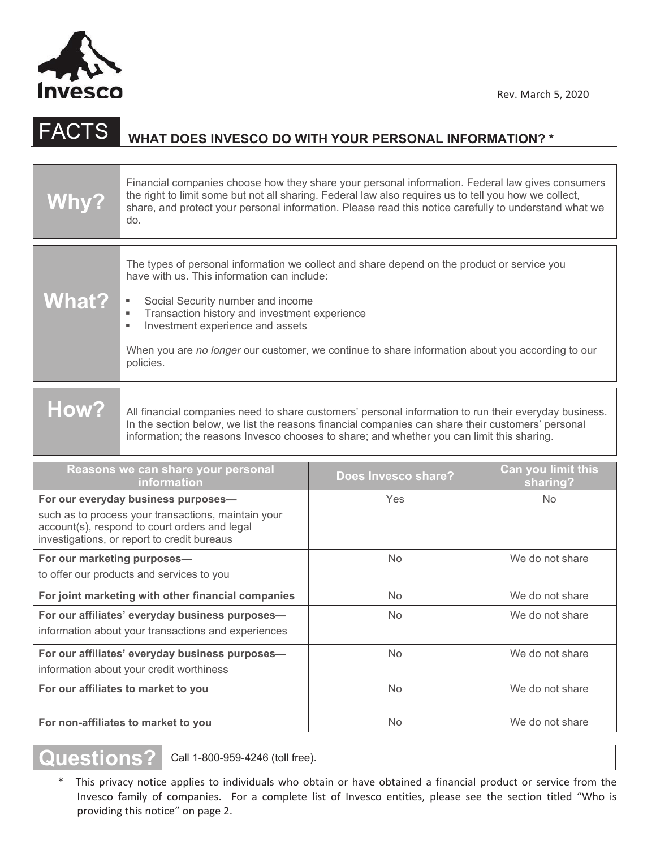

# FACTS **WHAT DOES INVESCO DO WITH YOUR PERSONAL INFORMATION? \***

| <b>Why?</b>                                                                                                                                                                                | Financial companies choose how they share your personal information. Federal law gives consumers<br>the right to limit some but not all sharing. Federal law also requires us to tell you how we collect,<br>share, and protect your personal information. Please read this notice carefully to understand what we<br>do.                                                                       |                     |                                       |  |  |
|--------------------------------------------------------------------------------------------------------------------------------------------------------------------------------------------|-------------------------------------------------------------------------------------------------------------------------------------------------------------------------------------------------------------------------------------------------------------------------------------------------------------------------------------------------------------------------------------------------|---------------------|---------------------------------------|--|--|
| <b>What?</b>                                                                                                                                                                               | The types of personal information we collect and share depend on the product or service you<br>have with us. This information can include:<br>Social Security number and income<br>Transaction history and investment experience<br>٠<br>Investment experience and assets<br>٠<br>When you are no longer our customer, we continue to share information about you according to our<br>policies. |                     |                                       |  |  |
| <b>How?</b>                                                                                                                                                                                | All financial companies need to share customers' personal information to run their everyday business.<br>In the section below, we list the reasons financial companies can share their customers' personal<br>information; the reasons Invesco chooses to share; and whether you can limit this sharing.                                                                                        |                     |                                       |  |  |
|                                                                                                                                                                                            | Reasons we can share your personal<br>information                                                                                                                                                                                                                                                                                                                                               | Does Invesco share? | <b>Can you limit this</b><br>sharing? |  |  |
| For our everyday business purposes-<br>such as to process your transactions, maintain your<br>account(s), respond to court orders and legal<br>investigations, or report to credit bureaus |                                                                                                                                                                                                                                                                                                                                                                                                 | Yes                 | <b>No</b>                             |  |  |
| For our marketing purposes-<br>to offer our products and services to you                                                                                                                   |                                                                                                                                                                                                                                                                                                                                                                                                 | <b>No</b>           | We do not share                       |  |  |
| For joint marketing with other financial companies                                                                                                                                         |                                                                                                                                                                                                                                                                                                                                                                                                 | <b>No</b>           | We do not share                       |  |  |
| For our affiliates' everyday business purposes-<br>information about your transactions and experiences                                                                                     |                                                                                                                                                                                                                                                                                                                                                                                                 | No                  | We do not share                       |  |  |
| For our affiliates' everyday business purposes-<br>information about your credit worthiness                                                                                                |                                                                                                                                                                                                                                                                                                                                                                                                 | No                  | We do not share                       |  |  |
| For our affiliates to market to you                                                                                                                                                        |                                                                                                                                                                                                                                                                                                                                                                                                 | No                  | We do not share                       |  |  |
|                                                                                                                                                                                            |                                                                                                                                                                                                                                                                                                                                                                                                 |                     |                                       |  |  |

**Questions?** Call 1-800-959-4246 (toll free).

\*This privacy notice applies to individuals who obtain or have obtained a financial product or service from the Invesco family of companies. For a complete list of Invesco entities, please see the section titled "Who is providing this notice" on page 2.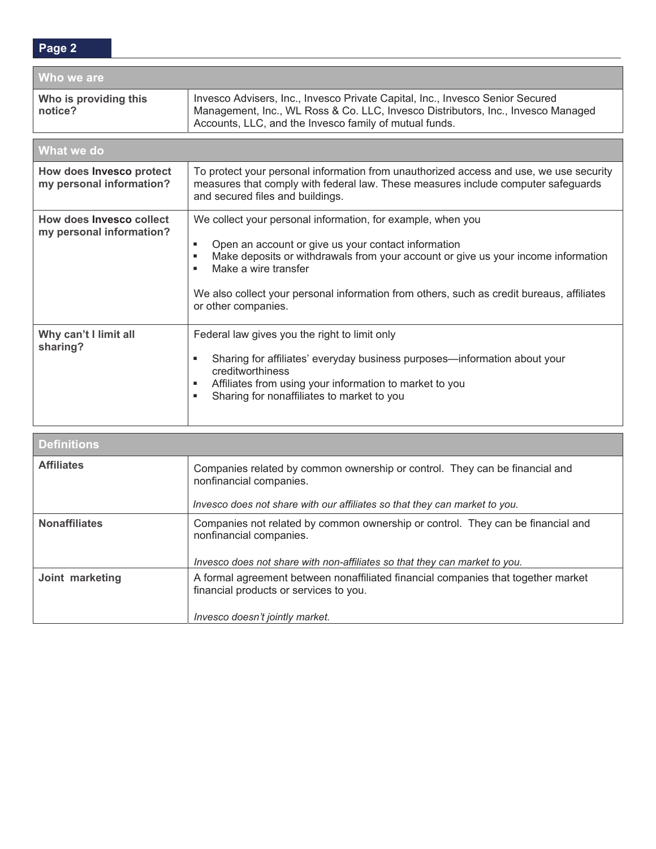| Who we are                                           |                                                                                                                                                                                                                                                                                                                                                                    |  |  |  |
|------------------------------------------------------|--------------------------------------------------------------------------------------------------------------------------------------------------------------------------------------------------------------------------------------------------------------------------------------------------------------------------------------------------------------------|--|--|--|
| Who is providing this<br>notice?                     | Invesco Advisers, Inc., Invesco Private Capital, Inc., Invesco Senior Secured<br>Management, Inc., WL Ross & Co. LLC, Invesco Distributors, Inc., Invesco Managed<br>Accounts, LLC, and the Invesco family of mutual funds.                                                                                                                                        |  |  |  |
| What we do                                           |                                                                                                                                                                                                                                                                                                                                                                    |  |  |  |
| How does Invesco protect<br>my personal information? | To protect your personal information from unauthorized access and use, we use security<br>measures that comply with federal law. These measures include computer safeguards<br>and secured files and buildings.                                                                                                                                                    |  |  |  |
| How does Invesco collect<br>my personal information? | We collect your personal information, for example, when you<br>Open an account or give us your contact information<br>٠<br>Make deposits or withdrawals from your account or give us your income information<br>٠<br>Make a wire transfer<br>٠<br>We also collect your personal information from others, such as credit bureaus, affiliates<br>or other companies. |  |  |  |
| Why can't I limit all<br>sharing?                    | Federal law gives you the right to limit only<br>Sharing for affiliates' everyday business purposes—information about your<br>٠<br>creditworthiness<br>Affiliates from using your information to market to you<br>٠<br>Sharing for nonaffiliates to market to you<br>٠                                                                                             |  |  |  |
| <b>Definitions</b>                                   |                                                                                                                                                                                                                                                                                                                                                                    |  |  |  |
| <b>Affiliates</b>                                    | Companies related by common ownership or control. They can be financial and<br>nonfinancial companies.                                                                                                                                                                                                                                                             |  |  |  |

*Invesco does not share with our affiliates so that they can market to you.* 

*Invesco does not share with non-affiliates so that they can market to you.* 

Nonaffiliates **Companies not related by common ownership or control.** They can be financial and

**Joint marketing** A formal agreement between nonaffiliated financial companies that together market

financial products or services to you.

*Invesco doesn't jointly market.*

nonfinancial companies.

**Page 2**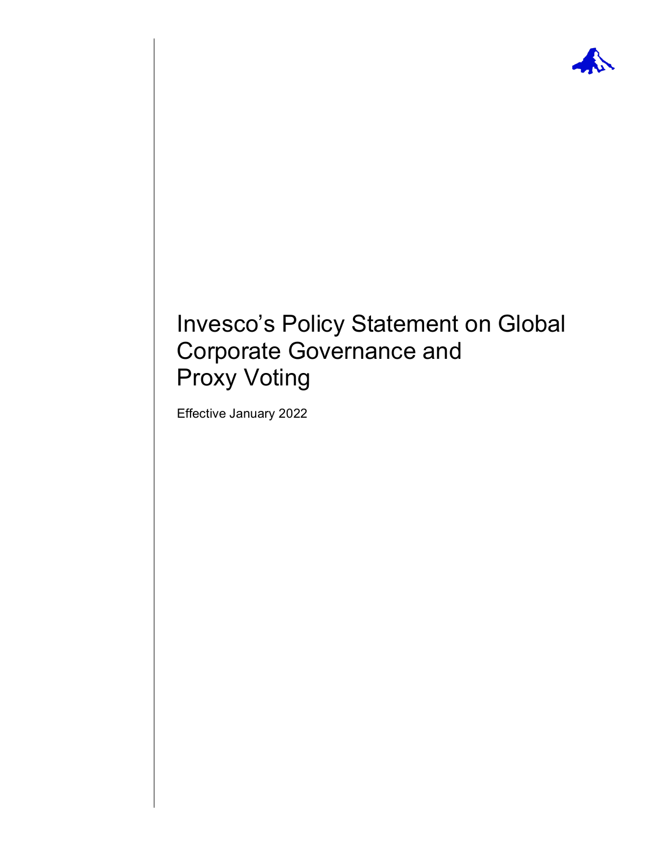

# Invesco's Policy Statement on Global Corporate Governance and Proxy Voting

Effective January 2022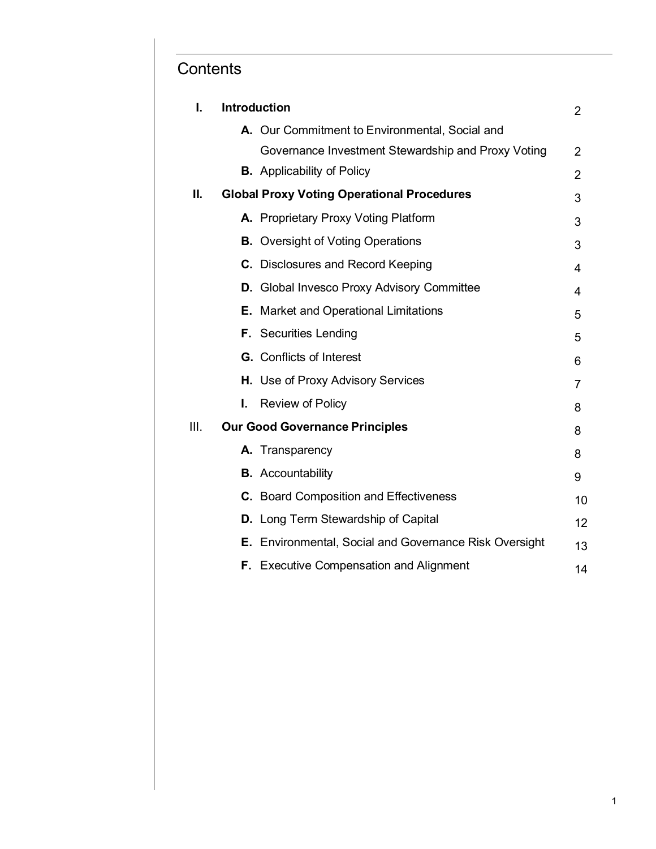# **Contents**

| <b>Introduction</b><br>I.                     |                                                    |                                                                                                                                                                                                                                                                                                                                                                                                                                                                                                                                                                                                                                                                                                                                   |  |  |
|-----------------------------------------------|----------------------------------------------------|-----------------------------------------------------------------------------------------------------------------------------------------------------------------------------------------------------------------------------------------------------------------------------------------------------------------------------------------------------------------------------------------------------------------------------------------------------------------------------------------------------------------------------------------------------------------------------------------------------------------------------------------------------------------------------------------------------------------------------------|--|--|
|                                               |                                                    |                                                                                                                                                                                                                                                                                                                                                                                                                                                                                                                                                                                                                                                                                                                                   |  |  |
|                                               | Governance Investment Stewardship and Proxy Voting | $\overline{2}$                                                                                                                                                                                                                                                                                                                                                                                                                                                                                                                                                                                                                                                                                                                    |  |  |
|                                               |                                                    | $\overline{2}$                                                                                                                                                                                                                                                                                                                                                                                                                                                                                                                                                                                                                                                                                                                    |  |  |
|                                               |                                                    | 3                                                                                                                                                                                                                                                                                                                                                                                                                                                                                                                                                                                                                                                                                                                                 |  |  |
|                                               |                                                    | 3                                                                                                                                                                                                                                                                                                                                                                                                                                                                                                                                                                                                                                                                                                                                 |  |  |
|                                               |                                                    | 3                                                                                                                                                                                                                                                                                                                                                                                                                                                                                                                                                                                                                                                                                                                                 |  |  |
|                                               |                                                    | 4                                                                                                                                                                                                                                                                                                                                                                                                                                                                                                                                                                                                                                                                                                                                 |  |  |
|                                               |                                                    | 4                                                                                                                                                                                                                                                                                                                                                                                                                                                                                                                                                                                                                                                                                                                                 |  |  |
|                                               |                                                    | 5                                                                                                                                                                                                                                                                                                                                                                                                                                                                                                                                                                                                                                                                                                                                 |  |  |
|                                               |                                                    | 5                                                                                                                                                                                                                                                                                                                                                                                                                                                                                                                                                                                                                                                                                                                                 |  |  |
|                                               |                                                    | 6                                                                                                                                                                                                                                                                                                                                                                                                                                                                                                                                                                                                                                                                                                                                 |  |  |
|                                               |                                                    | 7                                                                                                                                                                                                                                                                                                                                                                                                                                                                                                                                                                                                                                                                                                                                 |  |  |
| I.                                            | <b>Review of Policy</b>                            | 8                                                                                                                                                                                                                                                                                                                                                                                                                                                                                                                                                                                                                                                                                                                                 |  |  |
| III.<br><b>Our Good Governance Principles</b> |                                                    |                                                                                                                                                                                                                                                                                                                                                                                                                                                                                                                                                                                                                                                                                                                                   |  |  |
|                                               |                                                    | 8                                                                                                                                                                                                                                                                                                                                                                                                                                                                                                                                                                                                                                                                                                                                 |  |  |
|                                               |                                                    | 9                                                                                                                                                                                                                                                                                                                                                                                                                                                                                                                                                                                                                                                                                                                                 |  |  |
|                                               |                                                    | 10                                                                                                                                                                                                                                                                                                                                                                                                                                                                                                                                                                                                                                                                                                                                |  |  |
|                                               |                                                    | 12                                                                                                                                                                                                                                                                                                                                                                                                                                                                                                                                                                                                                                                                                                                                |  |  |
|                                               |                                                    | 13                                                                                                                                                                                                                                                                                                                                                                                                                                                                                                                                                                                                                                                                                                                                |  |  |
|                                               |                                                    | 14                                                                                                                                                                                                                                                                                                                                                                                                                                                                                                                                                                                                                                                                                                                                |  |  |
|                                               |                                                    | A. Our Commitment to Environmental, Social and<br><b>B.</b> Applicability of Policy<br><b>Global Proxy Voting Operational Procedures</b><br>A. Proprietary Proxy Voting Platform<br><b>B.</b> Oversight of Voting Operations<br>C. Disclosures and Record Keeping<br>D. Global Invesco Proxy Advisory Committee<br><b>E.</b> Market and Operational Limitations<br><b>F.</b> Securities Lending<br><b>G.</b> Conflicts of Interest<br>H. Use of Proxy Advisory Services<br>A. Transparency<br><b>B.</b> Accountability<br>C. Board Composition and Effectiveness<br><b>D.</b> Long Term Stewardship of Capital<br><b>E.</b> Environmental, Social and Governance Risk Oversight<br><b>F.</b> Executive Compensation and Alignment |  |  |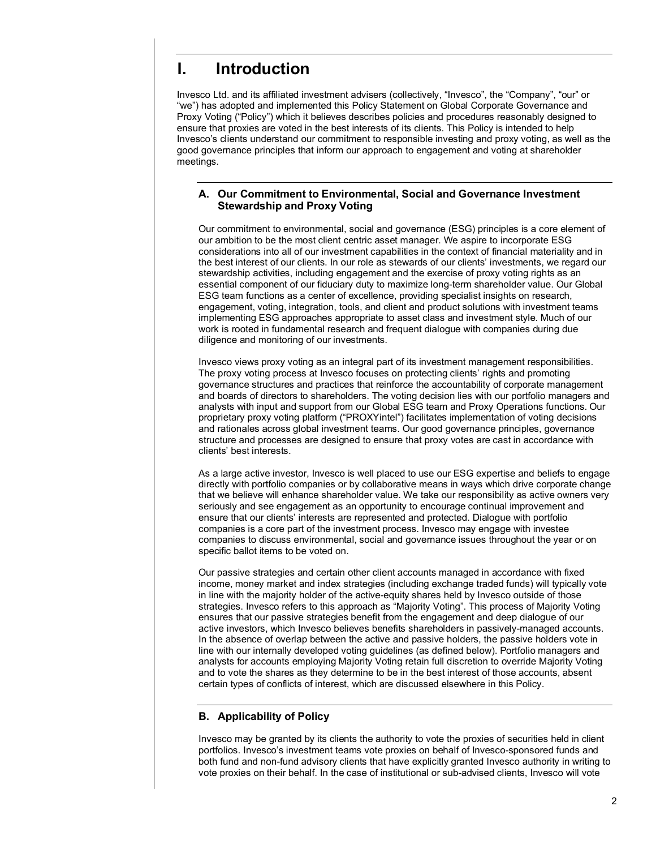# **I. Introduction**

Invesco Ltd. and its affiliated investment advisers (collectively, "Invesco", the "Company", "our" or "we") has adopted and implemented this Policy Statement on Global Corporate Governance and Proxy Voting ("Policy") which it believes describes policies and procedures reasonably designed to ensure that proxies are voted in the best interests of its clients. This Policy is intended to help Invesco's clients understand our commitment to responsible investing and proxy voting, as well as the good governance principles that inform our approach to engagement and voting at shareholder meetings.

# **A. Our Commitment to Environmental, Social and Governance Investment Stewardship and Proxy Voting**

Our commitment to environmental, social and governance (ESG) principles is a core element of our ambition to be the most client centric asset manager. We aspire to incorporate ESG considerations into all of our investment capabilities in the context of financial materiality and in the best interest of our clients. In our role as stewards of our clients' investments, we regard our stewardship activities, including engagement and the exercise of proxy voting rights as an essential component of our fiduciary duty to maximize long-term shareholder value. Our Global ESG team functions as a center of excellence, providing specialist insights on research, engagement, voting, integration, tools, and client and product solutions with investment teams implementing ESG approaches appropriate to asset class and investment style. Much of our work is rooted in fundamental research and frequent dialogue with companies during due diligence and monitoring of our investments.

Invesco views proxy voting as an integral part of its investment management responsibilities. The proxy voting process at Invesco focuses on protecting clients' rights and promoting governance structures and practices that reinforce the accountability of corporate management and boards of directors to shareholders. The voting decision lies with our portfolio managers and analysts with input and support from our Global ESG team and Proxy Operations functions. Our proprietary proxy voting platform ("PROXYintel") facilitates implementation of voting decisions and rationales across global investment teams. Our good governance principles, governance structure and processes are designed to ensure that proxy votes are cast in accordance with clients' best interests.

As a large active investor, Invesco is well placed to use our ESG expertise and beliefs to engage directly with portfolio companies or by collaborative means in ways which drive corporate change that we believe will enhance shareholder value. We take our responsibility as active owners very seriously and see engagement as an opportunity to encourage continual improvement and ensure that our clients' interests are represented and protected. Dialogue with portfolio companies is a core part of the investment process. Invesco may engage with investee companies to discuss environmental, social and governance issues throughout the year or on specific ballot items to be voted on.

Our passive strategies and certain other client accounts managed in accordance with fixed income, money market and index strategies (including exchange traded funds) will typically vote in line with the majority holder of the active-equity shares held by Invesco outside of those strategies. Invesco refers to this approach as "Majority Voting". This process of Majority Voting ensures that our passive strategies benefit from the engagement and deep dialogue of our active investors, which Invesco believes benefits shareholders in passively-managed accounts. In the absence of overlap between the active and passive holders, the passive holders vote in line with our internally developed voting guidelines (as defined below). Portfolio managers and analysts for accounts employing Majority Voting retain full discretion to override Majority Voting and to vote the shares as they determine to be in the best interest of those accounts, absent certain types of conflicts of interest, which are discussed elsewhere in this Policy.

# **B. Applicability of Policy**

Invesco may be granted by its clients the authority to vote the proxies of securities held in client portfolios. Invesco's investment teams vote proxies on behalf of Invesco-sponsored funds and both fund and non-fund advisory clients that have explicitly granted Invesco authority in writing to vote proxies on their behalf. In the case of institutional or sub-advised clients, Invesco will vote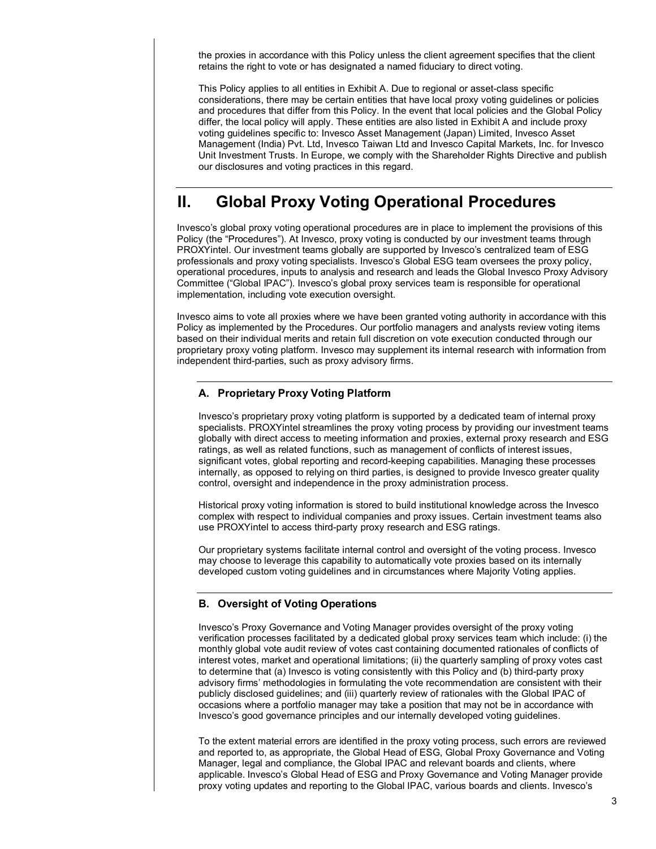the proxies in accordance with this Policy unless the client agreement specifies that the client retains the right to vote or has designated a named fiduciary to direct voting.

This Policy applies to all entities in Exhibit A. Due to regional or asset-class specific considerations, there may be certain entities that have local proxy voting guidelines or policies and procedures that differ from this Policy. In the event that local policies and the Global Policy differ, the local policy will apply. These entities are also listed in Exhibit A and include proxy voting guidelines specific to: Invesco Asset Management (Japan) Limited, Invesco Asset Management (India) Pvt. Ltd, Invesco Taiwan Ltd and Invesco Capital Markets, Inc. for Invesco Unit Investment Trusts. In Europe, we comply with the Shareholder Rights Directive and publish our disclosures and voting practices in this regard.

# **II. Global Proxy Voting Operational Procedures**

Invesco's global proxy voting operational procedures are in place to implement the provisions of this Policy (the "Procedures"). At Invesco, proxy voting is conducted by our investment teams through PROXYintel. Our investment teams globally are supported by Invesco's centralized team of ESG professionals and proxy voting specialists. Invesco's Global ESG team oversees the proxy policy, operational procedures, inputs to analysis and research and leads the Global Invesco Proxy Advisory Committee ("Global IPAC"). Invesco's global proxy services team is responsible for operational implementation, including vote execution oversight.

Invesco aims to vote all proxies where we have been granted voting authority in accordance with this Policy as implemented by the Procedures. Our portfolio managers and analysts review voting items based on their individual merits and retain full discretion on vote execution conducted through our proprietary proxy voting platform. Invesco may supplement its internal research with information from independent third-parties, such as proxy advisory firms.

# **A. Proprietary Proxy Voting Platform**

Invesco's proprietary proxy voting platform is supported by a dedicated team of internal proxy specialists. PROXYintel streamlines the proxy voting process by providing our investment teams globally with direct access to meeting information and proxies, external proxy research and ESG ratings, as well as related functions, such as management of conflicts of interest issues, significant votes, global reporting and record-keeping capabilities. Managing these processes internally, as opposed to relying on third parties, is designed to provide Invesco greater quality control, oversight and independence in the proxy administration process.

Historical proxy voting information is stored to build institutional knowledge across the Invesco complex with respect to individual companies and proxy issues. Certain investment teams also use PROXYintel to access third-party proxy research and ESG ratings.

Our proprietary systems facilitate internal control and oversight of the voting process. Invesco may choose to leverage this capability to automatically vote proxies based on its internally developed custom voting guidelines and in circumstances where Majority Voting applies.

# **B. Oversight of Voting Operations**

Invesco's Proxy Governance and Voting Manager provides oversight of the proxy voting verification processes facilitated by a dedicated global proxy services team which include: (i) the monthly global vote audit review of votes cast containing documented rationales of conflicts of interest votes, market and operational limitations; (ii) the quarterly sampling of proxy votes cast to determine that (a) Invesco is voting consistently with this Policy and (b) third-party proxy advisory firms' methodologies in formulating the vote recommendation are consistent with their publicly disclosed guidelines; and (iii) quarterly review of rationales with the Global IPAC of occasions where a portfolio manager may take a position that may not be in accordance with Invesco's good governance principles and our internally developed voting guidelines.

To the extent material errors are identified in the proxy voting process, such errors are reviewed and reported to, as appropriate, the Global Head of ESG, Global Proxy Governance and Voting Manager, legal and compliance, the Global IPAC and relevant boards and clients, where applicable. Invesco's Global Head of ESG and Proxy Governance and Voting Manager provide proxy voting updates and reporting to the Global IPAC, various boards and clients. Invesco's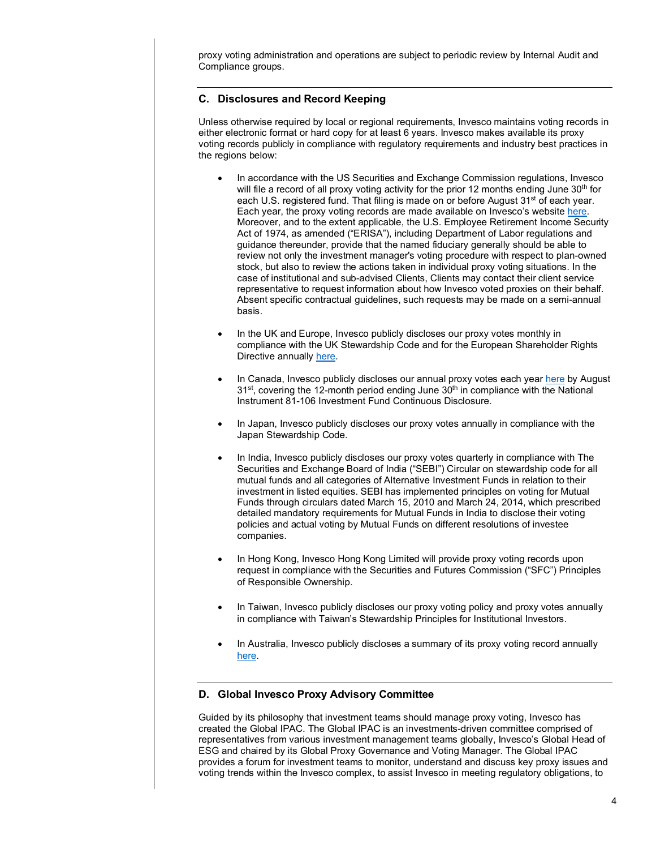proxy voting administration and operations are subject to periodic review by Internal Audit and Compliance groups.

# **C. Disclosures and Record Keeping**

Unless otherwise required by local or regional requirements, Invesco maintains voting records in either electronic format or hard copy for at least 6 years. Invesco makes available its proxy voting records publicly in compliance with regulatory requirements and industry best practices in the regions below:

- In accordance with the US Securities and Exchange Commission regulations, Invesco will file a record of all proxy voting activity for the prior 12 months ending June  $30<sup>th</sup>$  for each U.S. registered fund. That filing is made on or before August 31<sup>st</sup> of each year. Each year, the proxy voting records are made available on Invesco's websit[e here.](https://www.invesco.com/corporate/about-us/esg) Moreover, and to the extent applicable, the U.S. Employee Retirement Income Security Act of 1974, as amended ("ERISA"), including Department of Labor regulations and guidance thereunder, provide that the named fiduciary generally should be able to review not only the investment manager's voting procedure with respect to plan-owned stock, but also to review the actions taken in individual proxy voting situations. In the case of institutional and sub-advised Clients, Clients may contact their client service representative to request information about how Invesco voted proxies on their behalf. Absent specific contractual guidelines, such requests may be made on a semi-annual basis.
- In the UK and Europe, Invesco publicly discloses our proxy votes monthly in compliance with the UK Stewardship Code and for the European Shareholder Rights Directive annually [here.](https://vds.issgovernance.com/vds/#/Mzk3MA==/)
- In Canada, Invesco publicly discloses our annual proxy votes each year [here](https://vds.issgovernance.com/vds/#/MTg2Mg==/) by August  $31<sup>st</sup>$ , covering the 12-month period ending June  $30<sup>th</sup>$  in compliance with the National Instrument 81-106 Investment Fund Continuous Disclosure.
- In Japan, Invesco publicly discloses our proxy votes annually in compliance with the Japan Stewardship Code.
- In India, Invesco publicly discloses our proxy votes quarterly in compliance with The Securities and Exchange Board of India ("SEBI") Circular on stewardship code for all mutual funds and all categories of Alternative Investment Funds in relation to their investment in listed equities. SEBI has implemented principles on voting for Mutual Funds through circulars dated March 15, 2010 and March 24, 2014, which prescribed detailed mandatory requirements for Mutual Funds in India to disclose their voting policies and actual voting by Mutual Funds on different resolutions of investee companies.
- In Hong Kong, Invesco Hong Kong Limited will provide proxy voting records upon request in compliance with the Securities and Futures Commission ("SFC") Principles of Responsible Ownership.
- In Taiwan, Invesco publicly discloses our proxy voting policy and proxy votes annually in compliance with Taiwan's Stewardship Principles for Institutional Investors.
- In Australia, Invesco publicly discloses a summary of its proxy voting record annually [here.](https://www.invesco.com.au/home/dam/jcr:bf3a3268-b7d1-4521-9dea-e233b7be82f2/Invesco%20FSC%20Proxy%20Voting%20Record%20Reporting%20Jul)

# **D. Global Invesco Proxy Advisory Committee**

Guided by its philosophy that investment teams should manage proxy voting, Invesco has created the Global IPAC. The Global IPAC is an investments-driven committee comprised of representatives from various investment management teams globally, Invesco's Global Head of ESG and chaired by its Global Proxy Governance and Voting Manager. The Global IPAC provides a forum for investment teams to monitor, understand and discuss key proxy issues and voting trends within the Invesco complex, to assist Invesco in meeting regulatory obligations, to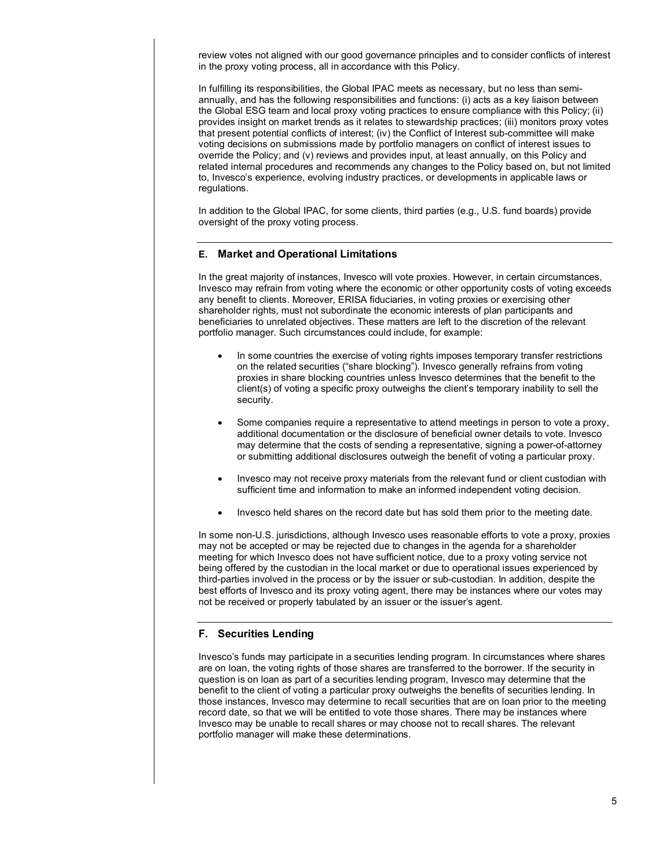review votes not aligned with our good governance principles and to consider conflicts of interest in the proxy voting process, all in accordance with this Policy.

In fulfilling its responsibilities, the Global IPAC meets as necessary, but no less than semiannually, and has the following responsibilities and functions: (i) acts as a key liaison between the Global ESG team and local proxy voting practices to ensure compliance with this Policy; (ii) provides insight on market trends as it relates to stewardship practices; (iii) monitors proxy votes that present potential conflicts of interest; (iv) the Conflict of Interest sub-committee will make voting decisions on submissions made by portfolio managers on conflict of interest issues to override the Policy; and (v) reviews and provides input, at least annually, on this Policy and related internal procedures and recommends any changes to the Policy based on, but not limited to, Invesco's experience, evolving industry practices, or developments in applicable laws or regulations.

In addition to the Global IPAC, for some clients, third parties (e.g., U.S. fund boards) provide oversight of the proxy voting process.

# **E. Market and Operational Limitations**

In the great majority of instances, Invesco will vote proxies. However, in certain circumstances, Invesco may refrain from voting where the economic or other opportunity costs of voting exceeds any benefit to clients. Moreover, ERISA fiduciaries, in voting proxies or exercising other shareholder rights, must not subordinate the economic interests of plan participants and beneficiaries to unrelated objectives. These matters are left to the discretion of the relevant portfolio manager. Such circumstances could include, for example:

- In some countries the exercise of voting rights imposes temporary transfer restrictions on the related securities ("share blocking"). Invesco generally refrains from voting proxies in share blocking countries unless Invesco determines that the benefit to the client(s) of voting a specific proxy outweighs the client's temporary inability to sell the security.
- Some companies require a representative to attend meetings in person to vote a proxy, additional documentation or the disclosure of beneficial owner details to vote. Invesco may determine that the costs of sending a representative, signing a power-of-attorney or submitting additional disclosures outweigh the benefit of voting a particular proxy.
- Invesco may not receive proxy materials from the relevant fund or client custodian with sufficient time and information to make an informed independent voting decision.
- Invesco held shares on the record date but has sold them prior to the meeting date.

In some non-U.S. jurisdictions, although Invesco uses reasonable efforts to vote a proxy, proxies may not be accepted or may be rejected due to changes in the agenda for a shareholder meeting for which Invesco does not have sufficient notice, due to a proxy voting service not being offered by the custodian in the local market or due to operational issues experienced by third-parties involved in the process or by the issuer or sub-custodian. In addition, despite the best efforts of Invesco and its proxy voting agent, there may be instances where our votes may not be received or properly tabulated by an issuer or the issuer's agent.

# **F. Securities Lending**

Invesco's funds may participate in a securities lending program. In circumstances where shares are on loan, the voting rights of those shares are transferred to the borrower. If the security in question is on loan as part of a securities lending program, Invesco may determine that the benefit to the client of voting a particular proxy outweighs the benefits of securities lending. In those instances, Invesco may determine to recall securities that are on loan prior to the meeting record date, so that we will be entitled to vote those shares. There may be instances where Invesco may be unable to recall shares or may choose not to recall shares. The relevant portfolio manager will make these determinations.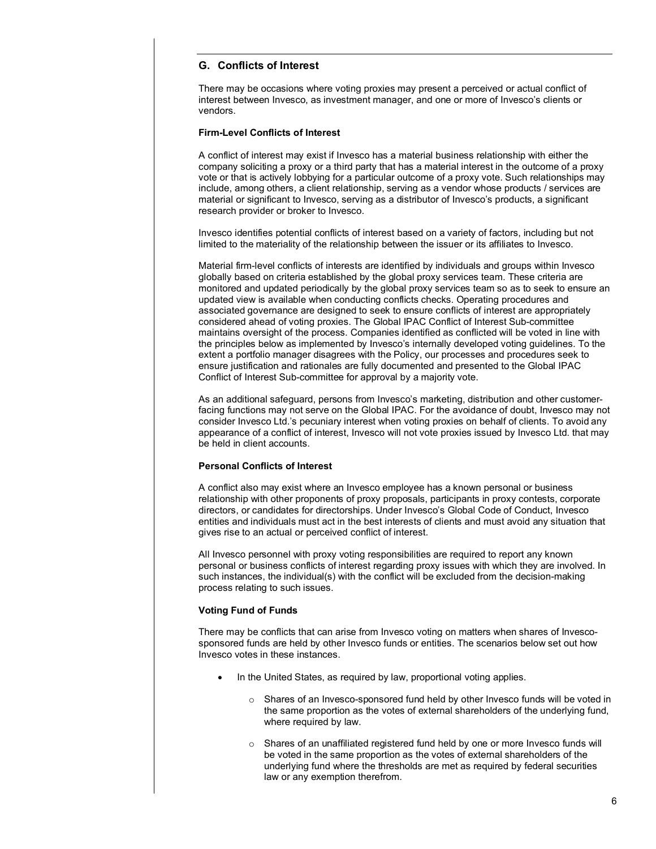# **G. Conflicts of Interest**

There may be occasions where voting proxies may present a perceived or actual conflict of interest between Invesco, as investment manager, and one or more of Invesco's clients or vendors.

### **Firm-Level Conflicts of Interest**

A conflict of interest may exist if Invesco has a material business relationship with either the company soliciting a proxy or a third party that has a material interest in the outcome of a proxy vote or that is actively lobbying for a particular outcome of a proxy vote. Such relationships may include, among others, a client relationship, serving as a vendor whose products / services are material or significant to Invesco, serving as a distributor of Invesco's products, a significant research provider or broker to Invesco.

Invesco identifies potential conflicts of interest based on a variety of factors, including but not limited to the materiality of the relationship between the issuer or its affiliates to Invesco.

Material firm-level conflicts of interests are identified by individuals and groups within Invesco globally based on criteria established by the global proxy services team. These criteria are monitored and updated periodically by the global proxy services team so as to seek to ensure an updated view is available when conducting conflicts checks. Operating procedures and associated governance are designed to seek to ensure conflicts of interest are appropriately considered ahead of voting proxies. The Global IPAC Conflict of Interest Sub-committee maintains oversight of the process. Companies identified as conflicted will be voted in line with the principles below as implemented by Invesco's internally developed voting guidelines. To the extent a portfolio manager disagrees with the Policy, our processes and procedures seek to ensure justification and rationales are fully documented and presented to the Global IPAC Conflict of Interest Sub-committee for approval by a majority vote.

As an additional safeguard, persons from Invesco's marketing, distribution and other customerfacing functions may not serve on the Global IPAC. For the avoidance of doubt, Invesco may not consider Invesco Ltd.'s pecuniary interest when voting proxies on behalf of clients. To avoid any appearance of a conflict of interest, Invesco will not vote proxies issued by Invesco Ltd. that may be held in client accounts.

### **Personal Conflicts of Interest**

A conflict also may exist where an Invesco employee has a known personal or business relationship with other proponents of proxy proposals, participants in proxy contests, corporate directors, or candidates for directorships. Under Invesco's Global Code of Conduct, Invesco entities and individuals must act in the best interests of clients and must avoid any situation that gives rise to an actual or perceived conflict of interest.

All Invesco personnel with proxy voting responsibilities are required to report any known personal or business conflicts of interest regarding proxy issues with which they are involved. In such instances, the individual(s) with the conflict will be excluded from the decision-making process relating to such issues.

#### **Voting Fund of Funds**

There may be conflicts that can arise from Invesco voting on matters when shares of Invescosponsored funds are held by other Invesco funds or entities. The scenarios below set out how Invesco votes in these instances.

- In the United States, as required by law, proportional voting applies.
	- o Shares of an Invesco-sponsored fund held by other Invesco funds will be voted in the same proportion as the votes of external shareholders of the underlying fund, where required by law.
	- o Shares of an unaffiliated registered fund held by one or more Invesco funds will be voted in the same proportion as the votes of external shareholders of the underlying fund where the thresholds are met as required by federal securities law or any exemption therefrom.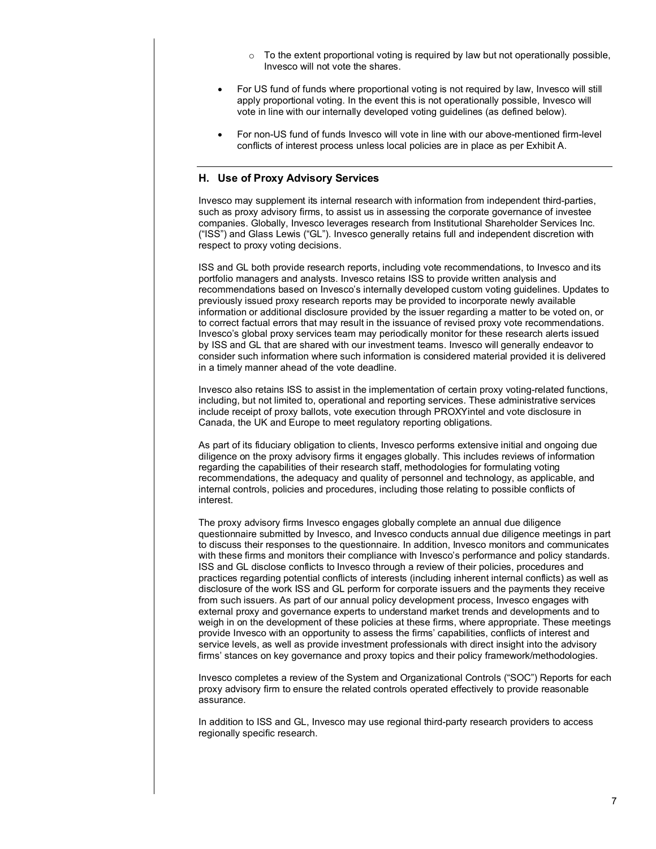- $\circ$  To the extent proportional voting is required by law but not operationally possible, Invesco will not vote the shares.
- For US fund of funds where proportional voting is not required by law, Invesco will still apply proportional voting. In the event this is not operationally possible, Invesco will vote in line with our internally developed voting guidelines (as defined below).
- For non-US fund of funds Invesco will vote in line with our above-mentioned firm-level conflicts of interest process unless local policies are in place as per Exhibit A.

# **H. Use of Proxy Advisory Services**

Invesco may supplement its internal research with information from independent third-parties, such as proxy advisory firms, to assist us in assessing the corporate governance of investee companies. Globally, Invesco leverages research from Institutional Shareholder Services Inc. ("ISS") and Glass Lewis ("GL"). Invesco generally retains full and independent discretion with respect to proxy voting decisions.

ISS and GL both provide research reports, including vote recommendations, to Invesco and its portfolio managers and analysts. Invesco retains ISS to provide written analysis and recommendations based on Invesco's internally developed custom voting guidelines. Updates to previously issued proxy research reports may be provided to incorporate newly available information or additional disclosure provided by the issuer regarding a matter to be voted on, or to correct factual errors that may result in the issuance of revised proxy vote recommendations. Invesco's global proxy services team may periodically monitor for these research alerts issued by ISS and GL that are shared with our investment teams. Invesco will generally endeavor to consider such information where such information is considered material provided it is delivered in a timely manner ahead of the vote deadline.

Invesco also retains ISS to assist in the implementation of certain proxy voting-related functions, including, but not limited to, operational and reporting services. These administrative services include receipt of proxy ballots, vote execution through PROXYintel and vote disclosure in Canada, the UK and Europe to meet regulatory reporting obligations.

As part of its fiduciary obligation to clients, Invesco performs extensive initial and ongoing due diligence on the proxy advisory firms it engages globally. This includes reviews of information regarding the capabilities of their research staff, methodologies for formulating voting recommendations, the adequacy and quality of personnel and technology, as applicable, and internal controls, policies and procedures, including those relating to possible conflicts of interest.

The proxy advisory firms Invesco engages globally complete an annual due diligence questionnaire submitted by Invesco, and Invesco conducts annual due diligence meetings in part to discuss their responses to the questionnaire. In addition, Invesco monitors and communicates with these firms and monitors their compliance with Invesco's performance and policy standards. ISS and GL disclose conflicts to Invesco through a review of their policies, procedures and practices regarding potential conflicts of interests (including inherent internal conflicts) as well as disclosure of the work ISS and GL perform for corporate issuers and the payments they receive from such issuers. As part of our annual policy development process, Invesco engages with external proxy and governance experts to understand market trends and developments and to weigh in on the development of these policies at these firms, where appropriate. These meetings provide Invesco with an opportunity to assess the firms' capabilities, conflicts of interest and service levels, as well as provide investment professionals with direct insight into the advisory firms' stances on key governance and proxy topics and their policy framework/methodologies.

Invesco completes a review of the System and Organizational Controls ("SOC") Reports for each proxy advisory firm to ensure the related controls operated effectively to provide reasonable assurance.

In addition to ISS and GL, Invesco may use regional third-party research providers to access regionally specific research.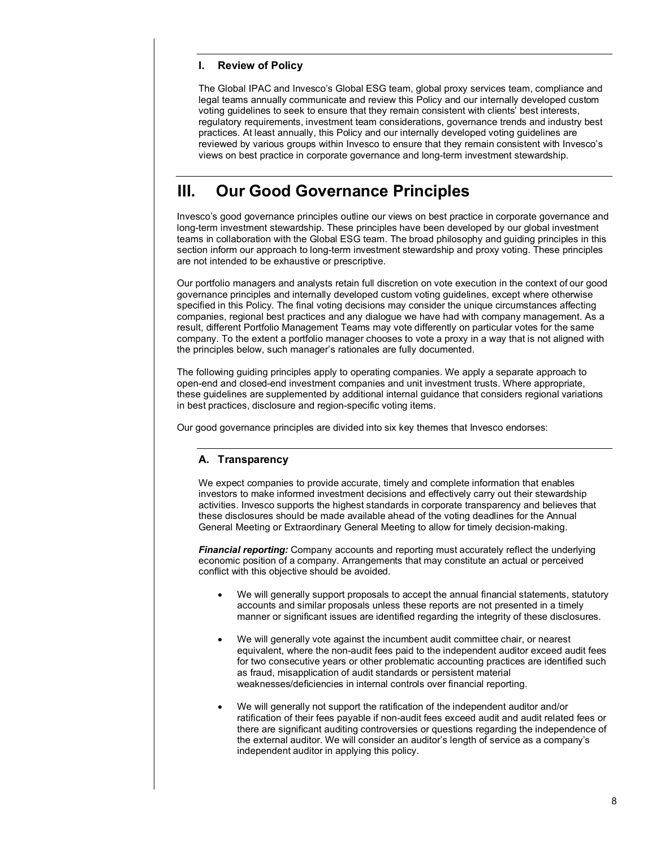# **I. Review of Policy**

The Global IPAC and Invesco's Global ESG team, global proxy services team, compliance and legal teams annually communicate and review this Policy and our internally developed custom voting guidelines to seek to ensure that they remain consistent with clients' best interests, regulatory requirements, investment team considerations, governance trends and industry best practices. At least annually, this Policy and our internally developed voting guidelines are reviewed by various groups within Invesco to ensure that they remain consistent with Invesco's views on best practice in corporate governance and long-term investment stewardship.

# **III. Our Good Governance Principles**

Invesco's good governance principles outline our views on best practice in corporate governance and long-term investment stewardship. These principles have been developed by our global investment teams in collaboration with the Global ESG team. The broad philosophy and guiding principles in this section inform our approach to long-term investment stewardship and proxy voting. These principles are not intended to be exhaustive or prescriptive.

Our portfolio managers and analysts retain full discretion on vote execution in the context of our good governance principles and internally developed custom voting guidelines, except where otherwise specified in this Policy. The final voting decisions may consider the unique circumstances affecting companies, regional best practices and any dialogue we have had with company management. As a result, different Portfolio Management Teams may vote differently on particular votes for the same company. To the extent a portfolio manager chooses to vote a proxy in a way that is not aligned with the principles below, such manager's rationales are fully documented.

The following guiding principles apply to operating companies. We apply a separate approach to open-end and closed-end investment companies and unit investment trusts. Where appropriate, these guidelines are supplemented by additional internal guidance that considers regional variations in best practices, disclosure and region-specific voting items.

Our good governance principles are divided into six key themes that Invesco endorses:

# **A. Transparency**

We expect companies to provide accurate, timely and complete information that enables investors to make informed investment decisions and effectively carry out their stewardship activities. Invesco supports the highest standards in corporate transparency and believes that these disclosures should be made available ahead of the voting deadlines for the Annual General Meeting or Extraordinary General Meeting to allow for timely decision-making.

*Financial reporting:* Company accounts and reporting must accurately reflect the underlying economic position of a company. Arrangements that may constitute an actual or perceived conflict with this objective should be avoided.

- We will generally support proposals to accept the annual financial statements, statutory accounts and similar proposals unless these reports are not presented in a timely manner or significant issues are identified regarding the integrity of these disclosures.
- We will generally vote against the incumbent audit committee chair, or nearest equivalent, where the non-audit fees paid to the independent auditor exceed audit fees for two consecutive years or other problematic accounting practices are identified such as fraud, misapplication of audit standards or persistent material weaknesses/deficiencies in internal controls over financial reporting.
- We will generally not support the ratification of the independent auditor and/or ratification of their fees payable if non-audit fees exceed audit and audit related fees or there are significant auditing controversies or questions regarding the independence of the external auditor. We will consider an auditor's length of service as a company's independent auditor in applying this policy.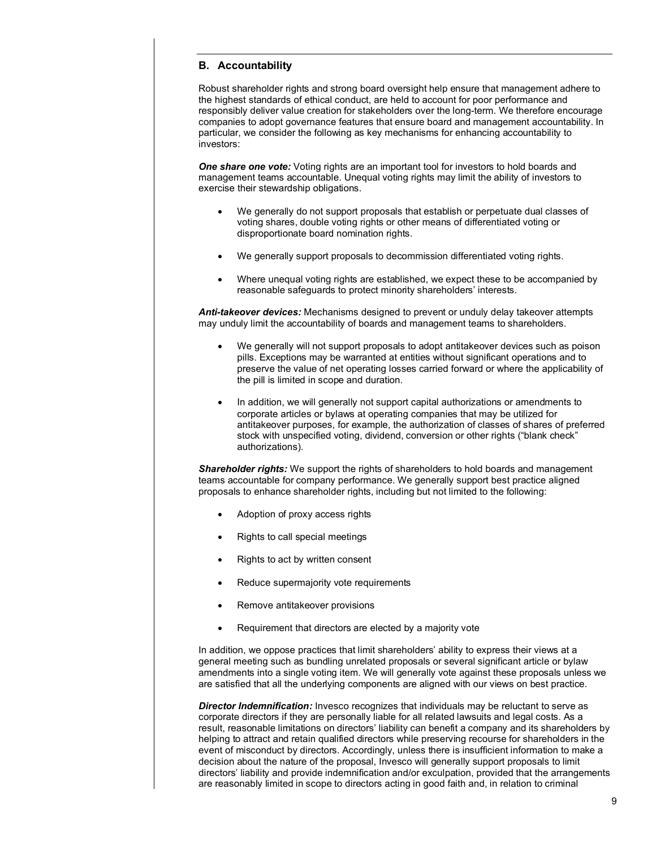# **B. Accountability**

Robust shareholder rights and strong board oversight help ensure that management adhere to the highest standards of ethical conduct, are held to account for poor performance and responsibly deliver value creation for stakeholders over the long-term. We therefore encourage companies to adopt governance features that ensure board and management accountability. In particular, we consider the following as key mechanisms for enhancing accountability to investors:

**One share one vote:** Voting rights are an important tool for investors to hold boards and management teams accountable. Unequal voting rights may limit the ability of investors to exercise their stewardship obligations.

- We generally do not support proposals that establish or perpetuate dual classes of voting shares, double voting rights or other means of differentiated voting or disproportionate board nomination rights.
- We generally support proposals to decommission differentiated voting rights.
- Where unequal voting rights are established, we expect these to be accompanied by reasonable safeguards to protect minority shareholders' interests.

*Anti-takeover devices:* Mechanisms designed to prevent or unduly delay takeover attempts may unduly limit the accountability of boards and management teams to shareholders.

- We generally will not support proposals to adopt antitakeover devices such as poison pills. Exceptions may be warranted at entities without significant operations and to preserve the value of net operating losses carried forward or where the applicability of the pill is limited in scope and duration.
- In addition, we will generally not support capital authorizations or amendments to corporate articles or bylaws at operating companies that may be utilized for antitakeover purposes, for example, the authorization of classes of shares of preferred stock with unspecified voting, dividend, conversion or other rights ("blank check" authorizations).

*Shareholder rights:* We support the rights of shareholders to hold boards and management teams accountable for company performance. We generally support best practice aligned proposals to enhance shareholder rights, including but not limited to the following:

- Adoption of proxy access rights
- Rights to call special meetings
- Rights to act by written consent
- Reduce supermajority vote requirements
- Remove antitakeover provisions
- Requirement that directors are elected by a majority vote

In addition, we oppose practices that limit shareholders' ability to express their views at a general meeting such as bundling unrelated proposals or several significant article or bylaw amendments into a single voting item. We will generally vote against these proposals unless we are satisfied that all the underlying components are aligned with our views on best practice.

**Director Indemnification:** Invesco recognizes that individuals may be reluctant to serve as corporate directors if they are personally liable for all related lawsuits and legal costs. As a result, reasonable limitations on directors' liability can benefit a company and its shareholders by helping to attract and retain qualified directors while preserving recourse for shareholders in the event of misconduct by directors. Accordingly, unless there is insufficient information to make a decision about the nature of the proposal, Invesco will generally support proposals to limit directors' liability and provide indemnification and/or exculpation, provided that the arrangements are reasonably limited in scope to directors acting in good faith and, in relation to criminal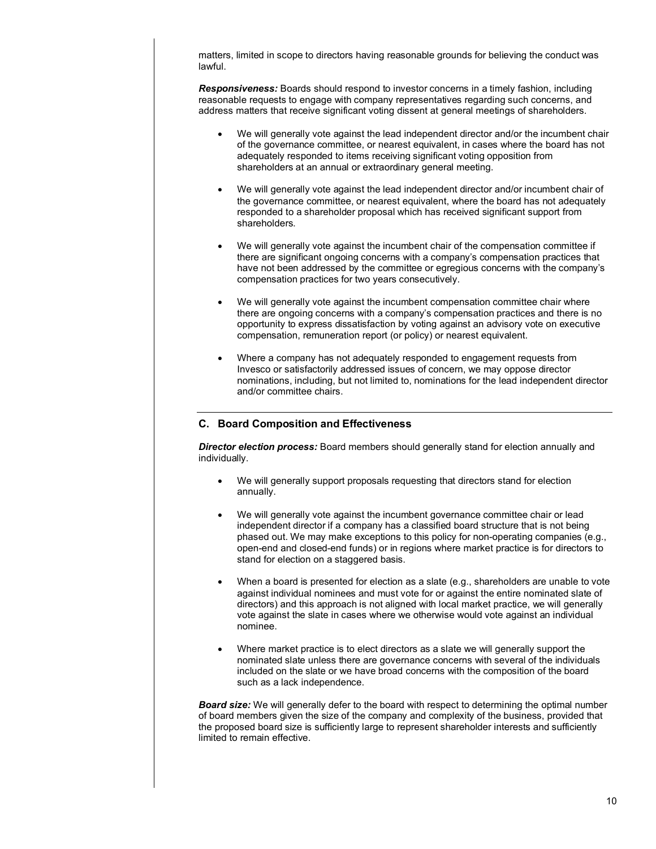matters, limited in scope to directors having reasonable grounds for believing the conduct was lawful.

*Responsiveness:* Boards should respond to investor concerns in a timely fashion, including reasonable requests to engage with company representatives regarding such concerns, and address matters that receive significant voting dissent at general meetings of shareholders.

- We will generally vote against the lead independent director and/or the incumbent chair of the governance committee, or nearest equivalent, in cases where the board has not adequately responded to items receiving significant voting opposition from shareholders at an annual or extraordinary general meeting.
- We will generally vote against the lead independent director and/or incumbent chair of the governance committee, or nearest equivalent, where the board has not adequately responded to a shareholder proposal which has received significant support from shareholders.
- We will generally vote against the incumbent chair of the compensation committee if there are significant ongoing concerns with a company's compensation practices that have not been addressed by the committee or egregious concerns with the company's compensation practices for two years consecutively.
- We will generally vote against the incumbent compensation committee chair where there are ongoing concerns with a company's compensation practices and there is no opportunity to express dissatisfaction by voting against an advisory vote on executive compensation, remuneration report (or policy) or nearest equivalent.
- Where a company has not adequately responded to engagement requests from Invesco or satisfactorily addressed issues of concern, we may oppose director nominations, including, but not limited to, nominations for the lead independent director and/or committee chairs.

# **C. Board Composition and Effectiveness**

*Director election process:* Board members should generally stand for election annually and individually.

- We will generally support proposals requesting that directors stand for election annually.
- We will generally vote against the incumbent governance committee chair or lead independent director if a company has a classified board structure that is not being phased out. We may make exceptions to this policy for non-operating companies (e.g., open-end and closed-end funds) or in regions where market practice is for directors to stand for election on a staggered basis.
- When a board is presented for election as a slate (e.g., shareholders are unable to vote against individual nominees and must vote for or against the entire nominated slate of directors) and this approach is not aligned with local market practice, we will generally vote against the slate in cases where we otherwise would vote against an individual nominee.
- Where market practice is to elect directors as a slate we will generally support the nominated slate unless there are governance concerns with several of the individuals included on the slate or we have broad concerns with the composition of the board such as a lack independence.

**Board size:** We will generally defer to the board with respect to determining the optimal number of board members given the size of the company and complexity of the business, provided that the proposed board size is sufficiently large to represent shareholder interests and sufficiently limited to remain effective.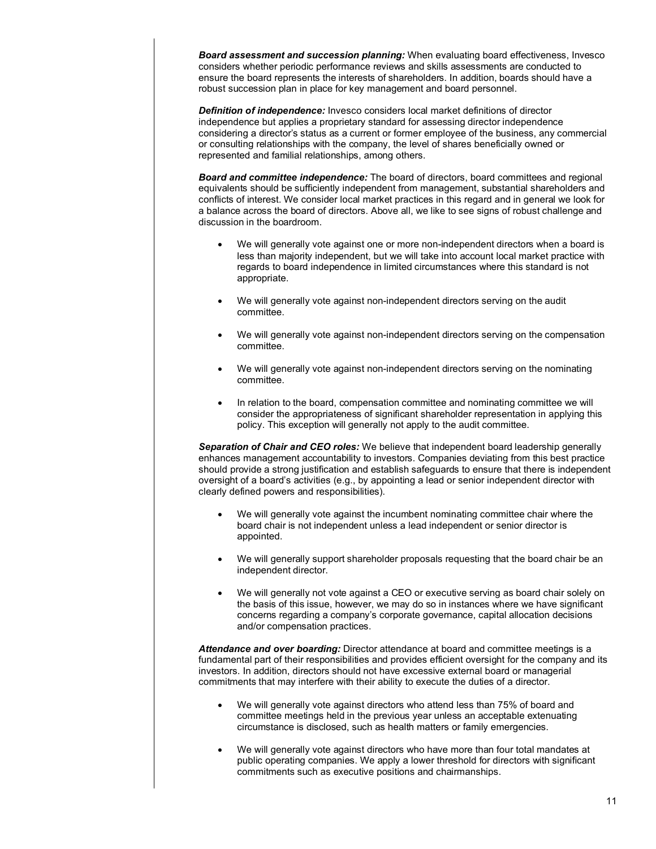*Board assessment and succession planning:* When evaluating board effectiveness, Invesco considers whether periodic performance reviews and skills assessments are conducted to ensure the board represents the interests of shareholders. In addition, boards should have a robust succession plan in place for key management and board personnel.

*Definition of independence:* Invesco considers local market definitions of director independence but applies a proprietary standard for assessing director independence considering a director's status as a current or former employee of the business, any commercial or consulting relationships with the company, the level of shares beneficially owned or represented and familial relationships, among others.

*Board and committee independence:* The board of directors, board committees and regional equivalents should be sufficiently independent from management, substantial shareholders and conflicts of interest. We consider local market practices in this regard and in general we look for a balance across the board of directors. Above all, we like to see signs of robust challenge and discussion in the boardroom.

- We will generally vote against one or more non-independent directors when a board is less than majority independent, but we will take into account local market practice with regards to board independence in limited circumstances where this standard is not appropriate.
- We will generally vote against non-independent directors serving on the audit committee.
- We will generally vote against non-independent directors serving on the compensation committee.
- We will generally vote against non-independent directors serving on the nominating committee.
- In relation to the board, compensation committee and nominating committee we will consider the appropriateness of significant shareholder representation in applying this policy. This exception will generally not apply to the audit committee.

*Separation of Chair and CEO roles:* We believe that independent board leadership generally enhances management accountability to investors. Companies deviating from this best practice should provide a strong justification and establish safeguards to ensure that there is independent oversight of a board's activities (e.g., by appointing a lead or senior independent director with clearly defined powers and responsibilities).

- We will generally vote against the incumbent nominating committee chair where the board chair is not independent unless a lead independent or senior director is appointed.
- We will generally support shareholder proposals requesting that the board chair be an independent director.
- We will generally not vote against a CEO or executive serving as board chair solely on the basis of this issue, however, we may do so in instances where we have significant concerns regarding a company's corporate governance, capital allocation decisions and/or compensation practices.

*Attendance and over boarding:* Director attendance at board and committee meetings is a fundamental part of their responsibilities and provides efficient oversight for the company and its investors. In addition, directors should not have excessive external board or managerial commitments that may interfere with their ability to execute the duties of a director.

- We will generally vote against directors who attend less than 75% of board and committee meetings held in the previous year unless an acceptable extenuating circumstance is disclosed, such as health matters or family emergencies.
- We will generally vote against directors who have more than four total mandates at public operating companies. We apply a lower threshold for directors with significant commitments such as executive positions and chairmanships.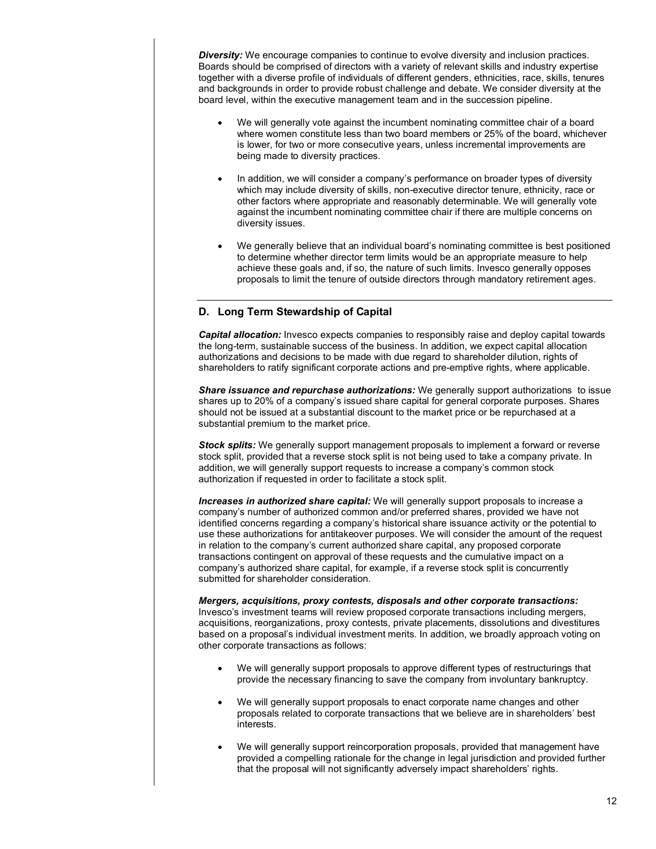**Diversity:** We encourage companies to continue to evolve diversity and inclusion practices. Boards should be comprised of directors with a variety of relevant skills and industry expertise together with a diverse profile of individuals of different genders, ethnicities, race, skills, tenures and backgrounds in order to provide robust challenge and debate. We consider diversity at the board level, within the executive management team and in the succession pipeline.

- We will generally vote against the incumbent nominating committee chair of a board where women constitute less than two board members or 25% of the board, whichever is lower, for two or more consecutive years, unless incremental improvements are being made to diversity practices.
- In addition, we will consider a company's performance on broader types of diversity which may include diversity of skills, non-executive director tenure, ethnicity, race or other factors where appropriate and reasonably determinable. We will generally vote against the incumbent nominating committee chair if there are multiple concerns on diversity issues.
- We generally believe that an individual board's nominating committee is best positioned to determine whether director term limits would be an appropriate measure to help achieve these goals and, if so, the nature of such limits. Invesco generally opposes proposals to limit the tenure of outside directors through mandatory retirement ages.

# **D. Long Term Stewardship of Capital**

*Capital allocation:* Invesco expects companies to responsibly raise and deploy capital towards the long-term, sustainable success of the business. In addition, we expect capital allocation authorizations and decisions to be made with due regard to shareholder dilution, rights of shareholders to ratify significant corporate actions and pre-emptive rights, where applicable.

*Share issuance and repurchase authorizations:* We generally support authorizations to issue shares up to 20% of a company's issued share capital for general corporate purposes. Shares should not be issued at a substantial discount to the market price or be repurchased at a substantial premium to the market price.

*Stock splits:* We generally support management proposals to implement a forward or reverse stock split, provided that a reverse stock split is not being used to take a company private. In addition, we will generally support requests to increase a company's common stock authorization if requested in order to facilitate a stock split.

*Increases in authorized share capital:* We will generally support proposals to increase a company's number of authorized common and/or preferred shares, provided we have not identified concerns regarding a company's historical share issuance activity or the potential to use these authorizations for antitakeover purposes. We will consider the amount of the request in relation to the company's current authorized share capital, any proposed corporate transactions contingent on approval of these requests and the cumulative impact on a company's authorized share capital, for example, if a reverse stock split is concurrently submitted for shareholder consideration.

*Mergers, acquisitions, proxy contests, disposals and other corporate transactions:*  Invesco's investment teams will review proposed corporate transactions including mergers, acquisitions, reorganizations, proxy contests, private placements, dissolutions and divestitures based on a proposal's individual investment merits. In addition, we broadly approach voting on other corporate transactions as follows:

- We will generally support proposals to approve different types of restructurings that provide the necessary financing to save the company from involuntary bankruptcy.
- We will generally support proposals to enact corporate name changes and other proposals related to corporate transactions that we believe are in shareholders' best interests.
- We will generally support reincorporation proposals, provided that management have provided a compelling rationale for the change in legal jurisdiction and provided further that the proposal will not significantly adversely impact shareholders' rights.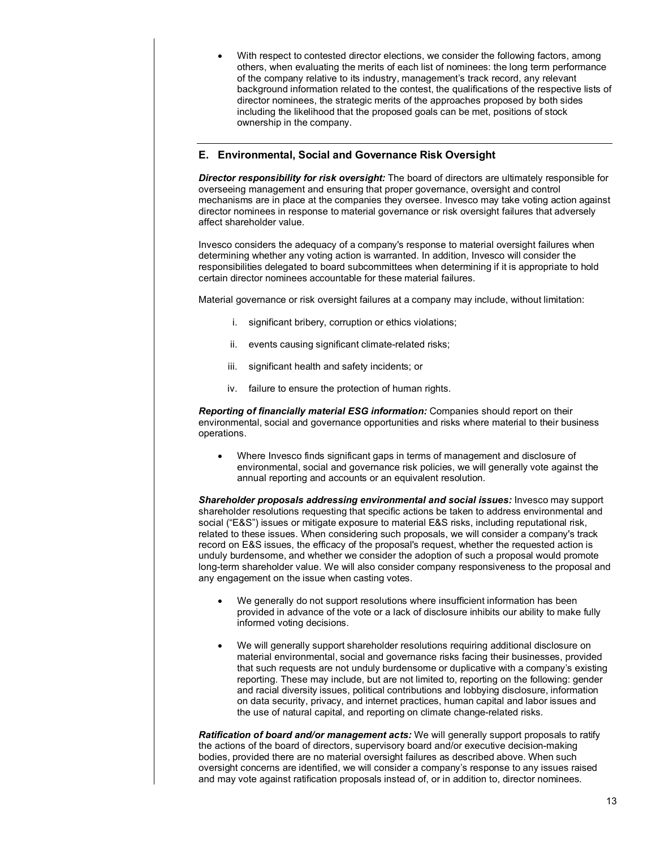• With respect to contested director elections, we consider the following factors, among others, when evaluating the merits of each list of nominees: the long term performance of the company relative to its industry, management's track record, any relevant background information related to the contest, the qualifications of the respective lists of director nominees, the strategic merits of the approaches proposed by both sides including the likelihood that the proposed goals can be met, positions of stock ownership in the company.

# **E. Environmental, Social and Governance Risk Oversight**

*Director responsibility for risk oversight:* The board of directors are ultimately responsible for overseeing management and ensuring that proper governance, oversight and control mechanisms are in place at the companies they oversee. Invesco may take voting action against director nominees in response to material governance or risk oversight failures that adversely affect shareholder value.

Invesco considers the adequacy of a company's response to material oversight failures when determining whether any voting action is warranted. In addition, Invesco will consider the responsibilities delegated to board subcommittees when determining if it is appropriate to hold certain director nominees accountable for these material failures.

Material governance or risk oversight failures at a company may include, without limitation:

- i. significant bribery, corruption or ethics violations;
- ii. events causing significant climate-related risks;
- iii. significant health and safety incidents; or
- iv. failure to ensure the protection of human rights.

*Reporting of financially material ESG information:* Companies should report on their environmental, social and governance opportunities and risks where material to their business operations.

• Where Invesco finds significant gaps in terms of management and disclosure of environmental, social and governance risk policies, we will generally vote against the annual reporting and accounts or an equivalent resolution.

**Shareholder proposals addressing environmental and social issues:** Invesco may support shareholder resolutions requesting that specific actions be taken to address environmental and social ("E&S") issues or mitigate exposure to material E&S risks, including reputational risk, related to these issues. When considering such proposals, we will consider a company's track record on E&S issues, the efficacy of the proposal's request, whether the requested action is unduly burdensome, and whether we consider the adoption of such a proposal would promote long-term shareholder value. We will also consider company responsiveness to the proposal and any engagement on the issue when casting votes.

- We generally do not support resolutions where insufficient information has been provided in advance of the vote or a lack of disclosure inhibits our ability to make fully informed voting decisions.
- We will generally support shareholder resolutions requiring additional disclosure on material environmental, social and governance risks facing their businesses, provided that such requests are not unduly burdensome or duplicative with a company's existing reporting. These may include, but are not limited to, reporting on the following: gender and racial diversity issues, political contributions and lobbying disclosure, information on data security, privacy, and internet practices, human capital and labor issues and the use of natural capital, and reporting on climate change-related risks.

*Ratification of board and/or management acts:* We will generally support proposals to ratify the actions of the board of directors, supervisory board and/or executive decision-making bodies, provided there are no material oversight failures as described above. When such oversight concerns are identified, we will consider a company's response to any issues raised and may vote against ratification proposals instead of, or in addition to, director nominees.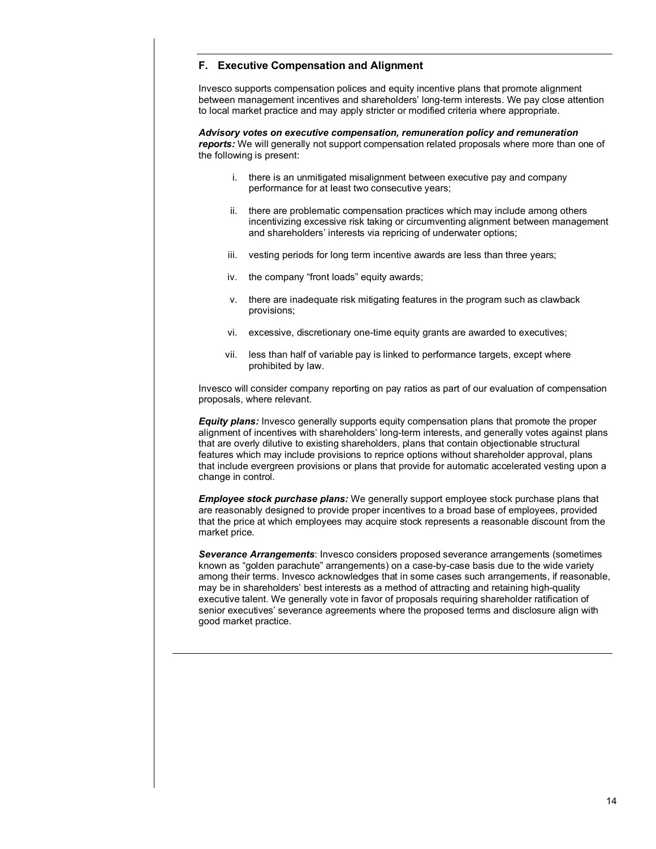# **F. Executive Compensation and Alignment**

Invesco supports compensation polices and equity incentive plans that promote alignment between management incentives and shareholders' long-term interests. We pay close attention to local market practice and may apply stricter or modified criteria where appropriate.

*Advisory votes on executive compensation, remuneration policy and remuneration reports:* We will generally not support compensation related proposals where more than one of the following is present:

- i. there is an unmitigated misalignment between executive pay and company performance for at least two consecutive years;
- ii. there are problematic compensation practices which may include among others incentivizing excessive risk taking or circumventing alignment between management and shareholders' interests via repricing of underwater options;
- iii. vesting periods for long term incentive awards are less than three years;
- iv. the company "front loads" equity awards;
- v. there are inadequate risk mitigating features in the program such as clawback provisions;
- vi. excessive, discretionary one-time equity grants are awarded to executives;
- vii. less than half of variable pay is linked to performance targets, except where prohibited by law.

Invesco will consider company reporting on pay ratios as part of our evaluation of compensation proposals, where relevant.

*Equity plans:* Invesco generally supports equity compensation plans that promote the proper alignment of incentives with shareholders' long-term interests, and generally votes against plans that are overly dilutive to existing shareholders, plans that contain objectionable structural features which may include provisions to reprice options without shareholder approval, plans that include evergreen provisions or plans that provide for automatic accelerated vesting upon a change in control.

*Employee stock purchase plans:* We generally support employee stock purchase plans that are reasonably designed to provide proper incentives to a broad base of employees, provided that the price at which employees may acquire stock represents a reasonable discount from the market price.

*Severance Arrangements*: Invesco considers proposed severance arrangements (sometimes known as "golden parachute" arrangements) on a case-by-case basis due to the wide variety among their terms. Invesco acknowledges that in some cases such arrangements, if reasonable, may be in shareholders' best interests as a method of attracting and retaining high-quality executive talent. We generally vote in favor of proposals requiring shareholder ratification of senior executives' severance agreements where the proposed terms and disclosure align with good market practice.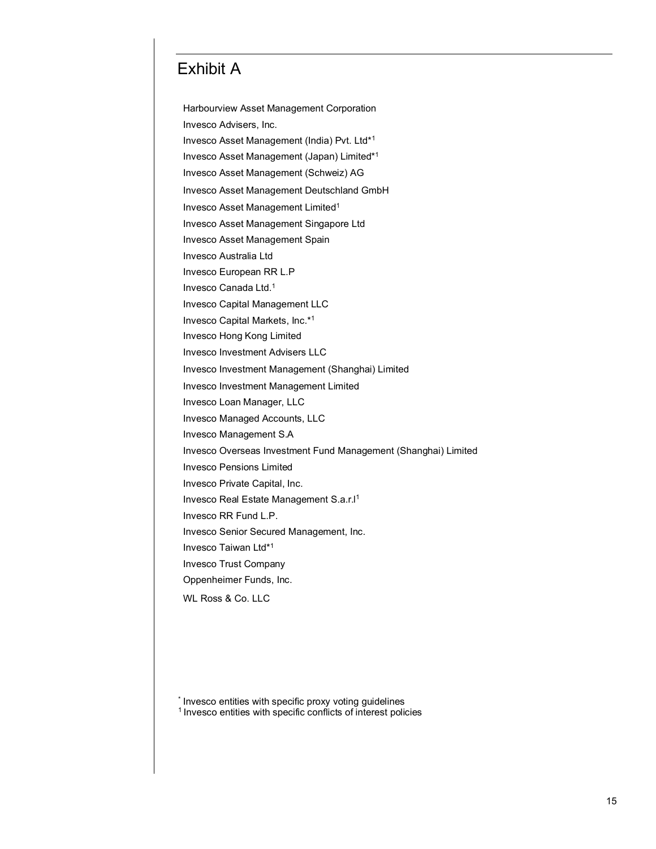# Exhibit A

Harbourview Asset Management Corporation Invesco Advisers, Inc. Invesco Asset Management (India) Pvt. Ltd\*1 Invesco Asset Management (Japan) Limited\*1 Invesco Asset Management (Schweiz) AG Invesco Asset Management Deutschland GmbH Invesco Asset Management Limited1 Invesco Asset Management Singapore Ltd Invesco Asset Management Spain Invesco Australia Ltd Invesco European RR L.P Invesco Canada Ltd.1 Invesco Capital Management LLC Invesco Capital Markets, Inc.\*1 Invesco Hong Kong Limited Invesco Investment Advisers LLC Invesco Investment Management (Shanghai) Limited Invesco Investment Management Limited Invesco Loan Manager, LLC Invesco Managed Accounts, LLC Invesco Management S.A Invesco Overseas Investment Fund Management (Shanghai) Limited Invesco Pensions Limited Invesco Private Capital, Inc. Invesco Real Estate Management S.a.r.I<sup>1</sup> Invesco RR Fund L.P. Invesco Senior Secured Management, Inc. Invesco Taiwan Ltd\*1 Invesco Trust Company Oppenheimer Funds, Inc. WL Ross & Co. LLC

\* Invesco entities with specific proxy voting guidelines <sup>1</sup> Invesco entities with specific conflicts of interest policies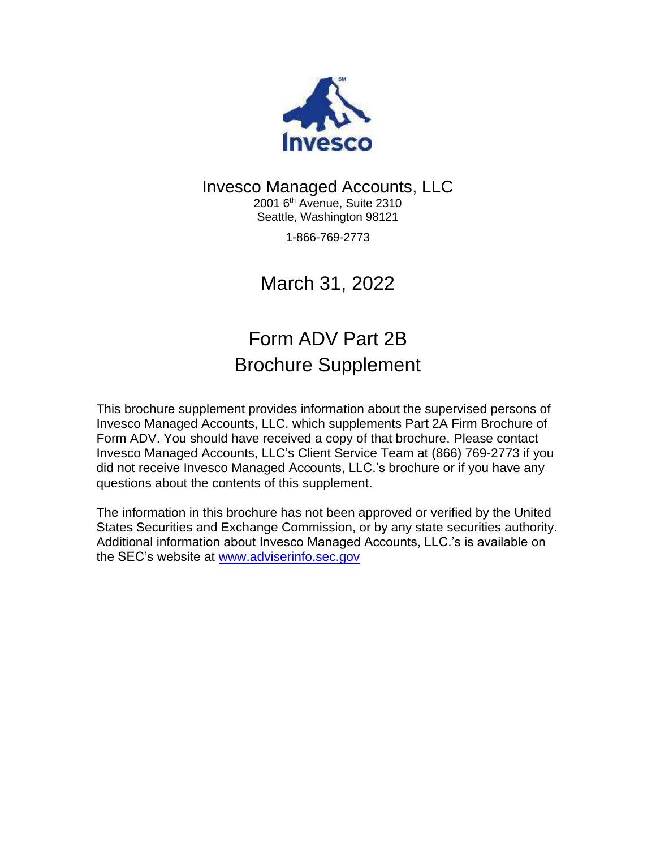

# Invesco Managed Accounts, LLC

2001 6<sup>th</sup> Avenue, Suite 2310 Seattle, Washington 98121

1-866-769-2773

March 31, 2022

# Form ADV Part 2B Brochure Supplement

This brochure supplement provides information about the supervised persons of Invesco Managed Accounts, LLC. which supplements Part 2A Firm Brochure of Form ADV. You should have received a copy of that brochure. Please contact Invesco Managed Accounts, LLC's Client Service Team at (866) 769-2773 if you did not receive Invesco Managed Accounts, LLC.'s brochure or if you have any questions about the contents of this supplement.

The information in this brochure has not been approved or verified by the United States Securities and Exchange Commission, or by any state securities authority. Additional information about Invesco Managed Accounts, LLC.'s is available on the SEC's website at [www.adviserinfo.sec.gov](http://www.adviserinfo.sec.gov/)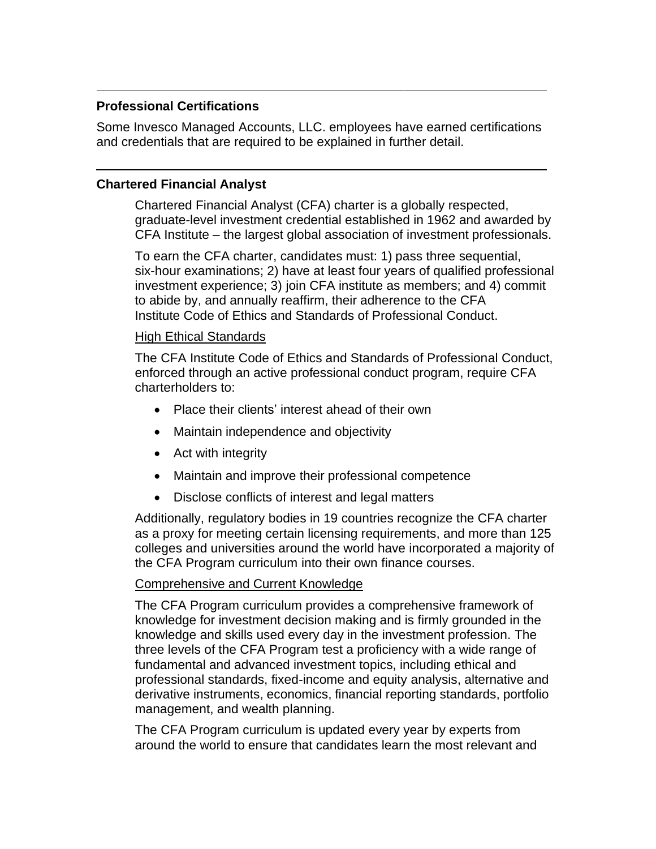# **Professional Certifications**

Some Invesco Managed Accounts, LLC. employees have earned certifications and credentials that are required to be explained in further detail.

# **Chartered Financial Analyst**

Chartered Financial Analyst (CFA) charter is a globally respected, graduate-level investment credential established in 1962 and awarded by CFA Institute – the largest global association of investment professionals.

To earn the CFA charter, candidates must: 1) pass three sequential, six-hour examinations; 2) have at least four years of qualified professional investment experience; 3) join CFA institute as members; and 4) commit to abide by, and annually reaffirm, their adherence to the CFA Institute Code of Ethics and Standards of Professional Conduct.

# High Ethical Standards

The CFA Institute Code of Ethics and Standards of Professional Conduct, enforced through an active professional conduct program, require CFA charterholders to:

- Place their clients' interest ahead of their own
- Maintain independence and objectivity
- Act with integrity
- Maintain and improve their professional competence
- Disclose conflicts of interest and legal matters

Additionally, regulatory bodies in 19 countries recognize the CFA charter as a proxy for meeting certain licensing requirements, and more than 125 colleges and universities around the world have incorporated a majority of the CFA Program curriculum into their own finance courses.

# Comprehensive and Current Knowledge

The CFA Program curriculum provides a comprehensive framework of knowledge for investment decision making and is firmly grounded in the knowledge and skills used every day in the investment profession. The three levels of the CFA Program test a proficiency with a wide range of fundamental and advanced investment topics, including ethical and professional standards, fixed-income and equity analysis, alternative and derivative instruments, economics, financial reporting standards, portfolio management, and wealth planning.

The CFA Program curriculum is updated every year by experts from around the world to ensure that candidates learn the most relevant and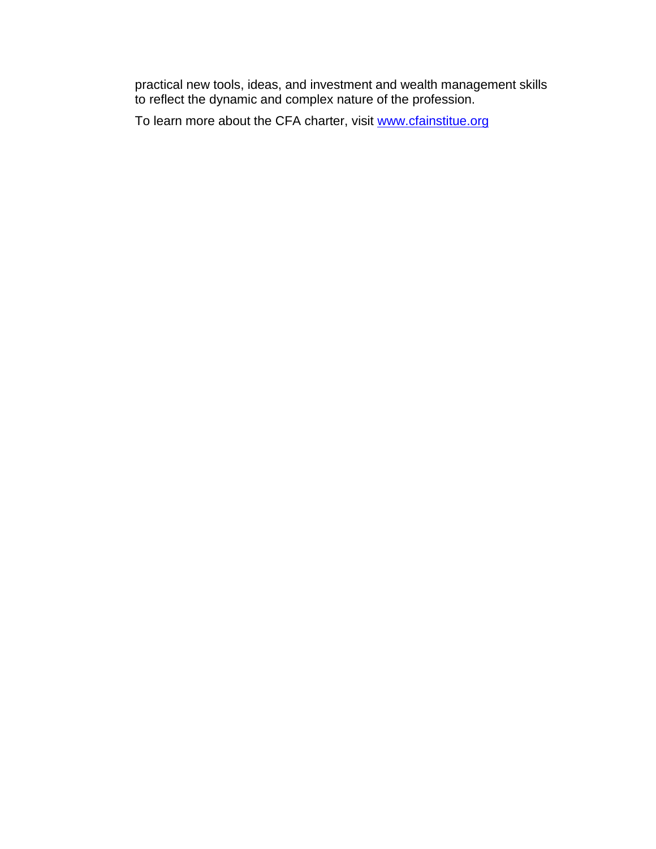practical new tools, ideas, and investment and wealth management skills to reflect the dynamic and complex nature of the profession.

To learn more about the CFA charter, visit [www.cfainstitue.org](http://www.cfainstitue.org/)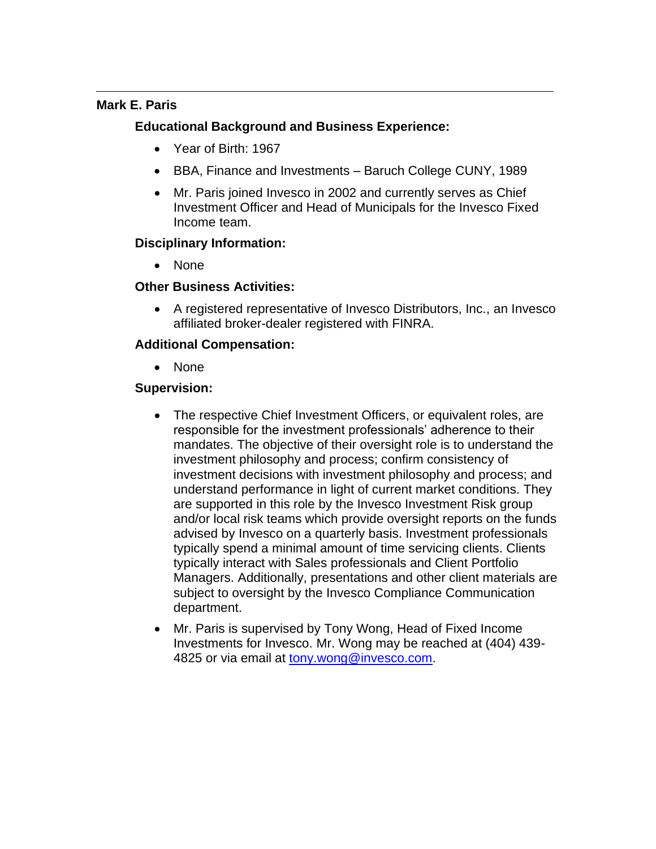# **Mark E. Paris**

# **Educational Background and Business Experience:**

- Year of Birth: 1967
- BBA, Finance and Investments Baruch College CUNY, 1989
- Mr. Paris joined Invesco in 2002 and currently serves as Chief Investment Officer and Head of Municipals for the Invesco Fixed Income team.

# **Disciplinary Information:**

• None

# **Other Business Activities:**

• A registered representative of Invesco Distributors, Inc., an Invesco affiliated broker-dealer registered with FINRA.

# **Additional Compensation:**

• None

- The respective Chief Investment Officers, or equivalent roles, are responsible for the investment professionals' adherence to their mandates. The objective of their oversight role is to understand the investment philosophy and process; confirm consistency of investment decisions with investment philosophy and process; and understand performance in light of current market conditions. They are supported in this role by the Invesco Investment Risk group and/or local risk teams which provide oversight reports on the funds advised by Invesco on a quarterly basis. Investment professionals typically spend a minimal amount of time servicing clients. Clients typically interact with Sales professionals and Client Portfolio Managers. Additionally, presentations and other client materials are subject to oversight by the Invesco Compliance Communication department.
- Mr. Paris is supervised by Tony Wong, Head of Fixed Income Investments for Invesco. Mr. Wong may be reached at (404) 439- 4825 or via email at [tony.wong@invesco.com.](mailto:tony.wong@invesco.com)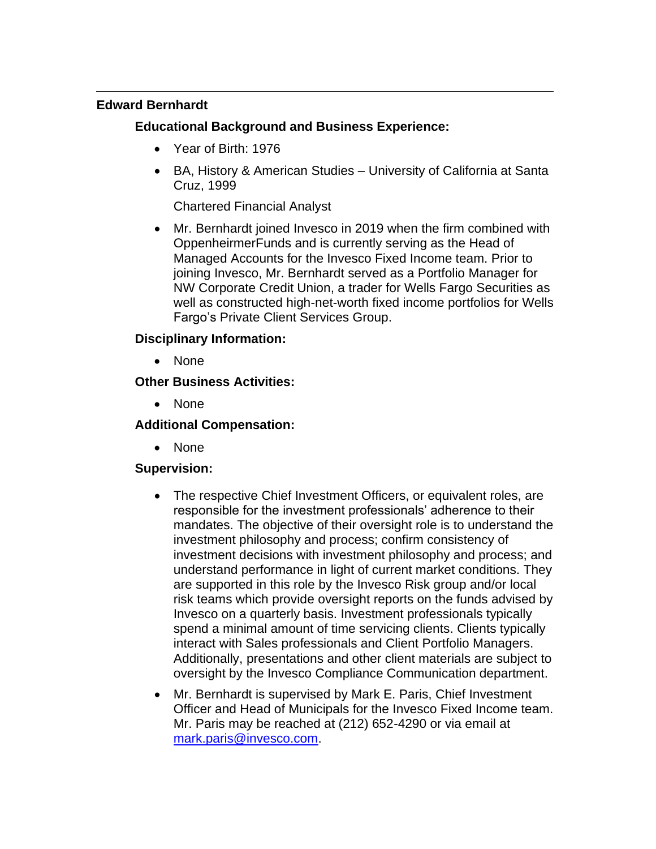# **Edward Bernhardt**

# **Educational Background and Business Experience:**

- Year of Birth: 1976
- BA, History & American Studies University of California at Santa Cruz, 1999

Chartered Financial Analyst

• Mr. Bernhardt joined Invesco in 2019 when the firm combined with OppenheirmerFunds and is currently serving as the Head of Managed Accounts for the Invesco Fixed Income team. Prior to joining Invesco, Mr. Bernhardt served as a Portfolio Manager for NW Corporate Credit Union, a trader for Wells Fargo Securities as well as constructed high-net-worth fixed income portfolios for Wells Fargo's Private Client Services Group.

# **Disciplinary Information:**

• None

# **Other Business Activities:**

• None

# **Additional Compensation:**

• None

- The respective Chief Investment Officers, or equivalent roles, are responsible for the investment professionals' adherence to their mandates. The objective of their oversight role is to understand the investment philosophy and process; confirm consistency of investment decisions with investment philosophy and process; and understand performance in light of current market conditions. They are supported in this role by the Invesco Risk group and/or local risk teams which provide oversight reports on the funds advised by Invesco on a quarterly basis. Investment professionals typically spend a minimal amount of time servicing clients. Clients typically interact with Sales professionals and Client Portfolio Managers. Additionally, presentations and other client materials are subject to oversight by the Invesco Compliance Communication department.
- Mr. Bernhardt is supervised by Mark E. Paris, Chief Investment Officer and Head of Municipals for the Invesco Fixed Income team. Mr. Paris may be reached at (212) 652-4290 or via email at [mark.paris@invesco.com.](mailto:mark.paris@invesco.com)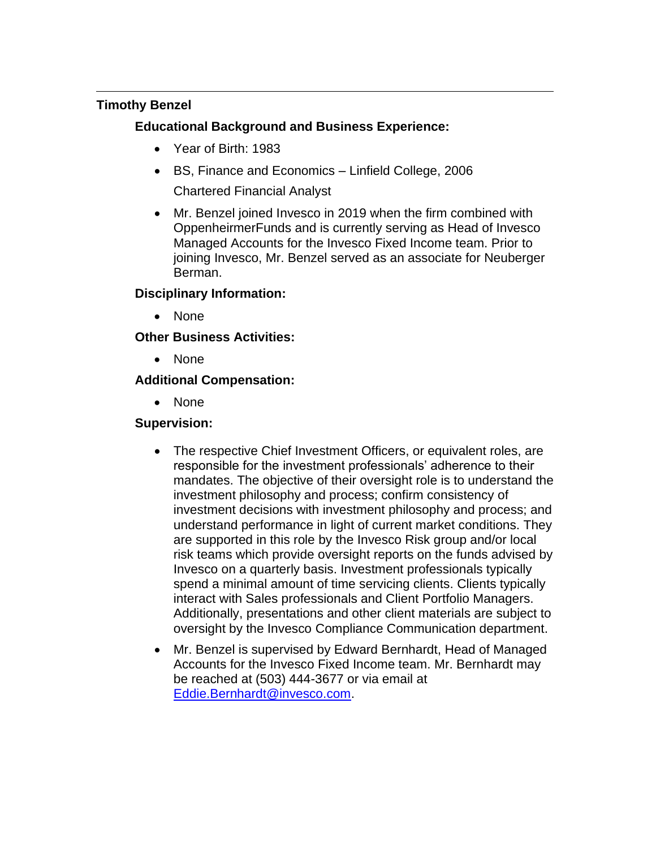# **Timothy Benzel**

# **Educational Background and Business Experience:**

- Year of Birth: 1983
- BS, Finance and Economics Linfield College, 2006 Chartered Financial Analyst
- Mr. Benzel joined Invesco in 2019 when the firm combined with OppenheirmerFunds and is currently serving as Head of Invesco Managed Accounts for the Invesco Fixed Income team. Prior to joining Invesco, Mr. Benzel served as an associate for Neuberger Berman.

# **Disciplinary Information:**

• None

# **Other Business Activities:**

• None

# **Additional Compensation:**

• None

- The respective Chief Investment Officers, or equivalent roles, are responsible for the investment professionals' adherence to their mandates. The objective of their oversight role is to understand the investment philosophy and process; confirm consistency of investment decisions with investment philosophy and process; and understand performance in light of current market conditions. They are supported in this role by the Invesco Risk group and/or local risk teams which provide oversight reports on the funds advised by Invesco on a quarterly basis. Investment professionals typically spend a minimal amount of time servicing clients. Clients typically interact with Sales professionals and Client Portfolio Managers. Additionally, presentations and other client materials are subject to oversight by the Invesco Compliance Communication department.
- Mr. Benzel is supervised by Edward Bernhardt, Head of Managed Accounts for the Invesco Fixed Income team. Mr. Bernhardt may be reached at (503) 444-3677 or via email at [Eddie.Bernhardt@invesco.com.](mailto:Eddie.Bernhardt@invesco.com)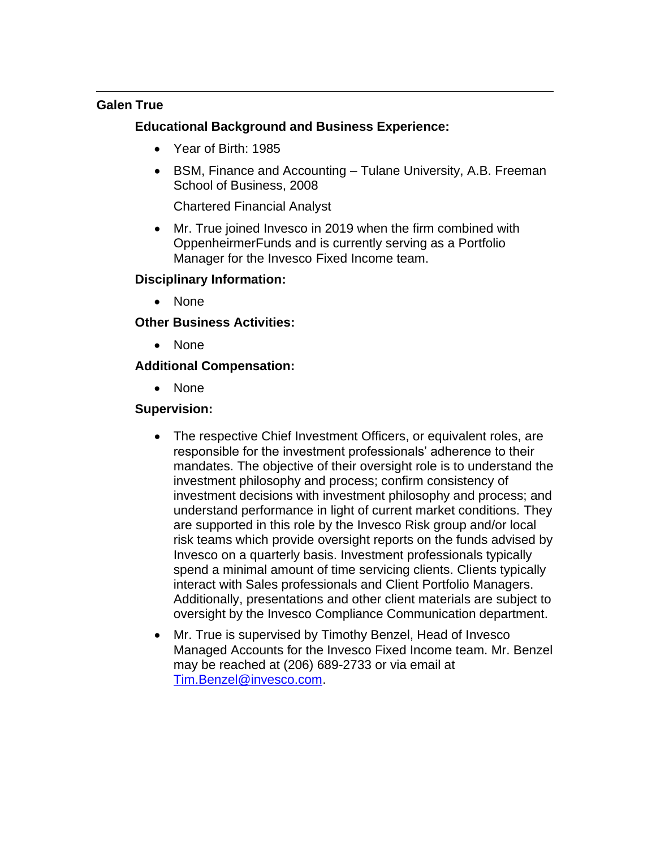# **Galen True**

# **Educational Background and Business Experience:**

- Year of Birth: 1985
- BSM, Finance and Accounting Tulane University, A.B. Freeman School of Business, 2008

Chartered Financial Analyst

Mr. True joined Invesco in 2019 when the firm combined with OppenheirmerFunds and is currently serving as a Portfolio Manager for the Invesco Fixed Income team.

# **Disciplinary Information:**

• None

# **Other Business Activities:**

• None

# **Additional Compensation:**

• None

- The respective Chief Investment Officers, or equivalent roles, are responsible for the investment professionals' adherence to their mandates. The objective of their oversight role is to understand the investment philosophy and process; confirm consistency of investment decisions with investment philosophy and process; and understand performance in light of current market conditions. They are supported in this role by the Invesco Risk group and/or local risk teams which provide oversight reports on the funds advised by Invesco on a quarterly basis. Investment professionals typically spend a minimal amount of time servicing clients. Clients typically interact with Sales professionals and Client Portfolio Managers. Additionally, presentations and other client materials are subject to oversight by the Invesco Compliance Communication department.
- Mr. True is supervised by Timothy Benzel, Head of Invesco Managed Accounts for the Invesco Fixed Income team. Mr. Benzel may be reached at (206) 689-2733 or via email at [Tim.Benzel@invesco.com.](mailto:Tim.Benzel@invesco.com)